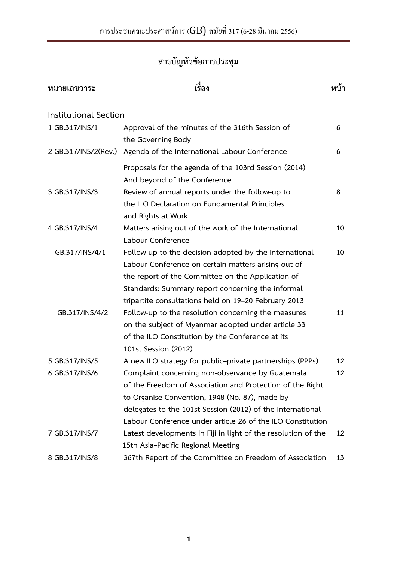# **สารบัญหัวข้อการประชุม**

| หมายเลขวาระ           | เรื่อง                                                                               | หน้า |
|-----------------------|--------------------------------------------------------------------------------------|------|
| Institutional Section |                                                                                      |      |
| 1 GB.317/INS/1        | Approval of the minutes of the 316th Session of<br>the Governing Body                | 6    |
| 2 GB.317/INS/2(Rev.)  | Agenda of the International Labour Conference                                        | 6    |
|                       | Proposals for the agenda of the 103rd Session (2014)<br>And beyond of the Conference |      |
| 3 GB.317/INS/3        | Review of annual reports under the follow-up to                                      | 8    |
|                       | the ILO Declaration on Fundamental Principles<br>and Rights at Work                  |      |
| 4 GB.317/INS/4        | Matters arising out of the work of the International                                 | 10   |
|                       | Labour Conference                                                                    |      |
| GB.317/INS/4/1        | Follow-up to the decision adopted by the International                               | 10   |
|                       | Labour Conference on certain matters arising out of                                  |      |
|                       | the report of the Committee on the Application of                                    |      |
|                       | Standards: Summary report concerning the informal                                    |      |
|                       | tripartite consultations held on 19-20 February 2013                                 |      |
| GB.317/INS/4/2        | Follow-up to the resolution concerning the measures                                  | 11   |
|                       | on the subject of Myanmar adopted under article 33                                   |      |
|                       | of the ILO Constitution by the Conference at its                                     |      |
|                       | 101st Session (2012)                                                                 |      |
| 5 GB.317/INS/5        | A new ILO strategy for public-private partnerships (PPPs)                            | 12   |
| 6 GB.317/INS/6        | Complaint concerning non-observance by Guatemala                                     | 12   |
|                       | of the Freedom of Association and Protection of the Right                            |      |
|                       | to Organise Convention, 1948 (No. 87), made by                                       |      |
|                       | delegates to the 101st Session (2012) of the International                           |      |
|                       | Labour Conference under article 26 of the ILO Constitution                           |      |
| 7 GB.317/INS/7        | Latest developments in Fiji in light of the resolution of the                        | 12   |
|                       | 15th Asia-Pacific Regional Meeting                                                   |      |
| 8 GB.317/INS/8        | 367th Report of the Committee on Freedom of Association                              | 13   |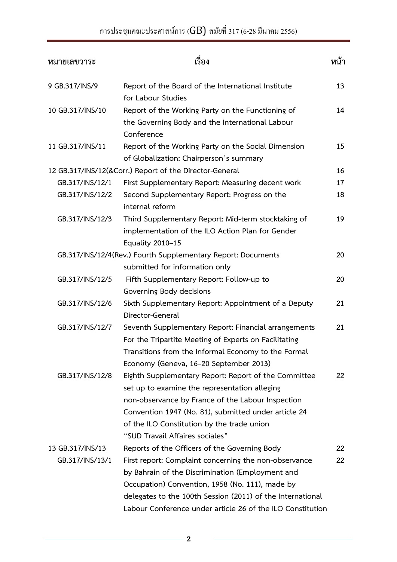| หมายเลขวาระ      | เรื่อง                                                                                                                                                                                                                                                                                              |    |
|------------------|-----------------------------------------------------------------------------------------------------------------------------------------------------------------------------------------------------------------------------------------------------------------------------------------------------|----|
| 9 GB.317/INS/9   | Report of the Board of the International Institute<br>for Labour Studies                                                                                                                                                                                                                            | 13 |
| 10 GB.317/INS/10 | Report of the Working Party on the Functioning of<br>the Governing Body and the International Labour<br>Conference                                                                                                                                                                                  | 14 |
| 11 GB.317/INS/11 | Report of the Working Party on the Social Dimension<br>of Globalization: Chairperson's summary                                                                                                                                                                                                      | 15 |
|                  | 12 GB.317/INS/12(&Corr.) Report of the Director-General                                                                                                                                                                                                                                             | 16 |
| GB.317/INS/12/1  | First Supplementary Report: Measuring decent work                                                                                                                                                                                                                                                   | 17 |
| GB.317/INS/12/2  | Second Supplementary Report: Progress on the<br>internal reform                                                                                                                                                                                                                                     | 18 |
| GB.317/INS/12/3  | Third Supplementary Report: Mid-term stocktaking of<br>implementation of the ILO Action Plan for Gender<br>Equality 2010-15                                                                                                                                                                         | 19 |
|                  | GB.317/INS/12/4(Rev.) Fourth Supplementary Report: Documents<br>submitted for information only                                                                                                                                                                                                      | 20 |
| GB.317/INS/12/5  | Fifth Supplementary Report: Follow-up to<br>Governing Body decisions                                                                                                                                                                                                                                | 20 |
| GB.317/INS/12/6  | Sixth Supplementary Report: Appointment of a Deputy<br>Director-General                                                                                                                                                                                                                             | 21 |
| GB.317/INS/12/7  | Seventh Supplementary Report: Financial arrangements<br>For the Tripartite Meeting of Experts on Facilitating<br>Transitions from the Informal Economy to the Formal<br>Economy (Geneva, 16-20 September 2013)                                                                                      | 21 |
| GB.317/INS/12/8  | Eighth Supplementary Report: Report of the Committee<br>set up to examine the representation alleging<br>non-observance by France of the Labour Inspection<br>Convention 1947 (No. 81), submitted under article 24<br>of the ILO Constitution by the trade union<br>"SUD Travail Affaires sociales" | 22 |
| 13 GB.317/INS/13 | Reports of the Officers of the Governing Body                                                                                                                                                                                                                                                       | 22 |
| GB.317/INS/13/1  | First report: Complaint concerning the non-observance<br>by Bahrain of the Discrimination (Employment and<br>Occupation) Convention, 1958 (No. 111), made by<br>delegates to the 100th Session (2011) of the International                                                                          | 22 |
|                  | Labour Conference under article 26 of the ILO Constitution                                                                                                                                                                                                                                          |    |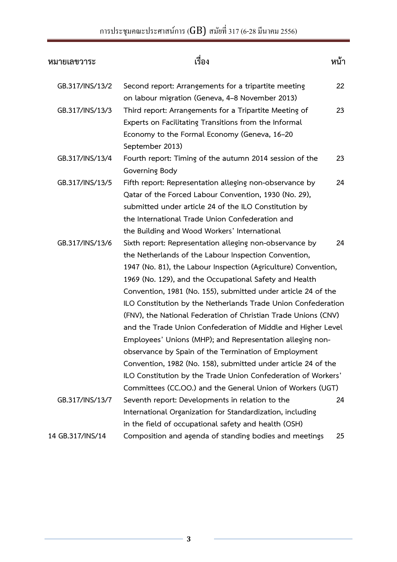| หมายเลขวาระ      | เรื่อง                                                                                                                                                                                                                                                                                                                                                                                                                                                                                                                                                                                                                                                                                                                                                                                                                               |    |
|------------------|--------------------------------------------------------------------------------------------------------------------------------------------------------------------------------------------------------------------------------------------------------------------------------------------------------------------------------------------------------------------------------------------------------------------------------------------------------------------------------------------------------------------------------------------------------------------------------------------------------------------------------------------------------------------------------------------------------------------------------------------------------------------------------------------------------------------------------------|----|
| GB.317/INS/13/2  | Second report: Arrangements for a tripartite meeting<br>on labour migration (Geneva, 4–8 November 2013)                                                                                                                                                                                                                                                                                                                                                                                                                                                                                                                                                                                                                                                                                                                              | 22 |
| GB.317/INS/13/3  | Third report: Arrangements for a Tripartite Meeting of<br>Experts on Facilitating Transitions from the Informal<br>Economy to the Formal Economy (Geneva, 16-20<br>September 2013)                                                                                                                                                                                                                                                                                                                                                                                                                                                                                                                                                                                                                                                   | 23 |
| GB.317/INS/13/4  | Fourth report: Timing of the autumn 2014 session of the<br>Governing Body                                                                                                                                                                                                                                                                                                                                                                                                                                                                                                                                                                                                                                                                                                                                                            | 23 |
| GB.317/INS/13/5  | Fifth report: Representation alleging non-observance by<br>Qatar of the Forced Labour Convention, 1930 (No. 29),<br>submitted under article 24 of the ILO Constitution by<br>the International Trade Union Confederation and<br>the Building and Wood Workers' International                                                                                                                                                                                                                                                                                                                                                                                                                                                                                                                                                         | 24 |
| GB.317/INS/13/6  | Sixth report: Representation alleging non-observance by<br>the Netherlands of the Labour Inspection Convention,<br>1947 (No. 81), the Labour Inspection (Agriculture) Convention,<br>1969 (No. 129), and the Occupational Safety and Health<br>Convention, 1981 (No. 155), submitted under article 24 of the<br>ILO Constitution by the Netherlands Trade Union Confederation<br>(FNV), the National Federation of Christian Trade Unions (CNV)<br>and the Trade Union Confederation of Middle and Higher Level<br>Employees' Unions (MHP); and Representation alleging non-<br>observance by Spain of the Termination of Employment<br>Convention, 1982 (No. 158), submitted under article 24 of the<br>ILO Constitution by the Trade Union Confederation of Workers'<br>Committees (CC.OO.) and the General Union of Workers (UGT) | 24 |
| GB.317/INS/13/7  | Seventh report: Developments in relation to the<br>International Organization for Standardization, including<br>in the field of occupational safety and health (OSH)                                                                                                                                                                                                                                                                                                                                                                                                                                                                                                                                                                                                                                                                 | 24 |
| 14 GB.317/INS/14 | Composition and agenda of standing bodies and meetings                                                                                                                                                                                                                                                                                                                                                                                                                                                                                                                                                                                                                                                                                                                                                                               | 25 |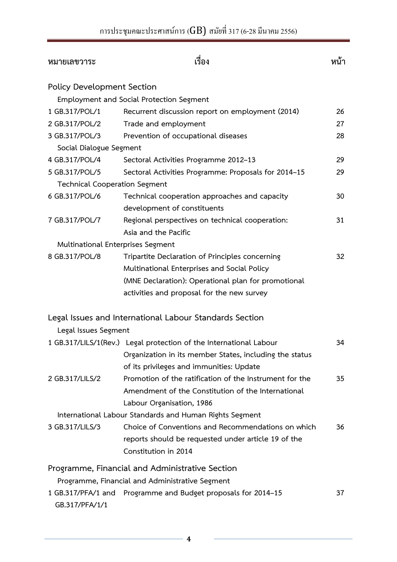| หมายเลขวาระ                              | เรื่อง                                                             | หน้า |
|------------------------------------------|--------------------------------------------------------------------|------|
| <b>Policy Development Section</b>        |                                                                    |      |
|                                          | <b>Employment and Social Protection Segment</b>                    |      |
| 1 GB.317/POL/1                           | Recurrent discussion report on employment (2014)                   | 26   |
| 2 GB.317/POL/2                           | Trade and employment                                               | 27   |
| 3 GB.317/POL/3                           | Prevention of occupational diseases                                | 28   |
| Social Dialogue Segment                  |                                                                    |      |
| 4 GB.317/POL/4                           | Sectoral Activities Programme 2012-13                              | 29   |
| 5 GB.317/POL/5                           | Sectoral Activities Programme: Proposals for 2014-15               | 29   |
| <b>Technical Cooperation Segment</b>     |                                                                    |      |
| 6 GB.317/POL/6                           | Technical cooperation approaches and capacity                      | 30   |
|                                          | development of constituents                                        |      |
| 7 GB.317/POL/7                           | Regional perspectives on technical cooperation:                    | 31   |
|                                          | Asia and the Pacific                                               |      |
| <b>Multinational Enterprises Segment</b> |                                                                    |      |
| 8 GB.317/POL/8                           | Tripartite Declaration of Principles concerning                    | 32   |
|                                          | Multinational Enterprises and Social Policy                        |      |
|                                          | (MNE Declaration): Operational plan for promotional                |      |
|                                          | activities and proposal for the new survey                         |      |
|                                          | Legal Issues and International Labour Standards Section            |      |
| Legal Issues Segment                     |                                                                    |      |
|                                          | 1 GB.317/LILS/1(Rev.) Legal protection of the International Labour | 34   |
|                                          | Organization in its member States, including the status            |      |
|                                          | of its privileges and immunities: Update                           |      |
| 2 GB.317/LILS/2                          | Promotion of the ratification of the Instrument for the            | 35   |
|                                          | Amendment of the Constitution of the International                 |      |
|                                          | Labour Organisation, 1986                                          |      |
|                                          | International Labour Standards and Human Rights Segment            |      |
| 3 GB.317/LILS/3                          | Choice of Conventions and Recommendations on which                 | 36   |
|                                          | reports should be requested under article 19 of the                |      |
|                                          | Constitution in 2014                                               |      |
|                                          | Programme, Financial and Administrative Section                    |      |
|                                          | Programme, Financial and Administrative Segment                    |      |
| 1 GB.317/PFA/1 and                       | Programme and Budget proposals for 2014-15                         | 37   |
| GB.317/PFA/1/1                           |                                                                    |      |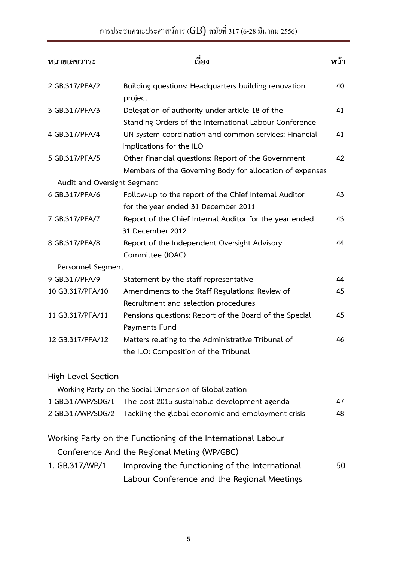# การประชุมคณะประศาสน์การ (GB) สมัยที่ 317 (6-28 มีนาคม 2556)

| หมายเลขวาระ                 | เรื่อง                                                                                                          |    |
|-----------------------------|-----------------------------------------------------------------------------------------------------------------|----|
| 2 GB.317/PFA/2              | Building questions: Headquarters building renovation<br>project                                                 | 40 |
| 3 GB.317/PFA/3              | Delegation of authority under article 18 of the<br>Standing Orders of the International Labour Conference       | 41 |
| 4 GB.317/PFA/4              | UN system coordination and common services: Financial<br>implications for the ILO                               | 41 |
| 5 GB.317/PFA/5              | Other financial questions: Report of the Government<br>Members of the Governing Body for allocation of expenses | 42 |
| Audit and Oversight Segment |                                                                                                                 |    |
| 6 GB.317/PFA/6              | Follow-up to the report of the Chief Internal Auditor<br>for the year ended 31 December 2011                    | 43 |
| 7 GB.317/PFA/7              | Report of the Chief Internal Auditor for the year ended<br>31 December 2012                                     | 43 |
| 8 GB.317/PFA/8              | Report of the Independent Oversight Advisory<br>Committee (IOAC)                                                | 44 |
| Personnel Segment           |                                                                                                                 |    |
| 9 GB.317/PFA/9              | Statement by the staff representative                                                                           | 44 |
| 10 GB.317/PFA/10            | Amendments to the Staff Regulations: Review of                                                                  | 45 |
|                             | Recruitment and selection procedures                                                                            |    |
| 11 GB.317/PFA/11            | Pensions questions: Report of the Board of the Special<br>Payments Fund                                         | 45 |
| 12 GB.317/PFA/12            | Matters relating to the Administrative Tribunal of<br>the ILO: Composition of the Tribunal                      | 46 |
| High-Level Section          | Working Party on the Social Dimension of Globalization                                                          |    |
| 1 GB.317/WP/SDG/1           | The post-2015 sustainable development agenda                                                                    | 47 |
| 2 GB.317/WP/SDG/2           | Tackling the global economic and employment crisis                                                              | 48 |
|                             | Working Party on the Functioning of the International Labour                                                    |    |
|                             | Conference And the Regional Meting (WP/GBC)                                                                     |    |
| 1. GB.317/WP/1              | Improving the functioning of the International                                                                  | 50 |
|                             | Labour Conference and the Regional Meetings                                                                     |    |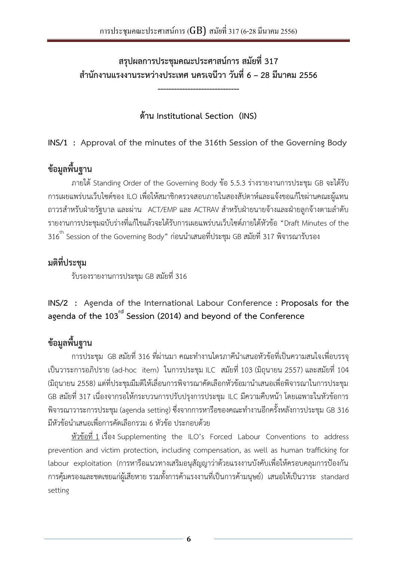<span id="page-5-0"></span>**สรุปผลการประชุมคณะประศาสน์การ สมัยที่ 317 ส านักงานแรงงานระหว่างประเทศ นครเจนีวา วันที่ 6 – 28 มีนาคม 2556**

**------------------------------** 

**ด้าน Institutional Section (INS)**

**INS/1 : Approval of the minutes of the 316th Session of the Governing Body**

# **ข้อมูลพื้นฐาน**

ภายใต้Standing Order of the Governing Body ข้อ 5.5.3 ร่างรายงานการประชุม GB จะได้รับ การเผยแพร่บนเว็บไซต์ของ ILO เพื่อให้สมาชิกตรวจสอบภายในสองสัปดาห์และแจ้งขอแก้ไขผ่านคณะผู้แทน ถาวรสำหรับฝ่ายรัฐบาล และผ่าน ACT/EMP และ ACTRAV สำหรับฝ่ายนายจ้างและฝ่ายลูกจ้างตามลำดับ รายงานการประชุมฉบับร่างที่แก้ไขแล้วจะได้รับการเผยแพร่บนเว็บไซต์ภายใต้หัวข้อ "Draft Minutes of the  $316^{\rm th}$  Session of the Governing Body" ก่อนนำเสนอที่ประชุม GB สมัยที่ 317 พิจารณารับรอง

## **มติที่ประชุม**

รับรองรายงานการประชุม GB สมัยที่ 316

**INS/2 : Agenda of the International Labour Conference : Proposals for the agenda of the 103rd Session (2014) and beyond of the Conference**

# **ข้อมูลพื้นฐาน**

การประชุม GB สมัยที่ 316 ที่ผ่านมา คณะทำงานไตรภาคีนำเสนอหัวข้อที่เป็นความสนใจเพื่อบรรจุ เป็นวาระการอภิปราย (ad-hoc item) ในการประชุม ILC สมัยที่ 103 (มิถุนายน 2557) และสมัยที่ 104 (มิถุนายน 2558) แต่ที่ประชุมมีมติให้เลื่อนการพิจารณาคัดเลือกหัวข้อมานำเสนอเพื่อพิจารณาในการประชุม GB สมัยที่ 317 เนื่องจากรอให้กระบวนการปรับปรุงการประชุม ILC มีความคืบหน้า โดยเฉพาะในหัวข้อการ ี พิจารณาวาระการประชุม (agenda setting) ซึ่งจากการหารือของคณะทำงานอีกครั้งหลังการประชุม GB 316 ่ มีหัวข้อนำเสนอเพื่อการคัดเลือกรวม 6 หัวข้อ ประกอบด้วย

หัวข้อที่ 1 เรื่อง Supplementing the ILO's Forced Labour Conventions to address prevention and victim protection, including compensation, as well as human trafficking for labour exploitation (การหารือแนวทางเสริมอนุสัญญาว่าด้วยแรงงานบังคับเพื่อให้ครอบคลุมการป้องกัน การคุ้มครองและชดเชยแก่ผู้เสียหาย รวมทั้งการค้าแรงงานที่เป็นการค้ามนุษย์) เสนอให้เป็นวาระ standard setting

**6**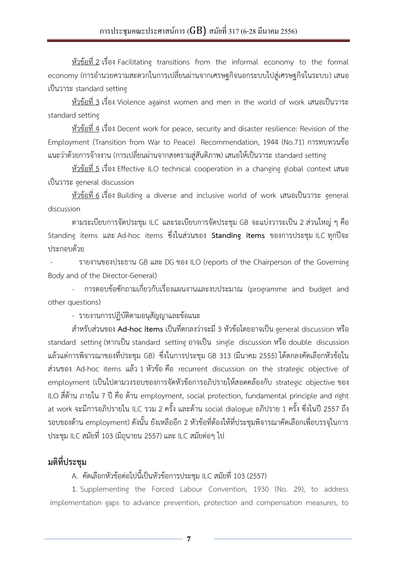หัวข้อที่ 2 เรื่อง Facilitating transitions from the informal economy to the formal economy (การอำนวยความสะดวกในการเปลี่ยนผ่านจากเศรษฐกิจนอกระบบไปสู่เศรษฐกิจในระบบ) เสนอ เป็นวาระ standard setting

หัวข้อที่ 3 เรื่อง Violence against women and men in the world of work เสนอเป็นวาระ standard setting

หัวข้อที่ 4 เรื่อง Decent work for peace, security and disaster resilience: Revision of the Employment (Transition from War to Peace) Recommendation, 1944 (No.71) การทบทวนข้อ แนะว่าด้วยการจ้างงาน (การเปลี่ยนผ่านจากสงครามสู่สันติภาพ) เสนอให้เป็นวาระ standard setting

หัวข้อที่ 5 เรื่อง Effective ILO technical cooperation in a changing global context เสนอ เป็นวาระ general discussion

หัวข้อที่ 6 เรื่อง Building a diverse and inclusive world of work เสนอเป็นวาระ general discussion

ตามระเบียบการจัดประชุม ILC และระเบียบการจัดประชุม GB จะแบ่งวาระเป็น 2 ส่วนใหญ่ ๆ คือ Standing items และ Ad-hoc items ซึ่งในส่วนของ **Standing items** ของการประชุม ILC ทุกปีจะ ประกอบด้วย

 - รายงานของประธาน GB และ DG ของ ILO (reports of the Chairperson of the Governing Body and of the Director-General)

- การตอบข้อซักถามเกี่ยวกับเรื่องแผนงานและงบประมาณ (programme and budget and other questions)

- รายงานการปฏิบัติตามอนุสัญญาและข้อแนะ

ส าหรับส่วนของ **Ad-hoc items** เป็นที่ตกลงว่าจะมี 3 หัวข้อโดยอาจเป็น general discussion หรือ standard setting (หากเป็น standard setting อาจเป็น single discussion หรือ double discussion แล้วแต่การพิจารณาของที่ประชุม GB) ซึ่งในการประชุม GB 313 (มีนาคม 2555) ได้ตกลงคัดเลือกหัวข้อใน ส่วนของ Ad-hoc items แล้ว 1 หัวข้อ คือ recurrent discussion on the strategic objective of employment (เป็นไปตามวงรอบของการจัดหัวข้อการอภิปรายให้สอดคล้องกับ strategic objective ของ ILO สี่ด้าน ภายใน 7 ปี คือ ด้าน employment, social protection, fundamental principle and right at work จะมีการอภิปรายใน ILC รวม 2 ครั้ง และด้าน social dialogue อภิปราย 1 ครั้ง ซึ่งในปี 2557 ถึง รอบของด้าน employment) ดังนั้น ยังเหลืออีก 2 หัวข้อที่ต้องให้ที่ประชุมพิจารณาคัดเลือกเพื่อบรรจุในการ ประชุม ILC สมัยที่ 103 (มิถุนายน 2557) และ ILC สมัยต่อๆ ไป

### **มติที่ประชุม**

### A. คัดเลือกหัวข้อต่อไปนี้เป็นหัวข้อการประชุม ILC สมัยที่ 103 (2557)

1. Supplementing the Forced Labour Convention, 1930 (No. 29), to address implementation gaps to advance prevention, protection and compensation measures, to

**7**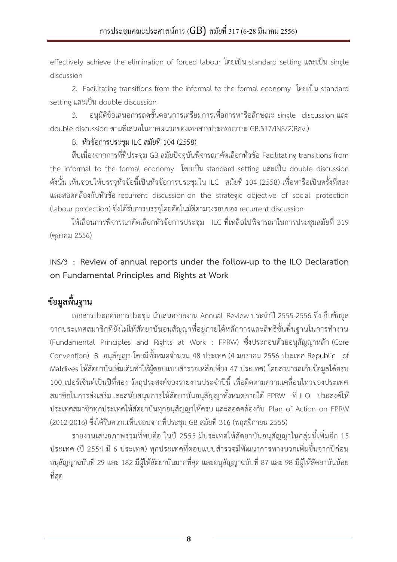<span id="page-7-0"></span>effectively achieve the elimination of forced labour โดยเป็น standard setting และเป็น single discussion

2. Facilitating transitions from the informal to the formal economy โดยเป็น standard setting และเป็น double discussion

3. อนุมัติข้อเสนอการลดขั้นตอนการเตรียมการเพื่อการหารือลักษณะ single discussion และ double discussion ตามที่เสนอในภาคผนวกของเอกสารประกอบวาระ GB.317/INS/2(Rev.)

#### B. หัวข้อการประชุม ILC สมัยที่ 104 (2558)

สืบเนื่องจากการที่ที่ประชุม GB สมัยปัจจุบันพิจารณาคัดเลือกหัวข้อ Facilitating transitions from the informal to the formal economy โดยเป็น standard setting และเป็น double discussion ดังนั้น เห็นชอบให้บรรจุหัวข้อนี้เป็นหัวข้อการประชุมใน ILC สมัยที่ 104 (2558) เพื่อหารือเป็นครั้งที่สอง และสอดคล้องกับหัวข้อ recurrent discussion on the strategic objective of social protection (labour protection) ซึ่งได้รับการบรรจุโดยอัตโนมัติตามวงรอบของ recurrent discussion

ให้เลื่อนการพิจารณาคัดเลือกหัวข้อการประชุม ILC ที่เหลือไปพิจารณาในการประชุมสมัยที่ 319 (ตุลาคม 2556)

**INS/3 : Review of annual reports under the follow-up to the ILO Declaration on Fundamental Principles and Rights at Work**

## **ข้อมูลพื้นฐาน**

เอกสารประกอบการประชุม นำเสนอรายงาน Annual Review ประจำปี 2555-2556 ซึ่งเก็บข้อมูล จากประเทศสมาชิกที่ยังไม่ให้สัตยาบันอนุสัญญาที่อยู่ภายใต้หลักการและสิทธิขั้นพื้นฐานในการทำงาน (Fundamental Principles and Rights at Work : FPRW) ซึ่งประกอบด้วยอนุสัญญาหลัก (Core Convention) 8 อนุสัญญา โดยมีทั้งหมดจำนวน 48 ประเทศ (4 มกราคม 2556 ประเทศ Republic of . Maldives ให้สัตยาบันเพิ่มเติมทำให้ผู้ตอบแบบสำรวจเหลือเพียง 47 ประเทศ) โดยสามารถเก็บข้อมูลได้ครบ 100 เปอร์เซ็นต์เป็นปีที่สอง วัตถุประสงค์ของรายงานประจำปีนี้ เพื่อติดตามความเคลื่อนไหวของประเทศ สมาชิกในการส่งเสริมและสนับสนุนการให้สัตยาบันอนุสัญญาทั้งหมดภายใต้ FPRW ที่ ILO ประสงค์ให้ ประเทศสมาชิกทุกประเทศให้สัตยาบันทุกอนุสัญญาให้ครบ และสอดคล้องกับ Plan of Action on FPRW (2012-2016) ซึ่งได้รับความเห็นชอบจากที่ประชุม GB สมัยที่ 316 (พฤศจิกายน 2555)

รายงานเสนอภาพรวมที่พบคือ ในปี 2555 มีประเทศให้สัตยาบันอนุสัญญาในกลุ่มนี้เพิ่มอีก 15 ี ประเทศ (ปี 2554 มี 6 ประเทศ) ทุกประเทศที่ตอบแบบสำรวจมีพัฒนาการทางบวกเพิ่มขึ้นจากปีก่อน อนุสัญญาฉบับที่ 29 และ 182 มีผู้ให้สัตยาบันมากที่สุด และอนุสัญญาฉบับที่ 87 และ 98 มีผู้ให้สัตยาบันน้อย ที่สุด

**8**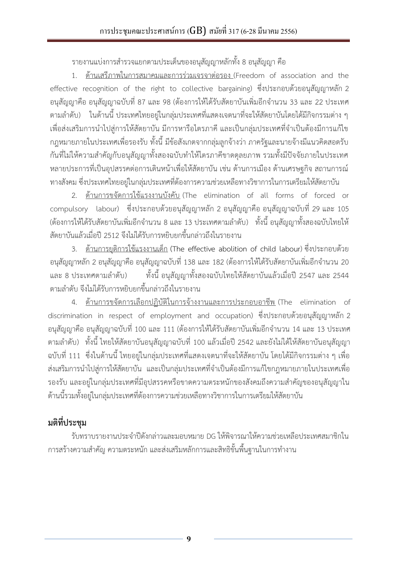รายงานแบ่งการสำรวจแยกตามประเด็นของอนุสัญญาหลักทั้ง 8 อนุสัญญา คือ

1. ด้านเสรีภาพในการสมาคมและการร่วมเจรจาต่อรอง (Freedom of association and the effective recognition of the right to collective bargaining) ซึ่งประกอบด้วยอนุสัญญาหลัก 2 อนุสัญญาคือ อนุสัญญาฉบับที่ 87 และ 98 (ต้องการให้ได้รับสัตยาบันเพิ่มอีกจำนวน 33 และ 22 ประเทศ ตามล าดับ) ในด้านนี้ ประเทศไทยอยู่ในกลุ่มประเทศที่แสดงเจตนาที่จะให้สัตยาบันโดยได้มีกิจกรรมต่าง ๆ เพื่อส่งเสริมการนำไปสู่การให้สัตยาบัน มีการหารือไตรภาคี และเป็นกลุ่มประเทศที่จำเป็นต้องมีการแก้ไข กฎหมายภายในประเทศเพื่อรองรับ ทั้งนี้มีข้อสังเกตจากกลุ่มลูกจ้างว่า ภาครัฐและนายจ้างมีแนวคิดสอดรับ กันที่ไม่ให้ความสำคัญกับอนุสัญญาทั้งสองฉบับทำให้ไตรภาคีขาดดุลยภาพ รวมทั้งมีปัจจัยภายในประเทศ หลายประการที่เป็นอุปสรรคต่อการเดินหน้าเพื่อให้สัตยาบัน เช่น ด้านการเมือง ด้านเศรษฐกิจ สถานการณ์ ทางสังคม ซึ่งประเทศไทยอยู่ในกลุ่มประเทศที่ต้องการความช่วยเหลือทางวิชาการในการเตรียมให้สัตยาบัน

2. ด้านการขจัดการใช้แรงงานบังคับ (The elimination of all forms of forced or compulsory labour) ซึ่งประกอบด้วยอนุสัญญาหลัก 2 อนุสัญญาคือ อนุสัญญาฉบับที่ 29 และ 105 (ต้องการให้ได้รับสัตยาบันเพิ่มอีกจำนวน 8 และ 13 ประเทศตามลำดับ) ทั้งนี้ อนุสัญญาทั้งสองฉบับไทยให้ สัตยาบันแล้วเมื่อปี 2512 จึงไม่ได้รับการหยิบยกขึ้นกล่าวถึงในรายงาน

3. ด้านการยุติการใช้แรงงานเด็ก (The effective abolition of child labour) ซึ่งประกอบด้วย ้อนุสัญญาหลัก 2 อนุสัญญาคือ อนุสัญญาฉบับที่ 138 และ 182 (ต้องการให้ได้รับสัตยาบันเพิ่มอีกจำนวน 20 และ 8 ประเทศตามลำดับ) ทั้งนี้ อนุสัญญาทั้งสองฉบับไทยให้สัตยาบันแล้วเมื่อปี 2547 และ 2544 ตามล าดับ จึงไม่ได้รับการหยิบยกขึ้นกล่าวถึงในรายงาน

4. ด้านการขจัดการเลือกปฏิบัติในการจ้างงานและการประกอบอาชีพ (The elimination of discrimination in respect of employment and occupation) ซึ่งประกอบด้วยอนุสัญญาหลัก 2 ้อนุสัญญาคือ อนุสัญญาฉบับที่ 100 และ 111 (ต้องการให้ได้รับสัตยาบันเพิ่มอีกจำนวน 14 และ 13 ประเทศ ตามล าดับ) ทั้งนี้ ไทยให้สัตยาบันอนุสัญญาฉบับที่ 100 แล้วเมื่อปี 2542 และยังไม่ได้ให้สัตยาบันอนุสัญญา ฉบับที่ 111 ซึ่งในด้านนี้ ไทยอยู่ในกลุ่มประเทศที่แสดงเจตนาที่จะให้สัตยาบัน โดยได้มีกิจกรรมต่าง ๆ เพื่อ ้ส่งเสริมการนำไปสู่การให้สัตยาบัน และเป็นกลุ่มประเทศที่จำเป็นต้องมีการแก้ไขกฎหมายภายในประเทศเพื่อ รองรับ และอยู่ในกลุ่มประเทศที่มีอุปสรรคหรือขาดความตระหนักของสังคมถึงความสำคัญของอนุสัญญาใน ด้านนี้รวมทั้งอยู่ในกลุ่มประเทศที่ต้องการความช่วยเหลือทางวิชาการในการเตรียมให้สัตยาบัน

# **มติที่ประชุม**

รับทราบรายงานประจ าปีดังกล่าวและมอบหมาย DG ให้พิจารณาให้ความช่วยเหลือประเทศสมาชิกใน ึการสร้างความสำคัญ ความตระหนัก และส่งเสริมหลักการและสิทธิขั้นพื้นฐานในการทำงาน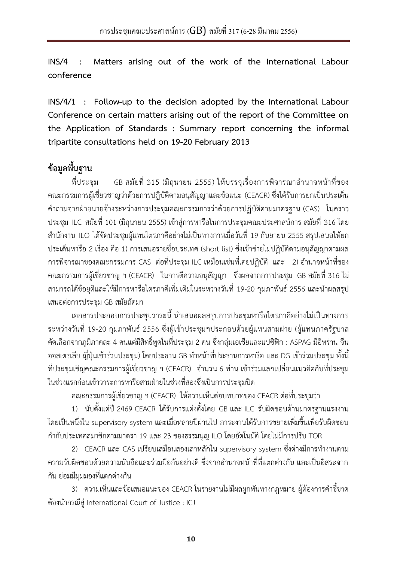<span id="page-9-0"></span>**INS/4 : Matters arising out of the work of the International Labour conference**

**INS/4/1 : Follow-up to the decision adopted by the International Labour Conference on certain matters arising out of the report of the Committee on the Application of Standards : Summary report concerning the informal tripartite consultations held on 19-20 February 2013**

## **ข้อมูลพื้นฐาน**

ที่ประชุม GB สมัยที่ 315 (มิถุนายน 2555) ให้บรรจุเรื่องการพิจารณาอำนาจหน้าที่ของ คณะกรรมการผู้เชี่ยวชาญว่าด้วยการปฏิบัติตามอนุสัญญาและข้อแนะ (CEACR) ซึ่งได้รับการยกเป็นประเด็น ค าถามจากฝ่ายนายจ้างระหว่างการประชุมคณะกรรมการว่าด้วยการปฏิบัติตามมาตรฐาน (CAS) ในคราว ประชุม ILC สมัยที่ 101 (มิถุนายน 2555) เข้าสู่การหารือในการประชุมคณะประศาสน์การ สมัยที่ 316 โดย ส านักงาน ILO ได้จัดประชุมผู้แทนไตรภาคีอย่างไม่เป็นทางการเมื่อวันที่ 19 กันยายน 2555 สรุปเสนอให้ยก ประเด็นหารือ 2 เรื่อง คือ 1) การเสนอรายชื่อประเทศ (short list) ซึ่งเข้าข่ายไม่ปฏิบัติตามอนุสัญญาตามผล การพิจารณาของคณะกรรมการ CAS ต่อที่ประชุม ILC เหมือนเช่นที่เคยปฏิบัติ และ 2) อำนาจหน้าที่ของ คณะกรรมการผู้เชี่ยวชาญ ฯ (CEACR) ในการตีความอนุสัญญา ซึ่งผลจากการประชุม GB สมัยที่ 316 ไม่ ี สามารถได้ข้อยุติและให้มีการหารือไตรภาคีเพิ่มเติมในระหว่างวันที่ 19-20 กุมภาพันธ์ 2556 และนำผลสรุป เสนอต่อการประชุม GB สมัยถัดมา

เอกสารประกอบการประชุมวาระนี้ นำเสนอผลสรุปการประชุมหารือไตรภาคีอย่างไม่เป็นทางการ ระหว่างวันที่ 19-20 กุมภาพันธ์ 2556 ซึ่งผู้เข้าประชุมฯประกอบด้วยผู้แทนสามฝ่าย (ผู้แทนภาครัฐบาล คัดเลือกจากภูมิภาคละ 4 คนแต่มีสิทธิ์พูดในที่ประชุม 2 คน ซึ่งกลุ่มเอเชียและแปซิฟิก : ASPAG มีอิหร่าน จีน ื ออสเตรเลีย ญี่ปุ่นเข้าร่วมประชุม) โดยประธาน GB ทำหน้าที่ประธานการหารือ และ DG เข้าร่วมประชุม ทั้งนี้ ี ที่ประชุมเชิญคณะกรรมการผู้เชี่ยวชาญ ฯ (CEACR) จำนวน 6 ท่าน เข้าร่วมแลกเปลี่ยนแนวคิดกับที่ประชุม ในช่วงแรกก่อนเข้าวาระการหารือสามฝ่ายในช่วงที่สองซึ่งเป็นการประชุมปิด

คณะกรรมการผู้เชี่ยวชาญ ฯ (CEACR) ให้ความเห็นต่อบทบาทของ CEACR ต่อที่ประชุมว่า

1) นับตั้งแต่ปี 2469 CEACR ได้รับการแต่งตั้งโดย GB และ ILC รับผิดชอบด้านมาตรฐานแรงงาน โดยเป็นหนึ่งใน supervisory system และเมื่อหลายปีผ่านไป ภาระงานได้รับการขยายเพิ่มขึ้นเพื่อรับผิดชอบ ก ากับประเทศสมาชิกตามมาตรา 19 และ 23 ของธรรมนูญ ILO โดยอัตโนมัติ โดยไม่มีการปรับ TOR

2) CEACR และ CAS เปรียบเสมือนสองเสาหลักใน supervisory system ซึ่งต่างมีการทำงานตาม ้ ความรับผิดชอบด้วยความนับถือและร่วมมือกันอย่างดี ซึ่งจากอำนาจหน้าที่ที่แตกต่างกัน และเป็นอิสระจาก กัน ย่อมมีมุมมองที่แตกต่างกัน

3) ความเห็นและข้อเสนอแนะของ CEACR ในรายงานไม่มีผลผูกพันทางกฎหมาย ผู้ต้องการคำชี้ขาด ต้องน ากรณีสู่ International Court of Justice : ICJ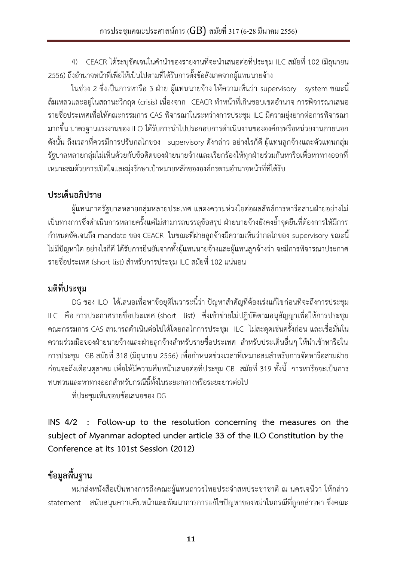<span id="page-10-0"></span>4) CEACR ได้ระบุชัดเจนในคำนำของรายงานที่จะนำเสนอต่อที่ประชุม ILC สมัยที่ 102 (มิถุนายน 2556) ถึงอำนาจหน้าที่เพื่อให้เป็นไปตามที่ได้รับการตั้งข้อสังเกตจากผู้แทนนายจ้าง

ในช่วง 2 ซึ่งเป็นการหารือ 3 ฝ่าย ผู้แทนนายจ้าง ให้ความเห็นว่า supervisory system ขณะนี้ ้ล้มเหลวและอยู่ในสถานะวิกฤต (crisis) เนื่องจาก CEACR ทำหน้าที่เกินขอบเขตอำนาจ การพิจารณาเสนอ รายชื่อประเทศเพื่อให้คณะกรรมการ CAS พิจารณาในระหว่างการประชุม ILC มีความยุ่งยากต่อการพิจารณา ่ มากขึ้น มาตรฐานแรงงานของ ILO ได้รับการนำไปประกอบการดำเนินงานขององค์กรหรือหน่วยงานภายนอก ดังนั้น ถึงเวลาที่ควรมีการปรับกลไกของ supervisory ดังกล่าว อย่างไรก็ดี ผู้แทนลูกจ้างและตัวแทนกลุ่ม รัฐบาลหลายกลุ่มไม่เห็นด้วยกับข้อคิดของฝ่ายนายจ้างและเรียกร้องให้ทุกฝ่ายร่วมกันหารือเพื่อหาทางออกที่ เหมาะสมด้วยการเปิดใจและมุ่งรักษาเป้าหมายหลักขององค์กรตามอำนาจหน้าที่ที่ได้รับ

## **ประเด็นอภิปราย**

ผู้แทนภาครัฐบาลหลายกลุ่มหลายประเทศ แสดงความห่วงใยต่อผลลัพธ์การหารือสามฝ่ายอย่างไม่ เป็นทางการซึ่งดำเนินการหลายครั้งแต่ไม่สามารถบรรลุข้อสรุป ฝ่ายนายจ้างยังคงย้ำจุดยืนที่ต้องการให้มีการ ก าหนดชัดเจนถึง mandate ของ CEACR ในขณะที่ฝ่ายลูกจ้างมีความเห็นว่ากลไกของ supervisory ขณะนี้ ไม่มีปัญหาใด อย่างไรก็ดี ได้รับการยืนยันจากทั้งผู้แทนนายจ้างและผู้แทนลูกจ้างว่า จะมีการพิจารณาประกาศ รายชื่อประเทศ (short list) สำหรับการประชุม ILC สมัยที่ 102 แน่นอน

# **มติที่ประชุม**

DG ของ ILO ได้เสนอเพื่อหาข้อยุติในวาระนี้ว่า ปัญหาส าคัญที่ต้องเร่งแก้ไขก่อนที่จะถึงการประชุม ILC คือ การประกาศรายชื่อประเทศ (short list) ซึ่งเข้าข่ายไม่ปฏิบัติตามอนุสัญญาเพื่อให้การประชุม คณะกรรมการ CAS สามารถด าเนินต่อไปได้โดยกลไกการประชุม ILC ไม่สะดุดเช่นครั้งก่อน และเชื่อมั่นใน ้ความร่วมมือของฝ่ายนายจ้างและฝ่ายลูกจ้างสำหรับรายชื่อประเทศ สำหรับประเด็นอื่นๆ ให้นำเข้าหารือใน ี การประชุม GB สมัยที่ 318 (มิถุนายน 2556) เพื่อกำหนดช่วงเวลาที่เหมาะสมสำหรับการจัดหารือสามฝ่าย ก่อนจะถึงเดือนตุลาคม เพื่อให้มีความคืบหน้าเสนอต่อที่ประชุม GB สมัยที่ 319 ทั้งนี้ การหารือจะเป็นการ ทบทวนและหาทางออกส าหรับกรณีนี้ทั้งในระยะกลางหรือระยะยาวต่อไป

ที่ประชุมเห็นชอบข้อเสนอของ DG

**INS 4/2 : Follow-up to the resolution concerning the measures on the subject of Myanmar adopted under article 33 of the ILO Constitution by the Conference at its 101st Session (2012)**

# **ข้อมูลพื้นฐาน**

พม่าส่งหนังสือเป็นทางการถึงคณะผู้แทนถาวรไทยประจ าสหประชาชาติ ณ นครเจนีวา ให้กล่าว statement สนับสนุนความคืบหน้าและพัฒนาการการแก้ไขปัญหาของพม่าในกรณีที่ถูกกล่าวหา ซึ่งคณะ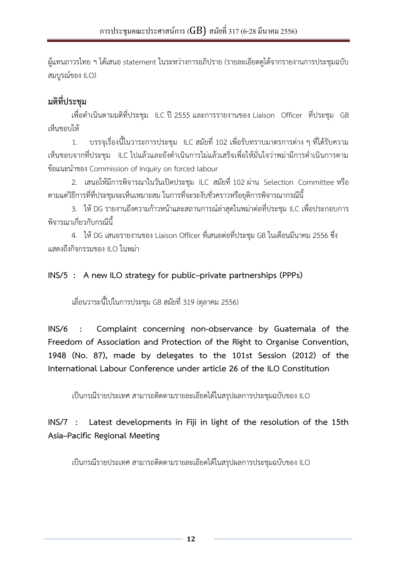<span id="page-11-0"></span>ผู้แทนถาวรไทย ฯ ได้เสนอ statement ในระหว่างการอภิปราย (รายละเอียดดูได้จากรายงานการประชุมฉบับ สมบูรณ์ของ ILO)

# **มติที่ประชุม**

เพื่อดำเนินตามมติที่ประชุม ILC ปี 2555 และการรายงานของ Liaison Officer ที่ประชุม GB เห็นชอบให้

1. บรรจุเรื่องนี้ในวาระการประชุม ILC สมัยที่ 102 เพื่อรับทราบมาตรการต่าง ๆ ที่ได้รับความ เห็นชอบจากที่ประชุม ILC ไปแล้วและยังดำเนินการไม่แล้วเสร็จเพื่อให้มั่นใจว่าพม่ามีการดำเนินการตาม ข้อแนะนำของ Commission of Inquiry on forced labour

2. เสนอให้มีการพิจารณาในวันเปิดประชุม ILC สมัยที่ 102 ผ่าน Selection Committee หรือ ตามแต่วิธีการที่ที่ประชุมจะเห็นเหมาะสม ในการที่จะระงับชั่วคราวหรือยุติการพิจารณากรณีนี้

3. ให้DG รายงานถึงความก้าวหน้าและสถานการณ์ล่าสุดในพม่าต่อที่ประชุม ILC เพื่อประกอบการ พิจารณาเกี่ยวกับกรณีนี้

4. ให้DG เสนอรายงานของ Liaison Officer ที่เสนอต่อที่ประชุม GB ในเดือนมีนาคม 2556 ซึ่ง แสดงถึงกิจกรรมของ ILO ในพม่า

### **INS/5 : A new ILO strategy for public–private partnerships (PPPs)**

เลื่อนวาระนี้ไปในการประชุม GB สมัยที่ 319 (ตุลาคม 2556)

**INS/6 : Complaint concerning non-observance by Guatemala of the Freedom of Association and Protection of the Right to Organise Convention, 1948 (No. 87), made by delegates to the 101st Session (2012) of the International Labour Conference under article 26 of the ILO Constitution**

เป็นกรณีรายประเทศ สามารถติดตามรายละเอียดได้ในสรุปผลการประชุมฉบับของ ILO

### **INS/7 : Latest developments in Fiji in light of the resolution of the 15th Asia–Pacific Regional Meeting**

เป็นกรณีรายประเทศ สามารถติดตามรายละเอียดได้ในสรุปผลการประชุมฉบับของ ILO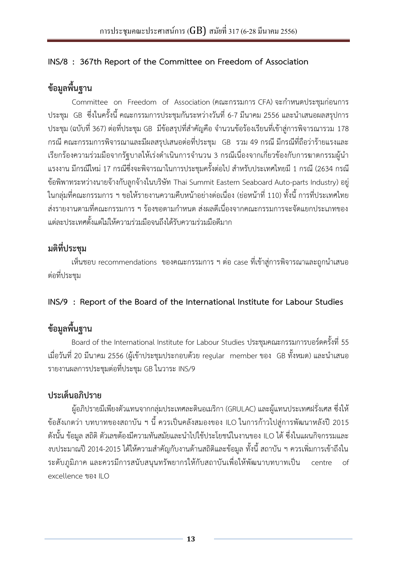### <span id="page-12-0"></span>**INS/8 : 367th Report of the Committee on Freedom of Association**

# **ข้อมูลพื้นฐาน**

Committee on Freedom of Association (คณะกรรมการ CFA) จะกำหนดประชุมก่อนการ ประชุม GB ซึ่งในครั้งนี้ คณะกรรมการประชุมกันระหว่างวันที่ 6-7 มีนาคม 2556 และนำเสนอผลสรุปการ ประชุม (ฉบับที่ 367) ต่อที่ประชุม GB มีข้อสรุปที่สำคัญคือ จำนวนข้อร้องเรียนที่เข้าสู่การพิจารณารวม 178 กรณี คณะกรรมการพิจารณาและมีผลสรุปเสนอต่อที่ประชุม GB รวม 49 กรณี มีกรณีที่ถือว่าร้ายแรงและ เรียกร้องความร่วมมือจากรัฐบาลให้เร่งดำเนินการจำนวน 3 กรณีเนื่องจากเกี่ยวข้องกับการฆาตกรรมผู้นำ แรงงาน มีกรณีใหม่ 17 กรณีซึ่งจะพิจารณาในการประชุมครั้งต่อไป สำหรับประเทศไทยมี 1 กรณี (2634 กรณี ข้อพิพาทระหว่างนายจ้างกับลูกจ้างในบริษัท Thai Summit Eastern Seaboard Auto-parts Industry) อยู่ ในกลุ่มที่คณะกรรมการ ฯ ขอให้รายงานความคืบหน้าอย่างต่อเนื่อง (ย่อหน้าที่ 110) ทั้งนี้ การที่ประเทศไทย ้ส่งรายงานตามที่คณะกรรมการ ฯ ร้องขอตามกำหนด ส่งผลดีเนื่องจากคณะกรรมการจะจัดแยกประเภทของ แต่ละประเทศตั้งแต่ไม่ให้ความร่วมมือจนถึงได้รับความร่วมมือดีมาก

## **มติที่ประชุม**

เห็นชอบ recommendations ของคณะกรรมการ ฯ ต่อ case ที่เข้าสู่การพิจารณาและถูกนำเสนอ ต่อที่ประชุม

### **INS/9 : Report of the Board of the International Institute for Labour Studies**

# **ข้อมูลพื้นฐาน**

Board of the International Institute for Labour Studies ประชุมคณะกรรมการบอร์ดครั้งที่ 55 เมื่อวันที่ 20 มีนาคม 2556 (ผู้เข้าประชุมประกอบด้วย regular member ของ GB ทั้งหมด) และนำเสนอ รายงานผลการประชุมต่อที่ประชุม GB ในวาระ INS/9

### **ประเด็นอภิปราย**

ผู้อภิปรายมีเพียงตัวแทนจากกลุ่มประเทศละตินอเมริกา (GRULAC) และผู้แทนประเทศฝรั่งเศส ซึ่งให้ ข้อสังเกตว่า บทบาทของสถาบัน ฯ นี้ ควรเป็นคลังสมองของ ILO ในการก้าวไปสู่การพัฒนาหลังปี 2015 ์ ดังนั้น ข้อมูล สถิติ ตัวเลขต้องมีความทันสมัยและนำไปใช้ประโยชน์ในงานของ ILO ได้ ซึ่งในแผนกิจกรรมและ ึ่งบประมาณปี 2014-2015 ได้ให้ความสำคัญกับงานด้านสถิติและข้อมูล ทั้งนี้ สถาบัน ฯ ควรเพิ่มการเข้าถึงใน ระดับภูมิภาค และควรมีการสนับสนุนทรัพยากรให้กับสถาบันเพื่อให้พัฒนาบทบาทเป็น centre of excellence ของ ILO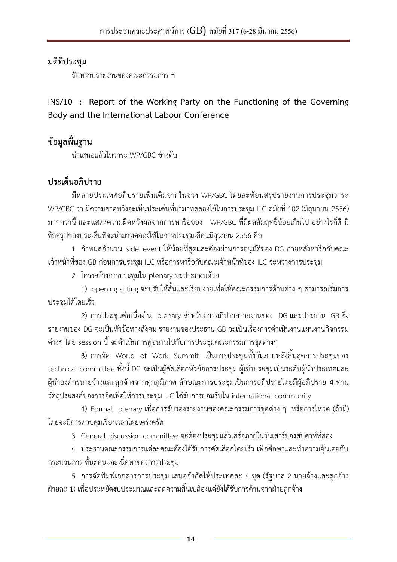<span id="page-13-0"></span>รับทราบรายงานของคณะกรรมการ ฯ

**INS/10 : Report of the Working Party on the Functioning of the Governing Body and the International Labour Conference**

**ข้อมูลพื้นฐาน**

นำเสนอแล้วในวาระ WP/GBC ข้างต้น

### **ประเด็นอภิปราย**

มีหลายประเทศอภิปรายเพิ่มเติมจากในช่วง WP/GBC โดยสะท้อนสรุปรายงานการประชุมวาระ WP/GBC ว่า มีความคาดหวังจะเห็นประเด็นที่นำมาทดลองใช้ในการประชุม ILC สมัยที่ 102 (มิถุนายน 2556) มากกว่านี้ และแสดงความผิดหวังผลจากการหารือของ WP/GBC ที่มีผลสัมฤทธิ์น้อยเกินไป อย่างไรก็ดี มี ่ ข้อสรุปของประเด็นที่จะนำมาทดลองใช้ในการประชุมเดือนมิถุนายน 2556 คือ

1 กำหนดจำนวน side event ให้น้อยที่สุดและต้องผ่านการอนุมัติของ DG ภายหลังหารือกับคณะ เจ้าหน้าที่ของ GB ก่อนการประชุม ILC หรือการหารือกับคณะเจ้าหน้าที่ของ ILC ระหว่างการประชุม

2 โครงสร้างการประชุมใน plenary จะประกอบด้วย

1) opening sitting จะปรับให้สั้นและเรียบง่ายเพื่อให้คณะกรรมการด้านต่าง ๆ สามารถเริ่มการ ประชุมได้โดยเร็ว

2) การประชุมต่อเนื่องใน plenary สำหรับการอภิปรายรายงานของ DG และประธาน GB ซึ่ง ี รายงานของ DG จะเป็นหัวข้อทางสังคม รายงานของประธาน GB จะเป็นเรื่องการดำเนินงานแผนงานกิจกรรม ์ ต่างๆ โดย session นี้ จะดำเนินการคู่ขนานไปกับการประชุมคณะกรรมการชุดต่างๆ

3) การจัด World of Work Summit เป็นการประชุมทั้งวันภายหลังสิ้นสุดการประชุมของ technical committee ทั้งนี้ DG จะเป็นผู้คัดเลือกหัวข้อการประชุม ผู้เข้าประชุมเป็นระดับผู้นำประเทศและ ผู้นำองค์กรนายจ้างและลูกจ้างจากทุกภูมิภาค ลักษณะการประชุมเป็นการอภิปรายโดยมีผู้อภิปราย 4 ท่าน วัตถุประสงค์ของการจัดเพื่อให้การประชุม ILC ได้รับการยอมรับใน international community

4) Formal plenary เพื่อการรับรองรายงานของคณะกรรมการชุดต่าง ๆ หรือการโหวต (ถ้ามี) โดยจะมีการควบคุมเรื่องเวลาโดยเคร่งครัด

3 General discussion committee จะต้องประชุมแล้วเสร็จภายในวันเสาร์ของสัปดาห์ที่สอง

4 ประธานคณะกรรมการแต่ละคณะต้องได้รับการคัดเลือกโดยเร็ว เพื่อศึกษาและทำความคุ้นเคยกับ กระบวนการ ขั้นตอนและเนื้อหาของการประชุม

5 การจัดพิมพ์เอกสารการประชุม เสนอจำกัดให้ประเทศละ 4 ชุด (รัฐบาล 2 นายจ้างและลูกจ้าง ฝ่ายละ 1) เพื่อประหยัดงบประมาณและลดความสิ้นเปลืองแต่ยังได้รับการค้านจากฝ่ายลูกจ้าง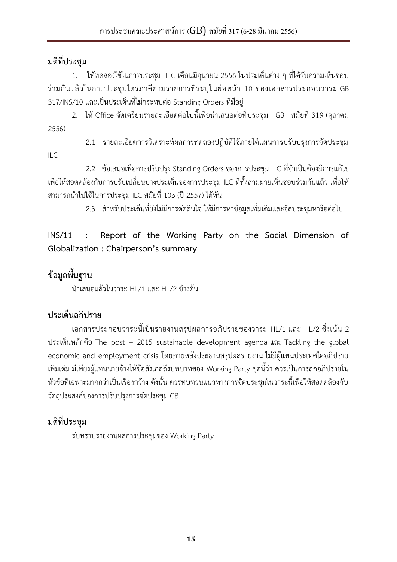ILC

<span id="page-14-0"></span>1. ให้ทดลองใช้ในการประชุม ILC เดือนมิถุนายน 2556 ในประเด็นต่าง ๆ ที่ได้รับความเห็นชอบ ร่วมกันแล้วในการประชุมไตรภาคีตามรายการที่ระบุในย่อหน้า 10 ของเอกสารประกอบวาระ GB 317/INS/10 และเป็นประเด็นที่ไม่กระทบต่อ Standing Orders ที่มีอยู่

2. ให้ Office จัดเตรียมรายละเอียดต่อไปนี้เพื่อนำเสนอต่อที่ประชุม GB สมัยที่ 319 (ตุลาคม 2556)

2.1 รายละเอียดการวิเคราะห์ผลการทดลองปฏิบัติใช้ภายใต้แผนการปรับปรุงการจัดประชุม

2.2 ข้อเสนอเพื่อการปรับปรุง Standing Orders ของการประชุม ILC ที่จำเป็นต้องมีการแก้ไข เพื่อให้สอดคล้องกับการปรับเปลี่ยนบางประเด็นของการประชุม ILC ที่ทั้งสามฝ่ายเห็นชอบร่วมกันแล้ว เพื่อให้ สามารถนำไปใช้ในการประชุม ILC สมัยที่ 103 (ปี 2557) ได้ทัน

2.3 สำหรับประเด็นที่ยังไม่มีการตัดสินใจ ให้มีการหาข้อมลเพิ่มเติมและจัดประชุมหารือต่อไป

## **INS/11 : Report of the Working Party on the Social Dimension of Globalization : Chairperson's summary**

# **ข้อมูลพื้นฐาน**

นำเสนอแล้วในวาระ HL/1 และ HL/2 ข้างต้น

# **ประเด็นอภิปราย**

เอกสารประกอบวาระนี้เป็นรายงานสรุปผลการอภิปรายของวาระ HL/1 และ HL/2 ซึ่งเน้น 2 ประเด็นหลักคือ The post – 2015 sustainable development agenda และ Tackling the global economic and employment crisis โดยภายหลังประธานสรุปผลรายงาน ไม่มีผู้แทนประเทศใดอภิปราย เพิ่มเติม มีเพียงผู้แทนนายจ้างให้ข้อสังเกตถึงบทบาทของ Working Party ชุดนี้ว่า ควรเป็นการถกอภิปรายใน หัวข้อที่เฉพาะมากกว่าเป็นเรื่องกว้าง ดังนั้น ควรทบทวนแนวทางการจัดประชุมในวาระนี้เพื่อให้สอดคล้องกับ วัตถุประสงค์ของการปรับปรุงการจัดประชุม GB

# **มติที่ประชุม**

รับทราบรายงานผลการประชุมของ Working Party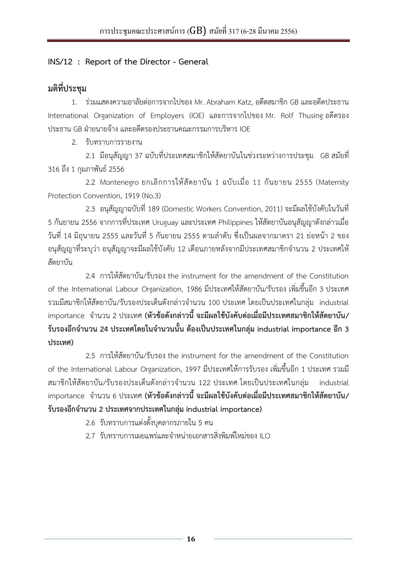#### <span id="page-15-0"></span>**INS/12 : Report of the Director - General**

### **มติที่ประชุม**

1. ร่วมแสดงความอาลัยต่อการจากไปของ Mr. Abraham Katz, อดีตสมาชิก GB และอดีตประธาน International Organization of Employers (IOE) และการจากไปของ Mr. Rolf Thusing อดีตรอง ประธาน GB ฝ่ายนายจ้าง และอดีตรองประธานคณะกรรมการบริหาร IOE

2. รับทราบการรายงาน

 2.1 มีอนุสัญญา 37 ฉบับที่ประเทศสมาชิกให้สัตยาบันในช่วงระหว่างการประชุม GB สมัยที่ 316 ถึง 1 กุมภาพันธ์ 2556

 2.2 Montenegro ยกเลิกการให้สัตยาบัน 1 ฉบับเมื่อ 11 กันยายน 2555 (Maternity Protection Convention, 1919 (No.3)

2.3 อนุสัญญาฉบับที่ 189 (Domestic Workers Convention, 2011) จะมีผลใช้บังคับในวันที่ 5 กันยายน 2556 จากการที่ประเทศ Uruguay และประเทศ Philippines ให้สัตยาบันอนุสัญญาดังกล่าวเมื่อ ้วันที่ 14 มิถุนายน 2555 และวันที่ 5 กันยายน 2555 ตามลำดับ ซึ่งเป็นผลจากมาตรา 21 ย่อหน้า 2 ของ ้อนุสัญญาที่ระบุว่า อนุสัญญาจะมีผลใช้บังคับ 12 เดือนภายหลังจากมีประเทศสมาชิกจำนวน 2 ประเทศให้ สัตยาบัน

 2.4 การให้สัตยาบัน/รับรอง the instrument for the amendment of the Constitution of the International Labour Organization, 1986 มีประเทศให้สัตยาบัน/รับรอง เพิ่มขึ้นอีก 3 ประเทศ รวมมีสมาชิกให้สัตยาบัน/รับรองประเด็นดังกล่าวจำนวน 100 ประเทศ โดยเป็นประเทศในกลุ่ม industrial importance จ านวน 2 ประเทศ **(หัวข้อดังกล่าวนี้ จะมีผลใช้บังคับต่อเมื่อมีประเทศสมาชิกให้สัตยาบัน/ รับรองอีกจ านวน 24 ประเทศโดยในจ านวนนั้น ต้องเป็นประเทศในกลุ่ม industrial importance อีก 3 ประเทศ)**

 2.5 การให้สัตยาบัน/รับรอง the instrument for the amendment of the Constitution of the International Labour Organization, 1997 มีประเทศให้การรับรอง เพิ่มขึ้นอีก 1 ประเทศ รวมมี สมาชิกให้สัตยาบัน/รับรองประเด็นดังกล่าวจำนวน 122 ประเทศ โดยเป็นประเทศในกลุ่ม industrial importance จ านวน 6 ประเทศ **(หัวข้อดังกล่าวนี้ จะมีผลใช้บังคับต่อเมื่อมีประเทศสมาชิกให้สัตยาบัน/ รับรองอีกจ านวน 2 ประเทศจากประเทศในกลุ่ม industrial importance)**

- 2.6 รับทราบการแต่งตั้งบุคลากรภายใน 5 คน
- 2.7 รับทราบการเผยแพร่และจำหน่ายเอกสารสิ่งพิมพ์ใหม่ของ ILO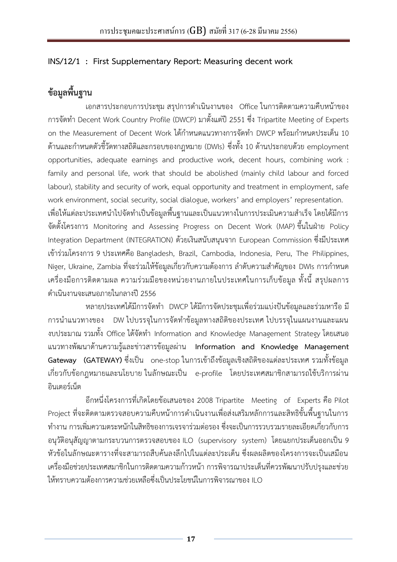#### <span id="page-16-0"></span>**INS/12/1 : First Supplementary Report: Measuring decent work**

## **ข้อมูลพื้นฐาน**

เอกสารประกอบการประชุม สรุปการดำเนินงานของ Office ในการติดตามความคืบหน้าของ การจัดท า Decent Work Country Profile (DWCP) มาตั้งแต่ปี 2551 ซึ่ง Tripartite Meeting of Experts on the Measurement of Decent Work ได้กำหนดแนวทางการจัดทำ DWCP พร้อมกำหนดประเด็น 10 ด้านและกำหนดตัวชี้วัดทางสถิติและกรอบของกฎหมาย (DWIs) ซึ่งทั้ง 10 ด้านประกอบด้วย employment opportunities, adequate earnings and productive work, decent hours, combining work : family and personal life, work that should be abolished (mainly child labour and forced labour), stability and security of work, equal opportunity and treatment in employment, safe work environment, social security, social dialogue, workers' and employers' representation. ่ เพื่อให้แต่ละประเทศนำไปจัดทำเป็นข้อมูลพื้นฐานและเป็นแนวทางในการประเมินความสำเร็จ โดยได้มีการ จัดตั้งโครงการ Monitoring and Assessing Progress on Decent Work (MAP) ขึ้นในฝ่าย Policy Integration Department (INTEGRATION) ด้วยเงินสนับสนุนจาก European Commission ซึ่งมีประเทศ เข้าร่วมโครงการ 9 ประเทศคือ Bangladesh, Brazil, Cambodia, Indonesia, Peru, The Philippines, Niger, Ukraine, Zambia ที่จะร่วมให้ข้อมูลเกี่ยวกับความต้องการ ลำดับความสำคัญของ DWIs การกำหนด เครื่องมือการติดตามผล ความร่วมมือของหน่วยงานภายในประเทศในการเก็บข้อมูล ทั้งนี้ สรุปผลการ ด าเนินงานจะเสนอภายในกลางปี 2556

หลายประเทศได้มีการจัดทำ DWCP ได้มีการจัดประชุมเพื่อร่วมแบ่งปันข้อมูลและร่วมหารือ มี การนำแนวทางของ DW ไปบรรจุในการจัดทำข้อมูลทางสถิติของประเทศ ไปบรรจุในแผนงานและแผน งบประมาณ รวมทั้ง Office ได้จัดทำ Information and Knowledge Management Strategy โดยเสนอ แนวทางพัฒนาด้านความรู้และข่าวสารข้อมูลผ่าน **Information and Knowledge Management Gateway (GATEWAY)** ซึ่งเป็น one-stop ในการเข้าถึงข้อมูลเชิงสถิติของแต่ละประเทศ รวมทั้งข้อมูล เกี่ยวกับข้อกฎหมายและนโยบาย ในลักษณะเป็น e-profile โดยประเทศสมาชิกสามารถใช้บริการผ่าน อินเตอร์เน็ต

อีกหนึ่งโครงการที่เกิดโดยข้อเสนอของ 2008 Tripartite Meeting of Experts คือ Pilot Project ที่จะติดตามตรวจสอบความคืบหน้าการดำเนินงานเพื่อส่งเสริมหลักการและสิทธิขั้นพื้นฐานในการ ท างาน การเพิ่มความตระหนักในสิทธิของการเจรจาร่วมต่อรอง ซึ่งจะเป็นการรวบรวมรายละเอียดเกี่ยวกับการ อนุวัติอนุสัญญาตามกระบวนการตรวจสอบของ ILO (supervisory system) โดยแยกประเด็นออกเป็น 9 หัวข้อในลักษณะตารางที่จะสามารถสืบค้นลงลึกไปในแต่ละประเด็น ซึ่งผลผลิตของโครงการจะเป็นเสมือน เครื่องมือช่วยประเทศสมาชิกในการติดตามความก้าวหน้า การพิจารณาประเด็นที่ควรพัฒนาปรับปรุงและช่วย ให้ทราบความต้องการความช่วยเหลือซึ่งเป็นประโยชน์ในการพิจารณาของ ILO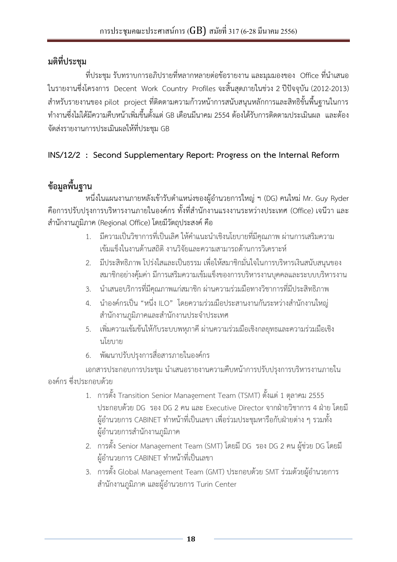<span id="page-17-0"></span>ี ที่ประชุม รับทราบการอภิปรายที่หลากหลายต่อข้อรายงาน และมุมมองของ Office ที่นำเสนอ ในรายงานซึ่งโครงการ Decent Work Country Profiles จะสิ้นสุดภายในช่วง 2 ปีปัจจุบัน (2012-2013) ส าหรับรายงานของ pilot project ที่ติดตามความก้าวหน้าการสนับสนุนหลักการและสิทธิขั้นพื้นฐานในการ ท างานซึ่งไม่ได้มีความคืบหน้าเพิ่มขึ้นตั้งแต่ GB เดือนมีนาคม 2554 ต้องได้รับการติดตามประเมินผล และต้อง จัดส่งรายงานการประเมินผลให้ที่ประชุม GB

### **INS/12/2 : Second Supplementary Report: Progress on the Internal Reform**

# **ข้อมูลพื้นฐาน**

หนึ่งในแผนงานภายหลังเข้ารับตำแหน่งของผู้อำนวยการใหญ่ ๆ (DG) คนใหม่ Mr. Guy Ryder ์ คือการปรับปรุงการบริหารงานภายในองค์กร ทั้งที่สำนักงานแรงงานระหว่างประเทศ (Office) เจนีวา และ ส านักงานภูมิภาค (Regional Office) โดยมีวัตถุประสงค์ คือ

- 1. มีความเป็นวิชาการที่เป็นเลิศ ให้คำแนะนำเชิงนโยบายที่มีคุณภาพ ผ่านการเสริมความ เข้มแข็งในงานด้านสถิติ งานวิจัยและความสามารถด้านการวิเคราะห์
- 2. มีประสิทธิภาพ โปร่งใสและเป็นธรรม เพื่อให้สมาชิกมั่นใจในการบริหารเงินสนับสนุนของ สมาชิกอย่างคุ้มค่า มีการเสริมความเข้มแข็งของการบริหารงานบุคคลและระบบบริหารงาน
- 3. น าเสนอบริการที่มีคุณภาพแก่สมาชิก ผ่านความร่วมมือทางวิชาการที่มีประสิทธิภาพ
- 4. นำองค์กรเป็น "หนึ่ง ILO" โดยความร่วมมือประสานงานกันระหว่างสำนักงานใหญ่ ส านักงานภูมิภาคและส านักงานประจ าประเทศ
- 5. เพิ่มความเข้มข้นให้กับระบบพหุภาคี ผ่านความร่วมมือเชิงกลยุทธและความร่วมมือเชิง นโยบาย
- 6. พัฒนาปรับปรุงการสื่อสารภายในองค์กร

เอกสารประกอบการประชุม นำเสนอรายงานความคืบหน้าการปรับปรุงการบริหารงานภายใน องค์กร ซึ่งประกอบด้วย

- 1. การตั้ง Transition Senior Management Team (TSMT) ตั้งแต่ 1 ตุลาคม 2555 ประกอบด้วย DG รอง DG 2 คน และ Executive Director จากฝ่ายวิชาการ 4 ฝ่าย โดยมี ผู้อำนวยการ CABINET ทำหน้าที่เป็นเลขา เพื่อร่วมประชุมหารือกับฝ่ายต่าง ๆ รวมทั้ง ผู้อำนวยการสำนักงานภูมิภาค
- 2. การตั้ง Senior Management Team (SMT) โดยมี DG รอง DG 2 คน ผู้ช่วย DG โดยมี ผู้อำนวยการ CABINET ทำหน้าที่เป็นเลขา
- 3. การตั้ง Global Management Team (GMT) ประกอบด้วย SMT ร่วมด้วยผู้อำนวยการ สำนักงานภูมิภาค และผู้อำนวยการ Turin Center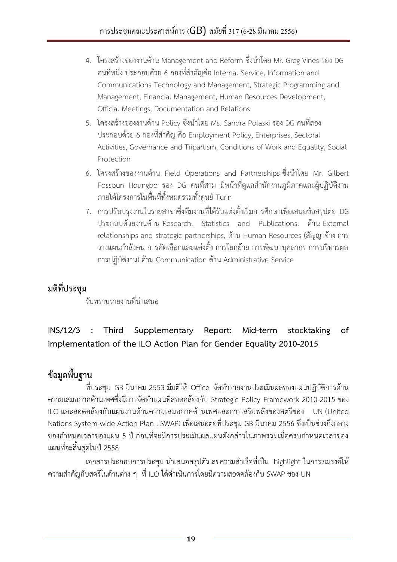- <span id="page-18-0"></span>4. โครงสร้างของงานด้าน Management and Reform ซึ่งนำโดย Mr. Greg Vines รอง DG คนที่หนึ่ง ประกอบด้วย 6 กองที่สำคัญคือ Internal Service, Information and Communications Technology and Management, Strategic Programming and Management, Financial Management, Human Resources Development, Official Meetings, Documentation and Relations
- 5. โครงสร้างของงานด้าน Policy ซึ่งนำโดย Ms. Sandra Polaski รอง DG คนที่สอง ประกอบด้วย 6 กองที่สำคัญ คือ Employment Policy, Enterprises, Sectoral Activities, Governance and Tripartism, Conditions of Work and Equality, Social Protection
- 6. โครงสร้างของงานด้าน Field Operations and Partnerships ซึ่งนำโดย Mr. Gilbert Fossoun Houngbo รอง DG คนที่สาม มีหน้าที่ดูแลสำนักงานภูมิภาคและผู้ปฏิบัติงาน ภายใต้โครงการในพื้นที่ทั้งหมดรวมทั้งศูนย์ Turin
- 7. การปรับปรุงงานในรายสาขาซึ่งทีมงานที่ได้รับแต่งตั้งเริ่มการศึกษาเพื่อเสนอข้อสรุปต่อ DG ประกอบด้วยงานด้าน Research, Statistics and Publications, ด้าน External relationships and strategic partnerships, ด้าน Human Resources (สัญญาจ้าง การ ้วางแผนกำลังคน การคัดเลือกและแต่งตั้ง การโยกย้าย การพัฒนาบุคลากร การบริหารผล การปฏิบัติงาน) ด้าน Communication ด้าน Administrative Service

รับทราบรายงานที่นำเสนอ

## **INS/12/3 : Third Supplementary Report: Mid-term stocktaking of implementation of the ILO Action Plan for Gender Equality 2010-2015**

# **ข้อมูลพื้นฐาน**

ที่ประชุม GB มีนาคม 2553 มีมติให้ Office จัดทำรายงานประเมินผลของแผนปฏิบัติการด้าน ความเสมอภาคด้านเพศซึ่งมีการจัดท าแผนที่สอดคล้องกับ Strategic Policy Framework 2010-2015 ของ ILO และสอดคล้องกับแผนงานด้านความเสมอภาคด้านเพศและการเสริมพลังของสตรีของ UN (United Nations System-wide Action Plan : SWAP) เพื่อเสนอต่อที่ประชุม GB มีนาคม 2556 ซึ่งเป็นช่วงกึ่งกลาง ี ของกำหนดเวลาของแผน 5 ปี ก่อนที่จะมีการประเมินผลแผนดังกล่าวในภาพรวมเมื่อครบกำหนดเวลาของ แผนที่จะสิ้นสุดในปี 2558

เอกสารประกอบการประชุม นำเสนอสรุปตัวเลขความสำเร็จที่เป็น highlight ในการรณรงค์ให้ ความส าคัญกับสตรีในด้านต่าง ๆ ที่ ILO ได้ด าเนินการโดยมีความสอดคล้องกับ SWAP ของ UN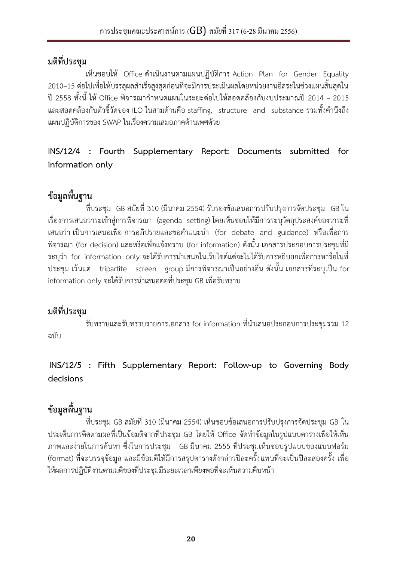<span id="page-19-0"></span>เห็นชอบให้ Office ดำเนินงานตามแผนปฏิบัติการ Action Plan for Gender Equality 2010–15 ต่อไปเพื่อให้บรรลุผลสำเร็จสูงสุดก่อนที่จะมีการประเมินผลโดยหน่วยงานอิสระในช่วงแผนสิ้นสุดใน ปี 2558 ทั้งนี้ ให้ Office พิจารณากำหนดแผนในระยะต่อไปให้สอดคล้องกับงบประมาณปี 2014 – 2015 และสอดคล้องกับตัวชี้วัดของ ILO ในสามด้านคือ staffing, structure and substance รวมทั้งคำนึงถึง แผนปฏิบัติการของ SWAP ในเรื่องความเสมอภาคด้านเพศด้วย

**INS/12/4 : Fourth Supplementary Report: Documents submitted for information only**

# **ข้อมูลพื้นฐาน**

ที่ประชุม GB สมัยที่ 310 (มีนาคม 2554) รับรองข้อเสนอการปรับปรุงการจัดประชุม GB ใน เรื่องการเสนอวาระเข้าสู่การพิจารณา (agenda setting) โดยเห็นชอบให้มีการระบุวัตถุประสงค์ของวาระที่ ี เสนอว่า เป็นการเสนอเพื่อ การอภิปรายและขอคำแนะนำ (for debate and guidance) หรือเพื่อการ พิจารณา (for decision) และหรือเพื่อแจ้งทราบ (for information) ดังนั้น เอกสารประกอบการประชุมที่มี ระบุว่า for information only จะได้รับการนำเสนอในเว็บไซต์แต่จะไม่ได้รับการหยิบยกเพื่อการหารือในที่ ประชุม เว้นแต่ tripartite screen group มีการพิจารณาเป็นอย่างอื่น ดังนั้น เอกสารที่ระบุเป็น for information only จะได้รับการนำเสนอต่อที่ประชุม GB เพื่อรับทราบ

## **มติที่ประชุม**

รับทราบและรับทราบรายการเอกสาร for information ที่นำเสนอประกอบการประชุมรวม 12 ฉบับ

**INS/12/5 : Fifth Supplementary Report: Follow-up to Governing Body decisions**

# **ข้อมูลพื้นฐาน**

ที่ประชุม GB สมัยที่ 310 (มีนาคม 2554) เห็นชอบข้อเสนอการปรับปรุงการจัดประชุม GB ใน ประเด็นการติดตามผลที่เป็นข้อมติจากที่ประชุม GB โดยให้Office จัดท าข้อมูลในรูปแบบตารางเพื่อให้เห็น ภาพและง่ายในการค้นหา ซึ่งในการประชุม GB มีนาคม 2555 ที่ประชุมเห็นชอบรูปแบบของแบบฟอร์ม (format) ที่จะบรรจุข้อมูล และมีข้อมติให้มีการสรุปตารางดังกล่าวปีละครั้งแทนที่จะเป็นปีละสองครั้ง เพื่อ ให้ผลการปฏิบัติงานตามมติของที่ประชุมมีระยะเวลาเพียงพอที่จะเห็นความคืบหน้า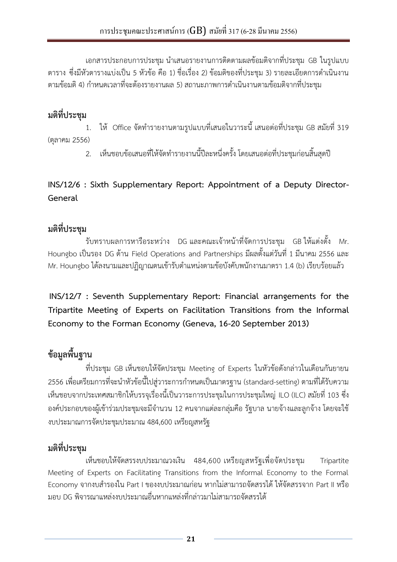<span id="page-20-0"></span>เอกสารประกอบการประชุม นำเสนอรายงานการติดตามผลข้อมติจากที่ประชุม GB ในรูปแบบ ิตาราง ซึ่งมีหัวตารางแบ่งเป็น 5 หัวข้อ คือ 1) ชื่อเรื่อง 2) ข้อมติของที่ประชุม 3) รายละเอียดการดำเนินงาน ้ตามข้อมติ 4) กำหนดเวลาที่จะต้องรายงานผล 5) สถานะภาพการดำเนินงานตามข้อมติจากที่ประชม

## **มติที่ประชุม**

1. ให้ Office จัดท ารายงานตามรูปแบบที่เสนอในวาระนี้ เสนอต่อที่ประชุม GB สมัยที่ 319 (ตุลาคม 2556)

2. เห็นชอบข้อเสนอที่ให้จัดทำรายงานนี้ปีละหนึ่งครั้ง โดยเสนอต่อที่ประชุมก่อนสิ้นสุดปี

### **INS/12/6 : Sixth Supplementary Report: Appointment of a Deputy Director-General**

## **มติที่ประชุม**

รับทราบผลการหารือระหว่าง DG และคณะเจ้าหน้าที่จัดการประชุม GB ให้แต่งตั้ง Mr. Houngbo เป็นรอง DG ด้าน Field Operations and Partnerships มีผลตั้งแต่วันที่ 1 มีนาคม 2556 และ Mr. Houngbo ได้ลงนามและปฏิญาณตนเข้ารับตำแหน่งตามข้อบังคับพนักงานมาตรา 1.4 (b) เรียบร้อยแล้ว

**INS/12/7 : Seventh Supplementary Report: Financial arrangements for the Tripartite Meeting of Experts on Facilitation Transitions from the Informal Economy to the Forman Economy (Geneva, 16-20 September 2013)**

# **ข้อมูลพื้นฐาน**

ที่ประชุม GB เห็นชอบให้จัดประชุม Meeting of Experts ในหัวข้อดังกล่าวในเดือนกันยายน 2556 เพื่อเตรียมการที่จะนำหัวข้อนี้ไปสู่วาระการกำหนดเป็นมาตรฐาน (standard-setting) ตามที่ได้รับความ เห็นชอบจากประเทศสมาชิกให้บรรจุเรื่องนี้เป็นวาระการประชุมในการประชุมใหญ่ ILO (ILC) สมัยที่ 103 ซึ่ง ้องค์ประกอบของผู้เข้าร่วมประชุมจะมีจำนวน 12 คนจากแต่ละกลุ่มคือ รัฐบาล นายจ้างและลูกจ้าง โดยจะใช้ งบประมาณการจัดประชุมประมาณ 484,600 เหรียญสหรัฐ

## **มติที่ประชุม**

เห็นชอบให้จัดสรรงบประมาณวงเงิน 484,600 เหรียญสหรัฐเพื่อจัดประชุม Tripartite Meeting of Experts on Facilitating Transitions from the Informal Economy to the Formal Economy จากงบสำรองใน Part I ของงบประมาณก่อน หากไม่สามารถจัดสรรได้ ให้จัดสรรจาก Part II หรือ มอบ DG พิจารณาแหล่งงบประมาณอื่นหากแหล่งที่กล่าวมาไม่สามารถจัดสรรได้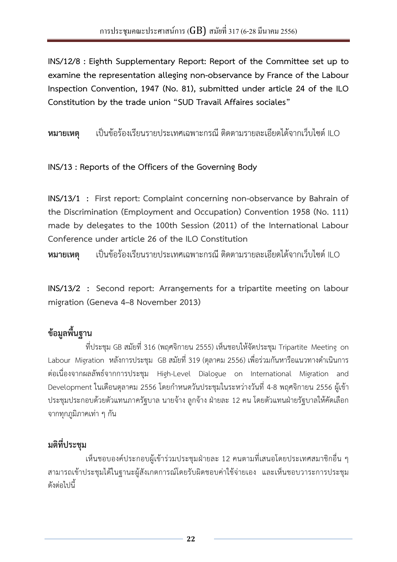<span id="page-21-0"></span>**INS/12/8 : Eighth Supplementary Report: Report of the Committee set up to examine the representation alleging non-observance by France of the Labour Inspection Convention, 1947 (No. 81), submitted under article 24 of the ILO Constitution by the trade union "SUD Travail Affaires sociales"**

**หมายเหตุ** เป็นข้อร้องเรียนรายประเทศเฉพาะกรณี ติดตามรายละเอียดได้จากเว็บไซต์ILO

**INS/13 : Reports of the Officers of the Governing Body**

**INS/13/1 : First report: Complaint concerning non-observance by Bahrain of the Discrimination (Employment and Occupation) Convention 1958 (No. 111) made by delegates to the 100th Session (2011) of the International Labour Conference under article 26 of the ILO Constitution**

**หมายเหตุ** เป็นข้อร้องเรียนรายประเทศเฉพาะกรณี ติดตามรายละเอียดได้จากเว็บไซต์ILO

**INS/13/2 : Second report: Arrangements for a tripartite meeting on labour migration (Geneva 4–8 November 2013)**

## **ข้อมูลพื้นฐาน**

ที่ประชุม GB สมัยที่ 316 (พฤศจิกายน 2555) เห็นชอบให้จัดประชุม Tripartite Meeting on Labour Migration หลังการประชุม GB สมัยที่ 319 (ตุลาคม 2556) เพื่อร่วมกันหารือแนวทางดำเนินการ ต่อเนื่องจากผลลัพธ์จากการประชุม High-Level Dialogue on International Migration and Development ในเดือนตุลาคม 2556 โดยกำหนดวันประชุมในระหว่างวันที่ 4-8 พฤศจิกายน 2556 ผู้เข้า ประชมประกอบด้วยตัวแทนภาครัฐบาล นายจ้าง ลูกจ้าง ฝ่ายละ 12 คน โดยตัวแทนฝ่ายรัฐบาลให้คัดเลือก จากทุกภูมิภาคเท่า ๆ กัน

## **มติที่ประชุม**

เห็นชอบองค์ประกอบผู้เข้าร่วมประชุมฝ่ายละ 12 คนตามที่เสนอโดยประเทศสมาชิกอื่น ๆ สามารถเข้าประชุมได้ในฐานะผู้สังเกตการณ์โดยรับผิดชอบค่าใช้จ่ายเอง และเห็นชอบวาระการประชุม ดังต่อไปนี้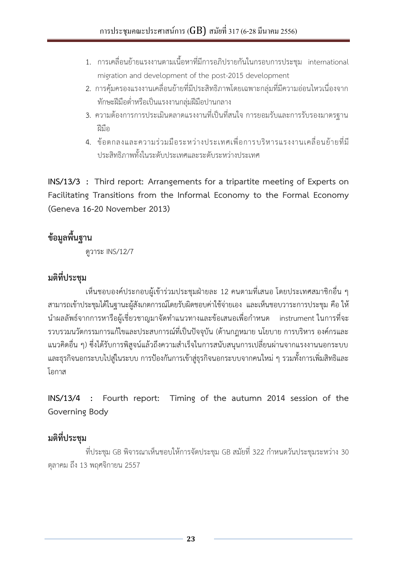- <span id="page-22-0"></span>1. การเคลื่อนย้ายแรงงานตามเนื้อหาที่มีการอภิปรายกันในกรอบการประชุม international migration and development of the post-2015 development
- 2. การคุ้มครองแรงงานเคลื่อนย้ายที่มีประสิทธิภาพโดยเฉพาะกลุ่มที่มีความอ่อนไหวเนื่องจาก ทักษะฝีมือต่ าหรือเป็นแรงงานกลุ่มฝีมือปานกลาง
- 3. ความต้องการการประเมินตลาดแรงงานที่เป็นที่สนใจ การยอมรับและการรับรองมาตรฐาน ฝีมือ
- 4. ข้อตกลงและความร่วมมือระหว่างประเทศเพื่อการบริหารแรงงานเคลื่อนย้ายที่มี ประสิทธิภาพทั้งในระดับประเทศและระดับระหว่างประเทศ

**INS/13/3 : Third report: Arrangements for a tripartite meeting of Experts on Facilitating Transitions from the Informal Economy to the Formal Economy (Geneva 16-20 November 2013)**

## **ข้อมูลพื้นฐาน**

ดูวาระ INS/12/7

## **มติที่ประชุม**

เห็นชอบองค์ประกอบผู้เข้าร่วมประชุมฝ่ายละ 12 คนตามที่เสนอ โดยประเทศสมาชิกอื่น ๆ สามารถเข้าประชุมได้ในฐานะผู้สังเกตการณ์โดยรับผิดชอบค่าใช้จ่ายเอง และเห็นชอบวาระการประชุม คือ ให้ นำผลลัพธ์จากการหารือผู้เชี่ยวชาญมาจัดทำแนวทางและข้อเสนอเพื่อกำหนด instrument ในการที่จะ รวบรวมนวัตกรรมการแก้ไขและประสบการณ์ที่เป็นปัจจุบัน (ด้านกฎหมาย นโยบาย การบริหาร องค์กรและ ่ แนวคิดอื่น ๆ) ซึ่งได้รับการพิสูจน์แล้วถึงความสำเร็จในการสนับสนุนการเปลี่ยนผ่านจากแรงงานนอกระบบ และธุรกิจนอกระบบไปสู่ในระบบ การป้องกันการเข้าสู่ธุรกิจนอกระบบจากคนใหม่ ๆ รวมทั้งการเพิ่มสิทธิและ โอกาส

**INS/13/4 : Fourth report: Timing of the autumn 2014 session of the Governing Body**

## **มติที่ประชุม**

ที่ประชุม GB พิจารณาเห็นชอบให้การจัดประชุม GB สมัยที่ 322 กำหนดวันประชุมระหว่าง 30 ตุลาคม ถึง 13 พฤศจิกายน 2557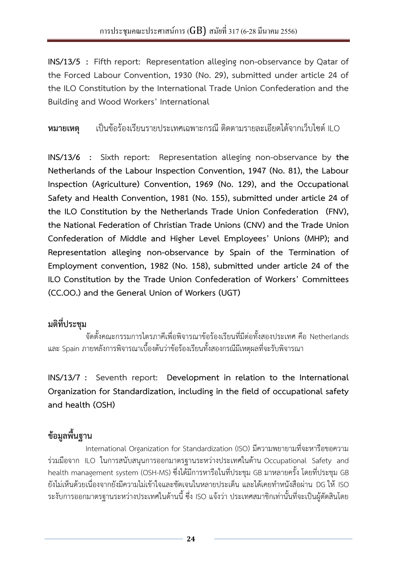<span id="page-23-0"></span>**INS/13/5 : Fifth report: Representation alleging non-observance by Qatar of the Forced Labour Convention, 1930 (No. 29), submitted under article 24 of the ILO Constitution by the International Trade Union Confederation and the Building and Wood Workers' International** 

**หมายเหตุ** เป็นข้อร้องเรียนรายประเทศเฉพาะกรณี ติดตามรายละเอียดได้จากเว็บไซต์ILO

**INS/13/6 : Sixth report: Representation alleging non-observance by the Netherlands of the Labour Inspection Convention, 1947 (No. 81), the Labour Inspection (Agriculture) Convention, 1969 (No. 129), and the Occupational Safety and Health Convention, 1981 (No. 155), submitted under article 24 of the ILO Constitution by the Netherlands Trade Union Confederation (FNV), the National Federation of Christian Trade Unions (CNV) and the Trade Union Confederation of Middle and Higher Level Employees' Unions (MHP); and Representation alleging non-observance by Spain of the Termination of Employment convention, 1982 (No. 158), submitted under article 24 of the ILO Constitution by the Trade Union Confederation of Workers' Committees (CC.OO.) and the General Union of Workers (UGT)**

## **มติที่ประชุม**

จัดตั้งคณะกรรมการไตรภาคีเพื่อพิจารณาข้อร้องเรียนที่มีต่อทั้งสองประเทศ คือ Netherlands และ Spain ภายหลังการพิจารณาเบื้องต้นว่าข้อร้องเรียนทั้งสองกรณีมีเหตุผลที่จะรับพิจารณา

**INS/13/7 : Seventh report: Development in relation to the International Organization for Standardization, including in the field of occupational safety and health (OSH)**

# **ข้อมูลพื้นฐาน**

International Organization for Standardization (ISO) มีความพยายามที่จะหารือขอความ ร่วมมือจาก ILO ในการสนับสนุนการออกมาตรฐานระหว่างประเทศในด้าน Occupational Safety and health management system (OSH-MS) ซึ่งได้มีการหารือในที่ประชุม GB มาหลายครั้ง โดยที่ประชุม GB ยังไม่เห็นด้วยเนื่องจากยังมีความไม่เข้าใจและชัดเจนในหลายประเด็น และได้เคยทำหนังสือผ่าน DG ให้ ISO ระงับการออกมาตรฐานระหว่างประเทศในด้านนี้ ซึ่ง ISO แจ้งว่า ประเทศสมาชิกเท่านั้นที่จะเป็นผู้ตัดสินโดย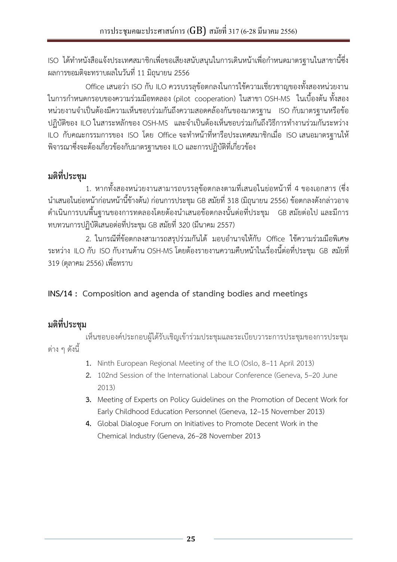<span id="page-24-0"></span>ISO ได้ทำหนังสือแจ้งประเทศสมาชิกเพื่อขอเสียงสนับสนุนในการเดินหน้าเพื่อกำหนดมาตรฐานในสาขานี้ซึ่ง ผลการขอมติจะทราบผลในวันที่ 11 มิถุนายน 2556

Office เสนอว่า ISO กับ ILO ควรบรรลุข้อตกลงในการใช้ความเชี่ยวชาญของทั้งสองหน่วยงาน ในการกำหนดกรอบของความร่วมมือทดลอง (pilot cooperation) ในสาขา OSH-MS ในเบื้องต้น ทั้งสอง หน่วยงานจำเป็นต้องมีความเห็นชอบร่วมกันถึงความสอดคล้องกันของมาตรฐาน ISO กับมาตรฐานหรือข้อ ปฏิบัติของ ILO ในสาระหลักของ OSH-MS และจำเป็นต้องเห็นชอบร่วมกันถึงวิธีการทำงานร่วมกันระหว่าง ILO กับคณะกรรมการของ ISO โดย Office จะทำหน้าที่หารือประเทศสมาชิกเมื่อ ISO เสนอมาตรฐานให้ พิจารณาซึ่งจะต้องเกี่ยวข้องกับมาตรฐานของ ILO และการปฏิบัติที่เกี่ยวข้อง

## **มติที่ประชุม**

1. หากทั้งสองหน่วยงานสามารถบรรลุข้อตกลงตามที่เสนอในย่อหน้าที่ 4 ของเอกสาร (ซึ่ง น าเสนอในย่อหน้าก่อนหน้านี้ข้างต้น) ก่อนการประชุม GB สมัยที่ 318 (มิถุนายน 2556) ข้อตกลงดังกล่าวอาจ ด าเนินการบนพื้นฐานของการทดลองโดยต้องน าเสนอข้อตกลงนั้นต่อที่ประชุม GB สมัยต่อไป และมีการ ทบทวนการปฏิบัติเสนอต่อที่ประชุม GB สมัยที่ 320 (มีนาคม 2557)

2. ในกรณีที่ข้อตกลงสามารถสรปร่วมกันได้ มอบอำนาจให้กับ Office ใช้ความร่วมมือพิเศษ ระหว่าง ILO กับ ISO กับงานด้าน OSH-MS โดยต้องรายงานความคืบหน้าในเรื่องนี้ต่อที่ประชุม GB สมัยที่ 319 (ตุลาคม 2556) เพื่อทราบ

### **INS/14 : Composition and agenda of standing bodies and meetings**

## **มติที่ประชุม**

เห็นชอบองค์ประกอบผู้ได้รับเชิญเข้าร่วมประชุมและระเบียบวาระการประชุมของการประชุม ต่าง ๆ ดังนี้

- **1.** Ninth European Regional Meeting of the ILO (Oslo, 8–11 April 2013)
- **2.** 102nd Session of the International Labour Conference (Geneva, 5–20 June 2013)
- **3.** Meeting of Experts on Policy Guidelines on the Promotion of Decent Work for Early Childhood Education Personnel (Geneva, 12–15 November 2013)
- **4.** Global Dialogue Forum on Initiatives to Promote Decent Work in the Chemical Industry (Geneva, 26–28 November 2013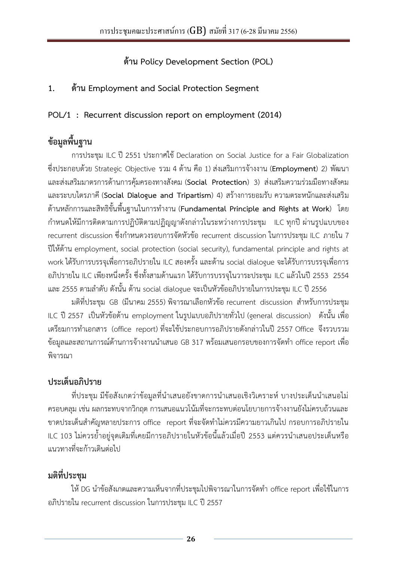**ด้าน Policy Development Section (POL)**

### <span id="page-25-0"></span>**1. ด้าน Employment and Social Protection Segment**

**POL/1 : Recurrent discussion report on employment (2014)**

# **ข้อมูลพื้นฐาน**

การประชุม ILC ปี 2551 ประกาศใช้ Declaration on Social Justice for a Fair Globalization ซึ่งประกอบด้วย Strategic Objective รวม 4 ด้าน คือ 1) ส่งเสริมการจ้างงาน (**Employment**) 2) พัฒนา และส่งเสริมมาตรการด้านการคุ้มครองทางสังคม (**Social Protection**) 3) ส่งเสริมความร่วมมือทางสังคม และระบบไตรภาคี (**Social Dialogue and Tripartism**) 4) สร้างการยอมรับ ความตระหนักและส่งเสริม ี ด้านหลักการและสิทธิขั้นพื้นฐานในการทำงาน (Fundamental Principle and Rights at Work) โดย ก าหนดให้มีการติดตามการปฏิบัติตามปฏิญญาดังกล่าวในระหว่างการประชุม ILC ทุกปี ผ่านรูปแบบของ recurrent discussion ซึ่งกำหนดวงรอบการจัดหัวข้อ recurrent discussion ในการประชุม ILC ภายใน 7 ปีให้ด้าน employment, social protection (social security), fundamental principle and rights at work ได้รับการบรรจุเพื่อการอภิปรายใน ILC สองครั้ง และด้าน social dialogue จะได้รับการบรรจุเพื่อการ อภิปรายใน ILC เพียงหนึ่งครั้ง ซึ่งทั้งสามด้านแรก ได้รับการบรรจุในวาระประชุม ILC แล้วในปี 2553 2554 และ 2555 ตามลำดับ ดังนั้น ด้าน social dialogue จะเป็นหัวข้ออภิปรายในการประชุม ILC ปี 2556

ิมติที่ประชุม GB (มีนาคม 2555) พิจารณาเลือกหัวข้อ recurrent discussion สำหรับการประชุม ILC ปี 2557 เป็นหัวข้อด้าน employment ในรูปแบบอภิปรายทั่วไป (general discussion) ดังนั้น เพื่อ เตรียมการท าเอกสาร (office report) ที่จะใช้ประกอบการอภิปรายดังกล่าวในปี 2557 Office จึงรวบรวม ข้อมูลและสถานการณ์ด้านการจ้างงานนำเสนอ GB 317 พร้อมเสนอกรอบของการจัดทำ office report เพื่อ พิจารณา

## **ประเด็นอภิปราย**

ที่ประชุม มีข้อสังเกตว่าข้อมูลที่นำเสนอยังขาดการนำเสนอเชิงวิเคราะห์ บางประเด็นนำเสนอไม่ ครอบคลุม เช่น ผลกระทบจากวิกฤต การเสนอแนวโน้มที่จะกระทบต่อนโยบายการจ้างงานยังไม่ครบถ้วนและ ขาดประเด็นสำคัญหลายประการ office report ที่จะจัดทำไม่ควรมีความยาวเกินไป กรอบการอภิปรายใน ILC 103 ไม่ควรย้ำอยู่จุดเดิมที่เคยมีการอภิปรายในหัวข้อนี้แล้วเมื่อปี 2553 แต่ควรนำเสนอประเด็นหรือ แนวทางที่จะก้าวเดินต่อไป

## **มติที่ประชุม**

ให้ DG นำข้อสังเกตและความเห็นจากที่ประชุมไปพิจารณาในการจัดทำ office report เพื่อใช้ในการ อภิปรายใน recurrent discussion ในการประชุม ILC ปี 2557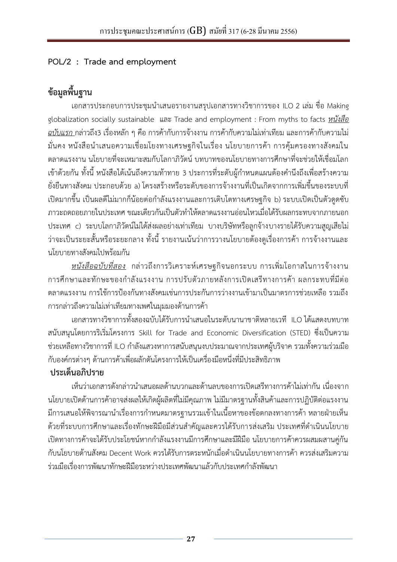### <span id="page-26-0"></span>**POL/2 : Trade and employment**

# **ข้อมูลพื้นฐาน**

เอกสารประกอบการประชุมน าเสนอรายงานสรุปเอกสารทางวิชาการของ ILO 2 เล่ม ชื่อ Making globalization socially sustainable และ Trade and employment : From myths to facts *หนังสือ ฉบับแรก* กล่าวถึง3 เรื่องหลัก ๆ คือ การค้ากับการจ้างงาน การค้ากับความไม่เท่าเทียม และการค้ากับความไม่ ้มั่นคง หนังสือนำเสนอความเชื่อมโยงทางเศรษฐกิจในเรื่อง นโยบายการค้า การคุ้มครองทางสังคมใน ตลาดแรงงาน นโยบายที่จะเหมาะสมกับโลกาภิวัตน์ บทบาทของนโยบายทางการศึกษาที่จะช่วยให้เชื่อมโลก ่ เข้าด้วยกัน ทั้งนี้ หนังสือได้เน้นถึงความท้าทาย 3 ประการที่ระดับผ้กำหนดแผนต้องคำนึงถึงเพื่อสร้างความ ยั่งยืนทางสังคม ประกอบด้วย a) โครงสร้างหรือระดับของการจ้างงานที่เป็นเกิดจากการเพิ่มขึ้นของระบบที่ ี เปิดมากขึ้น เป็นผลดีไม่มากก็น้อยต่อกำลังแรงงานและการเติบโตทางเศรษฐกิจ b) ระบบเปิดเป็นตัวดูดซับ ภาวะถดถอยภายในประเทศ ขณะเดียวกันเป็นตัวทำให้ตลาดแรงงานอ่อนไหวเมื่อได้รับผลกระทบจากภายนอก ประเทศ c) ระบบโลกาภิวัตน์ไม่ได้ส่งผลอย่างเท่าเทียม บางบริษัทหรือลูกจ้างบางรายได้รับความสูญเสียไม่ ว่าจะเป็นระยะสั้นหรือระยะกลาง ทั้งนี้ รายงานเน้นว่าการวางนโยบายต้องดูเรื่องการค้า การจ้างงานและ นโยบายทางสังคมไปพร้อมกัน

*หนังสือฉบับที่สอง* กล่าวถึงการวิเคราะห์เศรษฐกิจนอกระบบ การเพิ่มโอกาสในการจ้างงาน ึการศึกษาและทักษะของกำลังแรงงาน การปรับตัวภายหลังการเปิดเสรีทางการค้า ผลกระทบที่มีต่อ ตลาดแรงงาน การใช้การป้องกันทางสังคมเช่นการประกันการว่างงานเข้ามาเป็นมาตรการช่วยเหลือ รวมถึง การกล่าวถึงความไม่เท่าเทียมทางเพศในมุมมองด้านการค้า

เอกสารทางวิชาการทั้งสองฉบับได้รับการนำเสนอในระดับนานาชาติหลายเวที ILO ได้แสดงบทบาท สนับสนุนโดยการริเริ่มโครงการ Skill for Trade and Economic Diversification (STED) ซึ่งเป็นความ ี ช่วยเหลือทางวิชาการที่ ILO กำลังแสวงหาการสนับสนุนงบประมาณจากประเทศผู้บริจาค รวมทั้งความร่วมมือ กับองค์กรต่างๆ ด้านการค้าเพื่อผลักดันโครงการให้เป็นเครื่องมือหนึ่งที่มีประสิทธิภาพ

### **ประเด็นอภิปราย**

เห็นว่าเอกสารดังกล่าวนำเสนอผลด้านบวกและด้านลบของการเปิดเสรีทางการค้าไม่เท่ากัน เนื่องจาก นโยบายเปิดด้านการค้าอาจส่งผลให้เกิดผู้ผลิตที่ไม่มีคุณภาพ ไม่มีมาตรฐานทั้งสินค้าและการปฏิบัติต่อแรงงาน ่ มีการเสนอให้พิจารณานำเรื่องการกำหนดมาตรฐานรวมเข้าในเนื้อหาของข้อตกลงทางการค้า หลายฝ่ายเห็น ้ด้วยที่ระบบการศึกษาและเรื่องทักษะฝีมือมีส่วนสำคัญและควรได้รับการส่งเสริม ประเทศที่ดำเนินนโยบาย เปิดทางการค้าจะได้รับประโยชน์หากก าลังแรงงานมีการศึกษาและมีฝีมือ นโยบายการค้าควรผสมผสานคู่กัน กับนโยบายด้านสังคม Decent Work ควรได้รับการตระหนักเมื่อดำเนินนโยบายทางการค้า ควรส่งเสริมความ ร่วมมือเรื่องการพัฒนาทักษะฝีมือระหว่างประเทศพัฒนาแล้วกับประเทศกำลังพัฒนา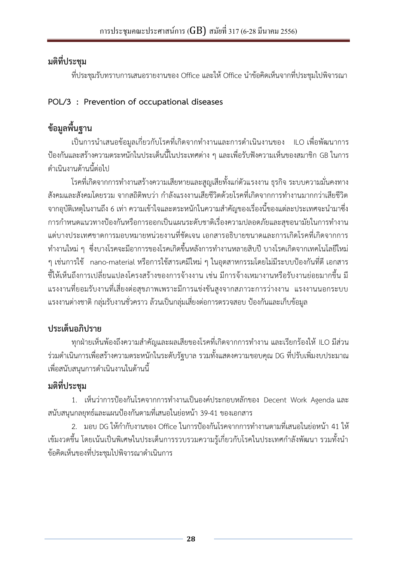<span id="page-27-0"></span>ที่ประชุมรับทราบการเสนอรายงานของ Office และให้ Office นำข้อคิดเห็นจากที่ประชุมไปพิจารณา

### **POL/3 : Prevention of occupational diseases**

# **ข้อมูลพื้นฐาน**

เป็นการนำเสนอข้อมูลเกี่ยวกับโรคที่เกิดจากทำงานและการดำเนินงานของ ILO เพื่อพัฒนาการ ป้องกันและสร้างความตระหนักในประเด็นนี้ในประเทศต่าง ๆ และเพื่อรับฟังความเห็นของสมาชิก GB ในการ ดำเบิบงาบด้าบบี้ต่อไป

โรคที่เกิดจากการทำงานสร้างความเสียหายและสูญเสียทั้งแก่ตัวแรงงาน ธุรกิจ ระบบความมั่นคงทาง ้สังคมและสังคมโดยรวม จากสถิติพบว่า กำลังแรงงานเสียชีวิตด้วยโรคที่เกิดจากการทำงานมากกว่าเสียชีวิต จากอบัติเหตุในงานถึง 6 เท่า ความเข้าใจและตระหนักในความสำคัญของเรื่องนี้ของแต่ละประเทศจะนำมาซึ่ง การกำหนดแนวทางป้องกันหรือการออกเป็นแผนระดับชาติเรื่องความปลอดภัยและสุขอนามัยในการทำงาน แต่บางประเทศขาดการมอบหมายหน่วยงานที่ชัดเจน เอกสารอธิบายขนาดและการเกิดโรคที่เกิดจากการ ท างานใหม่ ๆ ซึ่งบางโรคจะมีอาการของโรคเกิดขึ้นหลังการท างานหลายสิบปี บางโรคเกิดจากเทคโนโลยีใหม่ ๆ เช่นการใช้ nano-material หรือการใช้สารเคมีใหม่ ๆ ในอุตสาหกรรมโดยไม่มีระบบป้องกันที่ดี เอกสาร ชี้ให้เห็นถึงการเปลี่ยนแปลงโครงสร้างของการจ้างงาน เช่น มีการจ้างเหมางานหรือรับงานย่อยมากขึ้น มี แรงงานที่ยอมรับงานที่เสี่ยงต่อสุขภาพเพราะมีการแข่งขันสูงจากสภาวะการว่างงาน แรงงานนอกระบบ แรงงานต่างชาติ กลุ่มรับงานชั่วคราว ล้วนเป็นกลุ่มเสี่ยงต่อการตรวจสอบ ป้องกันและเก็บข้อมูล

# **ประเด็นอภิปราย**

ทกฝ่ายเห็นพ้องถึงความสำคัญและผลเสียของโรคที่เกิดจากการทำงาน และเรียกร้องให้ ILO มีส่วน ร่วมด าเนินการเพื่อสร้างความตระหนักในระดับรัฐบาล รวมทั้งแสดงความขอบคุณ DG ที่ปรับเพิ่มงบประมาณ เพื่อสนับสนุนการด าเนินงานในด้านนี้

# **มติที่ประชุม**

1. เห็นว่าการป้องกันโรคจากการทำงานเป็นองค์ประกอบหลักของ Decent Work Agenda และ ีสนับสนุนกลยุทธ์และแผนป้องกันตามที่เสนอในย่อหน้า 39-41 ของเอกสาร

2. มอบ DG ให้กำกับงานของ Office ในการป้องกันโรคจากการทำงานตามที่เสนอในย่อหน้า 41 ให้ เข้มงวดขึ้น โดยเน้นเป็นพิเศษในประเด็นการรวบรวมความรู้เกี่ยวกับโรคในประเทศกำลังพัฒนา รวมทั้งนำ ข้อคิดเห็นของที่ประชุมไปพิจารณาดำเนินการ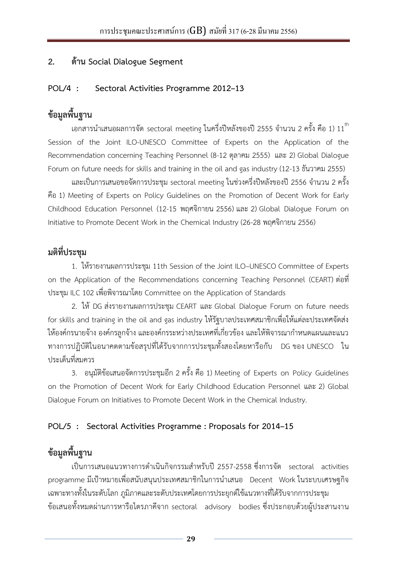#### <span id="page-28-0"></span>**2. ด้าน Social Dialogue Segment**

#### **POL/4 : Sectoral Activities Programme 2012–13**

## **ข้อมูลพื้นฐาน**

เอกสารนำเสนอผลการจัด sectoral meeting ในครึ่งปีหลังของปี 2555 จำนวน 2 ครั้ง คือ 1) 11 $^{\rm th}$ Session of the Joint ILO-UNESCO Committee of Experts on the Application of the Recommendation concerning Teaching Personnel (8-12 ตุลาคม 2555) และ 2) Global Dialogue Forum on future needs for skills and training in the oil and gas industry (12-13 ธันวาคม 2555)

และเป็นการเสนอขอจัดการประชุม sectoral meeting ในช่วงครึ่งปีหลังของปี 2556 จำนวน 2 ครั้ง คือ 1) Meeting of Experts on Policy Guidelines on the Promotion of Decent Work for Early Childhood Education Personnel (12-15 พฤศจิกายน 2556) และ 2) Global Dialogue Forum on Initiative to Promote Decent Work in the Chemical Industry (26-28 พฤศจิกายน 2556)

### **มติที่ประชุม**

1. ให้รายงานผลการประชุม 11th Session of the Joint ILO–UNESCO Committee of Experts on the Application of the Recommendations concerning Teaching Personnel (CEART) ต่อที่ ประชุม ILC 102 เพื่อพิจารณาโดย Committee on the Application of Standards

2. ให้DG ส่งรายงานผลการประชุม CEART และ Global Dialogue Forum on future needs for skills and training in the oil and gas industry ให้รัฐบาลประเทศสมาชิกเพื่อให้แต่ละประเทศจัดส่ง ให้องค์กรนายจ้าง องค์กรลูกจ้าง และองค์กรระหว่างประเทศที่เกี่ยวข้อง และให้พิจารณากำหนดแผนและแนว ทางการปฏิบัติในอนาคตตามข้อสรุปที่ได้รับจากการประชุมทั้งสองโดยหารือกับ DG ของ UNESCO ใน ประเด็นที่สมควร

3. อนุมัติข้อเสนอจัดการประชุมอีก 2 ครั้ง คือ 1) Meeting of Experts on Policy Guidelines on the Promotion of Decent Work for Early Childhood Education Personnel และ 2) Global Dialogue Forum on Initiatives to Promote Decent Work in the Chemical Industry.

### **POL/5 : Sectoral Activities Programme : Proposals for 2014–15**

## **ข้อมูลพื้นฐาน**

เป็นการเสนอแนวทางการดำเนินกิจกรรมสำหรับปี 2557-2558 ซึ่งการจัด sectoral activities programme มีเป้าหมายเพื่อสนับสนุนประเทศสมาชิกในการนำเสนอ Decent Work ในระบบเศรษฐกิจ เฉพาะทางทั้งในระดับโลก ภูมิภาคและระดับประเทศโดยการประยุกต์ใช้แนวทางที่ได้รับจากการประชุม ข้อเสนอทั้งหมดผ่านการหารือไตรภาคีจาก sectoral advisory bodies ซึ่งประกอบด้วยผู้ประสานงาน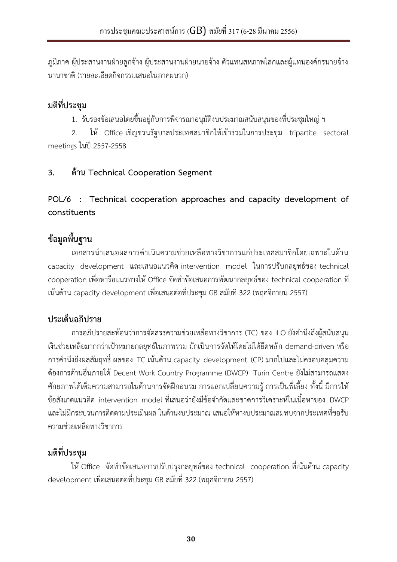<span id="page-29-0"></span>ภูมิภาค ผู้ประสานงานฝ่ายลูกจ้าง ผู้ประสานงานฝ่ายนายจ้าง ตัวแทนสหภาพโลกและผู้แทนองค์กรนายจ้าง นานาชาติ(รายละเอียดกิจกรรมเสนอในภาคผนวก)

## **มติที่ประชุม**

1. รับรองข้อเสนอโดยขึ้นอยู่กับการพิจารณาอนุมัติงบประมาณสนับสนุนของที่ประชุมใหญ่ ฯ

2. ให้ Office เชิญชวนรัฐบาลประเทศสมาชิกให้เข้าร่วมในการประชุม tripartite sectoral meetings ในปี 2557-2558

### **3. ด้าน Technical Cooperation Segment**

**POL/6 : Technical cooperation approaches and capacity development of constituents**

## **ข้อมูลพื้นฐาน**

เอกสารนำเสนอผลการดำเนินความช่วยเหลือทางวิชาการแก่ประเทศสมาชิกโดยเฉพาะในด้าน capacity development และเสนอแนวคิด intervention model ในการปรับกลยุทธ์ของ technical  $\,$  cooperation เพื่อหารือแนวทางให้ Office จัดทำข้อเสนอการพัฒนากลยุทธ์ของ technical cooperation ที่ เน้นด้าน capacity development เพื่อเสนอต่อที่ประชุม GB สมัยที่ 322 (พฤศจิกายน 2557)

## **ประเด็นอภิปราย**

การอภิปรายสะท้อนว่าการจัดสรรความช่วยเหลือทางวิชาการ (TC) ของ ILO ยังคำนึงถึงผู้สนับสนุน เงินช่วยเหลือมากกว่าเป้าหมายกลยุทธ์ในภาพรวม มักเป็นการจัดให้โดยไม่ได้ยึดหลัก demand-driven หรือ การค านึงถึงผลสัมฤทธิ์ ผลของ TC เน้นด้าน capacity development (CP) มากไปและไม่ครอบคลุมความ ต้องการด้านอื่นภายใต้Decent Work Country Programme (DWCP) Turin Centre ยังไม่สามารถแสดง ศักยภาพได้เต็มความสามารถในด้านการจัดฝึกอบรม การแลกเปลี่ยนความรู้ การเป็นพี่เลี้ยง ทั้งนี้ มีการให้ ข้อสังเกตแนวคิด intervention model ที่เสนอว่ายังมีข้อจำกัดและขาดการวิเคราะห์ในเนื้อหาของ DWCP และไม่มีกระบวนการติดตามประเมินผล ในด้านงบประมาณ เสนอให้หางบประมาณสมทบจากประเทศที่ขอรับ ความช่วยเหลือทางวิชาการ

# **มติที่ประชุม**

ให้ Office จัดทำข้อเสนอการปรับปรุงกลยุทธ์ของ technical cooperation ที่เน้นด้าน capacity development เพื่อเสนอต่อที่ประชุม GB สมัยที่ 322 (พฤศจิกายน 2557)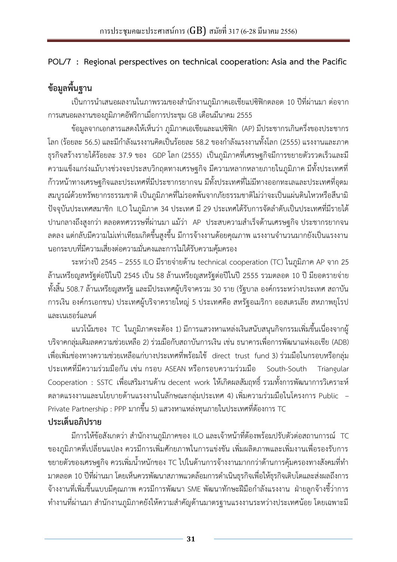### <span id="page-30-0"></span>**POL/7 : Regional perspectives on technical cooperation: Asia and the Pacific**

# **ข้อมูลพื้นฐาน**

เป็นการนำเสนอผลงานในภาพรวมของสำนักงานภูมิภาคเอเชียแปซิฟิกตลอด 10 ปีที่ผ่านมา ต่อจาก การเสนอผลงานของภูมิภาคอัฟริกาเมื่อการประชุม GB เดือนมีนาคม 2555

ข้อมูลจากเอกสารแสดงให้เห็นว่า ภูมิภาคเอเชียและแปซิฟิก (AP) มีประชากรเกินครึ่งของประชากร โลก (ร้อยละ 56.5) และมีกำลังแรงงานคิดเป็นร้อยละ 58.2 ของกำลังแรงงานทั้งโลก (2555) แรงงานและภาค ธุรกิจสร้างรายได้ร้อยละ 37.9 ของ GDP โลก (2555) เป็นภูมิภาคที่เศรษฐกิจมีการขยายตัวรวดเร็วและมี ความแข็งแกร่งแม้บางช่วงจะประสบวิกฤตทางเศรษฐกิจ มีความหลากหลายภายในภูมิภาค มีทั้งประเทศที่ ก้าวหน้าทางเศรษฐกิจและประเทศที่มีประชากรยากจน มีทั้งประเทศที่ไม่มีทางออกทะเลและประเทศที่อุดม สมบูรณ์ด้วยทรัพยากรธรรมชาติ เป็นภูมิภาคที่ไม่รอดพ้นจากภัยธรรมชาติไม่ว่าจะเป็นแผ่นดินไหวหรือสึนามิ ปัจจุบันประเทศสมาชิก ILO ในภูมิภาค 34 ประเทศ มี 29 ประเทศได้รับการจัดล าดับเป็นประเทศที่มีรายได้ ปานกลางถึงสูงกว่า ตลอดทศวรรษที่ผ่านมา แม้ว่า AP ประสบความสำเร็จด้านเศรษฐกิจ ประชากรยากจน ิลดลง แต่กลับมีความไม่เท่าเทียมเกิดขึ้นสูงขึ้น มีการจ้างงานด้อยคุณภาพ แรงงานจำนวนมากยังเป็นแรงงาน นอกระบบที่มีความเสี่ยงต่อความมั่นคงและการไม่ได้รับความคุ้มครอง

ระหว่างปี 2545 – 2555 ILO มีรายจ่ายด้าน technical cooperation (TC) ในภูมิภาค AP จาก 25 ล้านเหรียญสหรัฐต่อปีในปี 2545 เป็น 58 ล้านเหรียญสหรัฐต่อปีในปี 2555 รวมตลอด 10 ปี มียอดรายจ่าย ทั้งสิ้น 508.7 ล้านเหรียญสหรัฐ และมีประเทศผู้บริจาครวม 30 ราย (รัฐบาล องค์กรระหว่างประเทศ สถาบัน การเงิน องค์กรเอกชน) ประเทศผู้บริจาครายใหญ่ 5 ประเทศคือ สหรัฐอเมริกา ออสเตรเลีย สหภาพยุโรป และเนเธอร์แลนด์

แนวโน้มของ TC ในภูมิภาคจะต้อง 1) มีการแสวงหาแหล่งเงินสนับสนุนกิจกรรมเพิ่มขึ้นเนื่องจากผู้ บริจาคกลุ่มเดิมลดความช่วยเหลือ 2) ร่วมมือกับสถาบันการเงิน เช่น ธนาคารเพื่อการพัฒนาแห่งเอเชีย (ADB) เพื่อเพิ่มช่องทางความช่วยเหลือแก่บางประเทศที่พร้อมใช้ direct trust fund 3) ร่วมมือในกรอบหรือกลุ่ม ประเทศที่มีความร่วมมือกัน เช่น กรอบ ASEAN หรือกรอบความร่วมมือ South-South Triangular Cooperation : SSTC เพื่อเสริมงานด้าน decent work ให้เกิดผลสัมฤทธิ์ รวมทั้งการพัฒนาการวิเคราะห์ ตลาดแรงงานและนโยบายด้านแรงงานในลักษณะกลุ่มประเทศ 4) เพิ่มความร่วมมือในโครงการ Public – Private Partnership : PPP มากขึ้น 5) แสวงหาแหล่งทุนภายในประเทศที่ต้องการ TC **ประเด็นอภิปราย**

มีการให้ข้อสังเกตว่า สำนักงานภูมิภาคของ ILO และเจ้าหน้าที่ต้องพร้อมปรับตัวต่อสถานการณ์ TC ของภูมิภาคที่เปลี่ยนแปลง ควรมีการเพิ่มศักยภาพในการแข่งขัน เพิ่มผลิตภาพและเพิ่มงานเพื่อรองรับการ ขยายตัวของเศรษฐกิจ ควรเพิ่มน้ำหนักของ TC ไปในด้านการจ้างงานมากกว่าด้านการคุ้มครองทางสังคมที่ทำ ้มาตลอด 10 ปีที่ผ่านมา โดยเห็นควรพัฒนาสภาพแวดล้อมการดำเนินธุรกิจเพื่อให้ธุรกิจเติบโตและส่งผลถึงการ ี จ้างงานที่เพิ่มขึ้นแบบมีคุณภาพ ควรมีการพัฒนา SME พัฒนาทักษะฝีมือกำลังแรงงาน ฝ่ายลูกจ้างชี้ว่าการ ้ทำงานที่ผ่านมา สำนักงานภูมิภาคยังให้ความสำคัญด้านมาตรฐานแรงงานระหว่างประเทศน้อย โดยเฉพาะมี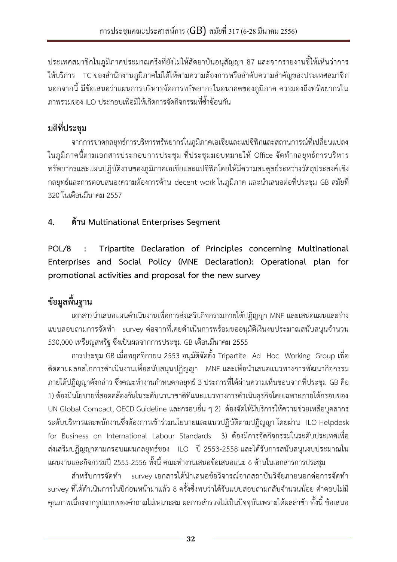<span id="page-31-0"></span>ประเทศสมาชิกในภูมิภาคประมาณครึ่งที่ยังไม่ให้สัตยาบันอนุสัญญา 87 และจากรายงานชี้ให้เห็นว่าการ ให้บริการ TC ของสำนักงานภูมิภาคไม่ได้ให้ตามความต้องการหรือลำดับความสำคัญของประเทศสมาชิก นอกจากนี้ มีข้อเสนอว่าแผนการบริหารจัดการทรัพยากรในอนาคตของภูมิภาค ควรมองถึงทรัพยากรใน ภาพรวมของ ILO ประกอบเพื่อมิให้เกิดการจัดกิจกรรมที่ซ้ าซ้อนกัน

# **มติที่ประชุม**

จากการขาดกลยุทธ์การบริหารทรัพยากรในภูมิภาคเอเชียและแปซิฟิกและสถานการณ์ที่เปลี่ยนแปลง ในภูมิภาคนี้ตามเอกสารประกอบการประชุม ที่ประชุมมอบหมายให้ Office จัดทำกลยุทธ์การบริหาร ทรัพยากรและแผนปฏิบัติงานของภูมิภาคเอเชียและแปซิฟิกโดยให้มีความสมดุลย์ระหว่างวัตถุประสงค์เชิง ึกลยุทธ์และการตอบสนองความต้องการด้าน decent work ในภูมิภาค และนำเสนอต่อที่ประชุม GB สมัยที่ 320 ในเดือนมีนาคม 2557

**4. ด้าน Multinational Enterprises Segment**

**POL/8 : Tripartite Declaration of Principles concerning Multinational Enterprises and Social Policy (MNE Declaration): Operational plan for promotional activities and proposal for the new survey**

# **ข้อมูลพื้นฐาน**

เอกสารนำเสนอแผนดำเนินงานเพื่อการส่งเสริมกิจกรรมภายใต้ปฏิญญา MNE และเสนอแผนและร่าง แบบสอบถามการจัดทำ survey ต่อจากที่เคยดำเนินการพร้อมขออนุมัติเงินงบประมาณสนับสนุนจำนวน 530,000 เหรียญสหรัฐ ซึ่งเป็นผลจากการประชุม GB เดือนมีนาคม 2555

การประชุม GB เมื่อพฤศจิกายน 2553 อนุมัติจัดตั้ง Tripartite Ad Hoc Working Group เพื่อ ี่ ติดตามผลกลไกการดำเนินงานเพื่อสนับสนุนปฏิญญา MNE และเพื่อนำเสนอแนวทางการพัฒนากิจกรรม ภายใต้ปฏิญญาดังกล่าว ซึ่งคณะทำงานกำหนดกลยุทธ์ 3 ประการที่ได้ผ่านความเห็นชอบจากที่ประชุม GB คือ 1) ต้องมีนโยบายที่สอดคล้องกันในระดับนานาชาติที่แนะแนวทางการดำเนินธุรกิจโดยเฉพาะภายใต้กรอบของ UN Global Compact, OECD Guideline และกรอบอื่น ๆ 2) ต้องจัดให้มีบริการให้ความช่วยเหลือบุคลากร ระดับบริหารและพนักงานซึ่งต้องการเข้าร่วมนโยบายและแนวปฏิบัติตามปฏิญญา โดยผ่าน ILO Helpdesk for Business on International Labour Standards 3) ต้องมีการจัดกิจกรรมในระดับประเทศเพื่อ ส่งเสริมปฏิญญาตามกรอบแผนกลยุทธ์ของ ILO ปี 2553-2558 และได้รับการสนับสนุนงบประมาณใน แผนงานและกิจกรรมปี 2555-2556 ทั้งนี้ คณะทำงานเสนอข้อเสนอแนะ 6 ด้านในเอกสารการประชุม

้สำหรับการจัดทำ survey เอกสารได้นำเสนอข้อวิจารณ์จากสถาบันวิจัยภายนอกต่อการจัดทำ survey ที่ได้ดำเนินการในปีก่อนหน้ามาแล้ว 8 ครั้งซึ่งพบว่าได้รับแบบสอบถามกลับจำนวนน้อย คำตอบไม่มี คุณภาพเนื่องจากรูปแบบของคำถามไม่เหมาะสม ผลการสำรวจไม่เป็นปัจจุบันเพราะได้ผลล่าช้า ทั้งนี้ ข้อเสนอ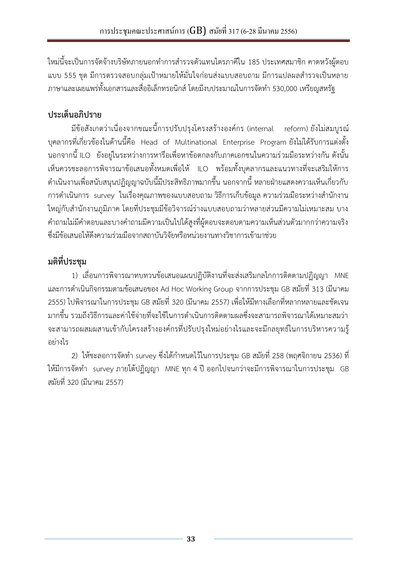ใหม่นี้จะเป็นการจัดจ้างบริษัทภายนอกทำการสำรวจตัวแทนไตรภาคีใน 185 ประเทศสมาชิก คาดหวังผู้ตอบ แบบ 555 ชุด มีการตรวจสอบกลุ่มเป้าหมายให้มั่นใจก่อนส่งแบบสอบถาม มีการแปลผลสำรวจเป็นหลาย ภาษาและเผยแพร่ทั้งเอกสารและสื่ออิเล็กทรอนิกส์ โดยมีงบประมาณในการจัดท า 530,000 เหรียญสหรัฐ

# **ประเด็นอภิปราย**

มีข้อสังเกตว่าเนื่องจากขณะนี้การปรับปรุงโครงสร้างองค์กร (internal reform) ยังไม่สมบูรณ์ บุคลากรที่เกี่ยวข้องในด้านนี้คือ Head of Multinational Enterprise Program ยังไม่ได้รับการแต่งตั้ง นอกจากนี้ ILO ยังอยู่ในระหว่างการหารือเพื่อหาข้อตกลงกับภาคเอกชนในความร่วมมือระหว่างกัน ดังนั้น เห็นควรชะลอการพิจารณาข้อเสนอทั้งหมดเพื่อให้ ILO พร้อมทั้งบุคลากรและแนวทางที่จะเสริมให้การ ด าเนินงานเพื่อสนับสนุนปฏิญญาฉบับนี้มีประสิทธิภาพมากขึ้น นอกจากนี้ หลายฝ่ายแสดงความเห็นเกี่ยวกับ การดำเนินการ survey ในเรื่องคุณภาพของแบบสอบถาม วิธีการเก็บข้อมูล ความร่วมมือระหว่างสำนักงาน ใหญ่กับสำนักงานภูมิภาค โดยที่ประชุมมีข้อวิจารณ์ร่างแบบสอบถามว่าหลายส่วนมีความไม่เหมาะสม บาง ค าถามไม่มีค าตอบและบางค าถามมีความเป็นไปได้สูงที่ผู้ตอบจะตอบตามความเห็นส่วนตัวมากกว่าความจริง ซึ่งมีข้อเสนอให้ดึงความร่วมมือจากสถาบันวิจัยหรือหน่วยงานทางวิชาการเข้ามาช่วย

# **มติที่ประชุม**

1) เลื่อนการพิจารณาทบทวนข้อเสนอแผนปฏิบัติงานที่จะส่งเสริมกลไกการติดตามปฏิญญา MNE และการดำเนินกิจกรรมตามข้อเสนอของ Ad Hoc Working Group จากการประชุม GB สมัยที่ 313 (มีนาคม 2555) ไปพิจารณาในการประชุม GB สมัยที่ 320 (มีนาคม 2557) เพื่อให้มีทางเลือกที่หลากหลายและชัดเจน ้ มากขึ้น รวมถึงวิธีการและค่าใช้จ่ายที่จะใช้ในการดำเนินการติดตามผลซึ่งจะสามารถพิจารณาได้เหมาะสมว่า จะสามารถผสมผสานเข้ากับโครงสร้างองค์กรที่ปรับปรุงใหม่อย่างไรและจะมีกลยุทธ์ในการบริหารความรู้ อย่างไร

2) ให้ชะลอการจัดทำ survey ซึ่งได้กำหนดไว้ในการประชุม GB สมัยที่ 258 (พฤศจิกายน 2536) ที่ ให้มีการจัดทำ survey ภายใต้ปฏิญญา MNE ทุก 4 ปี ออกไปจนกว่าจะมีการพิจารณาในการประชุม GB สมัยที่ 320 (มีนาคม 2557)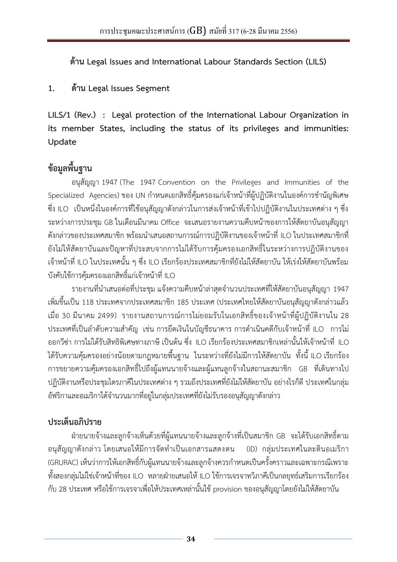<span id="page-33-0"></span>**ด้าน Legal Issues and International Labour Standards Section (LILS)**

### **1. ด้าน Legal Issues Segment**

**LILS/1 (Rev.) : Legal protection of the International Labour Organization in its member States, including the status of its privileges and immunities: Update** 

## **ข้อมูลพื้นฐาน**

อนุสัญญา 1947 (The 1947 Convention on the Privileges and Immunities of the Specialized Agencies) ของ UN กำหนดเอกสิทธิ์คุ้มครองแก่เจ้าหน้าที่ผู้ปฏิบัติงานในองค์การชำนัญพิเศษ ซึ่ง ILO เป็นหนึ่งในองค์การที่ใช้อนุสัญญาดังกล่าวในการส่งเจ้าหน้าที่เข้าไปปฏิบัติงานในประเทศต่าง ๆ ซึ่ง ระหว่างการประชุม GB ในเดือนมีนาคม Office จะเสนอรายงานความคืบหน้าของการให้สัตยาบันอนุสัญญา ์ ดังกล่าวของประเทศสมาชิก พร้อมนำเสนอสถานการณ์การปฏิบัติงานของเจ้าหน้าที่ ILO ในประเทศสมาชิกที่ ยังไม่ให้สัตยาบันและปัญหาที่ประสบจากการไม่ได้รับการคุ้มครองเอกสิทธิ์ในระหว่างการปฏิบัติงานของ เจ้าหน้าที่ ILO ในประเทศนั้น ๆ ซึ่ง ILO เรียกร้องประเทศสมาชิกที่ยังไม่ให้สัตยาบัน ให้เร่งให้สัตยาบันพร้อม บังคับใช้การคุ้มครองเอกสิทธิ์แก่เจ้าหน้าที่ ILO

รายงานที่นำเสนอต่อที่ประชุม แจ้งความคืบหน้าล่าสุดจำนวนประเทศที่ให้สัตยาบันอนุสัญญา 1947 เพิ่มขึ้นเป็น 118 ประเทศจากประเทศสมาชิก 185 ประเทศ (ประเทศไทยให้สัตยาบันอนุสัญญาดังกล่าวแล้ว เมื่อ 30 มีนาคม 2499) รายงานสถานการณ์การไม่ยอมรับในเอกสิทธิ์ของเจ้าหน้าที่ผู้ปฏิบัติงานใน 28 ี ประเทศที่เป็นลำดับความสำคัญ เช่น การยึดเงินในบัญชีธนาคาร การดำเนินคดีกับเจ้าหน้าที่ ILO การไม่ ออกวีซ่า การไม่ได้รับสิทธิพิเศษทางภาษี เป็นต้น ซึ่ง ILO เรียกร้องประเทศสมาชิกเหล่านั้นให้เจ้าหน้าที่ ILO ได้รับความคุ้มครองอย่างน้อยตามกฎหมายพื้นฐาน ในระหว่างที่ยังไม่มีการให้สัตยาบัน ทั้งนี้ ILO เรียกร้อง การขยายความคุ้มครองเอกสิทธิ์ไปถึงผู้แทนนายจ้างและผู้แทนลูกจ้างในสถานะสมาชิก GB ที่เดินทางไป ปฏิบัติงานหรือประชุมไตรภาคีในประเทศต่าง ๆ รวมถึงประเทศที่ยังไม่ให้สัตยาบัน อย่างไรก็ดี ประเทศในกลุ่ม อัฟริกาและอเมริกาใต้จำนวนมากที่อยู่ในกลุ่มประเทศที่ยังไม่รับรองอนุสัญญาดังกล่าว

## **ประเด็นอภิปราย**

ฝ่ายนายจ้างและลูกจ้างเห็นด้วยที่ผู้แทนนายจ้างและลูกจ้างที่เป็นสมาชิก GB จะได้รับเอกสิทธิ์ตาม ือนุสัญญาดังกล่าว โดยเสนอให้มีการจัดทำเป็นเอกสารแสดงตน (ID) กลุ่มประเทศในละตินอเมริกา (GRURAC) เห็นว่าการให้เอกสิทธิ์กับผู้แทนนายจ้างและลูกจ้างควรกำหนดเป็นครั้งคราวและเฉพาะกรณีเพราะ ทั้งสองกลุ่มไม่ใช่เจ้าหน้าที่ของ ILO หลายฝ่ายเสนอให้ ILO ใช้การเจรจาทวิภาคีเป็นกลยุทธ์เสริมการเรียกร้อง ึกับ 28 ประเทศ หรือใช้การเจรจาเพื่อให้ประเทศเหล่านั้นใช้ provision ของอนุสัญญาโดยยังไม่ให้สัตยาบัน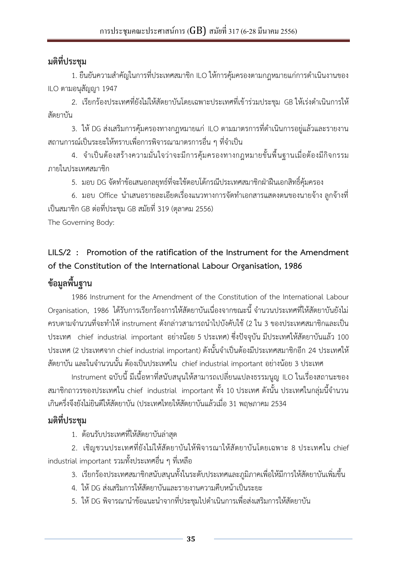<span id="page-34-0"></span>1. ยืนยันความสำคัญในการที่ประเทศสมาชิก ILO ให้การคุ้มครองตามกฎหมายแก่การดำเนินงานของ ILO ตามอนุสัญญา 1947

2. เรียกร้องประเทศที่ยังไม่ให้สัตยาบันโดยเฉพาะประเทศที่เข้าร่วมประชุม GB ให้เร่งดำเนินการให้ สัตยาบัน

3. ให้ DG ส่งเสริมการคุ้มครองทางกฎหมายแก่ ILO ตามมาตรการที่ดำเนินการอยู่แล้วและรายงาน ิสถานการณ์เป็นระยะให้ทราบเพื่อการพิจารณามาตรการอื่น ๆ ที่จำเป็น

4. จ าเป็นต้องสร้างความมั่นใจว่าจะมีการคุ้มครองทางกฎหมายขั้นพื้นฐานเมื่อต้องมีกิจกรรม ภายในประเทศสมาชิก

5. มอบ DG จัดทำข้อเสนอกลยุทธ์ที่จะใช้ตอบโต้กรณีประเทศสมาชิกฝ่าฝืนเอกสิทธิ์คุ้มครอง

6. มอบ Office น าเสนอรายละเอียดเรื่องแนวทางการจัดท าเอกสารแสดงตนของนายจ้าง ลูกจ้างที่ เป็นสมาชิก GB ต่อที่ประชุม GB สมัยที่ 319 (ตุลาคม 2556)

The Governing Body:

## **LILS/2 : Promotion of the ratification of the Instrument for the Amendment of the Constitution of the International Labour Organisation, 1986**

## **ข้อมูลพื้นฐาน**

1986 Instrument for the Amendment of the Constitution of the International Labour Organisation, 1986 ได้รับการเรียกร้องการให้สัตยาบันเนื่องจากขณะนี้ จำนวนประเทศที่ให้สัตยาบันยังไม่ ครบตามจำนวนที่จะทำให้ instrument ดังกล่าวสามารถนำไปบังคับใช้ (2 ใน 3 ของประเทศสมาชิกและเป็น ประเทศ chief industrial important อย่างน้อย 5 ประเทศ) ซึ่งปัจจุบัน มีประเทศให้สัตยาบันแล้ว 100 ประเทศ (2 ประเทศจาก chief industrial important) ดังนั้นจำเป็นต้องมีประเทศสมาชิกอีก 24 ประเทศให้ ี สัตยาบัน และในจำนวนนั้น ต้องเป็นประเทศใน chief industrial important อย่างน้อย 3 ประเทศ

Instrument ฉบับนี้ มีเนื้อหาที่สนับสนุนให้สามารถเปลี่ยนแปลงธรรมนูญ ILO ในเรื่องสถานะของ ี สมาชิกถาวรของประเทศใน chief industrial important ทั้ง 10 ประเทศ ดังนั้น ประเทศในกล่มนี้จำนวน เกินครึ่งจึงยังไม่ยินดีให้สัตยาบัน (ประเทศไทยให้สัตยาบันแล้วเมื่อ 31 พฤษภาคม 2534

## **มติที่ประชุม**

1. ต้อนรับประเทศที่ให้สัตยาบันล่าสุด

2. เชิญชวนประเทศที่ยังไม่ให้สัตยาบันให้พิจารณาให้สัตยาบันโดยเฉพาะ 8 ประเทศใน chief industrial important รวมทั้งประเทศอื่น ๆ ที่เหลือ

- 3. เรียกร้องประเทศสมาชิกสนับสนุนทั้งในระดับประเทศและภูมิภาคเพื่อให้มีการให้สัตยาบันเพิ่มขึ้น
- 4. ให้DG ส่งเสริมการให้สัตยาบันและรายงานความคืบหน้าเป็นระยะ
- 5. ให้ DG พิจารณานำข้อแนะนำจากที่ประชุมไปดำเนินการเพื่อส่งเสริมการให้สัตยาบัน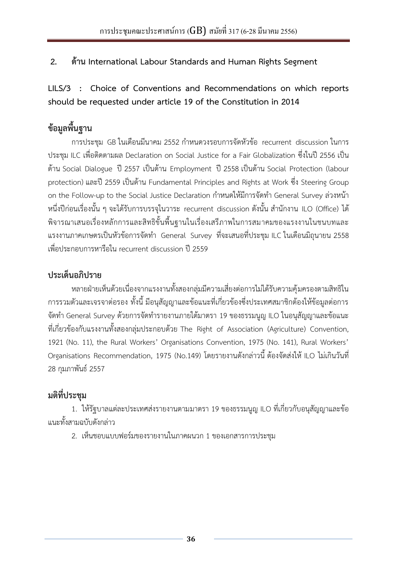### <span id="page-35-0"></span>**2. ด้าน International Labour Standards and Human Rights Segment**

**LILS/3 : Choice of Conventions and Recommendations on which reports should be requested under article 19 of the Constitution in 2014**

# **ข้อมูลพื้นฐาน**

การประชุม GB ในเดือนมีนาคม 2552 กำหนดวงรอบการจัดหัวข้อ recurrent discussion ในการ ประชุม ILC เพื่อติดตามผล Declaration on Social Justice for a Fair Globalization ซึ่งในปี 2556 เป็น ด้าน Social Dialogue ปี 2557 เป็นด้าน Employment ปี 2558 เป็นด้าน Social Protection (labour protection) และปี 2559 เป็นด้าน Fundamental Principles and Rights at Work ซึ่ง Steering Group on the Follow-up to the Social Justice Declaration กำหนดให้มีการจัดทำ General Survey ล่วงหน้า หนึ่งปีก่อนเรื่องนั้น ๆ จะได้รับการบรรจในวาระ recurrent discussion ดังนั้น สำนักงาน ILO (Office) ได้ พิจารณาเสนอเรื่องหลักการและสิทธิขั้นพื้นฐานในเรื่องเสรีภาพในการสมาคมของแรงงานในชนบทและ ี แรงงานภาคเกษตรเป็นหัวข้อการจัดทำ General Survey ที่จะเสนอที่ประชุม ILC ในเดือนมิถุนายน 2558 เพื่อประกอบการหารือใน recurrent discussion ปี 2559

### **ประเด็นอภิปราย**

หลายฝ่ายเห็นด้วยเนื่องจากแรงงานทั้งสองกลุ่มมีความเสี่ยงต่อการไม่ได้รับความคุ้มครองตามสิทธิใน การรวมตัวและเจรจาต่อรอง ทั้งนี้ มีอนุสัญญาและข้อแนะที่เกี่ยวข้องซึ่งประเทศสมาชิกต้องให้ข้อมูลต่อการ จัดทำ General Survey ด้วยการจัดทำรายงานภายใต้มาตรา 19 ของธรรมนูญ ILO ในอนุสัญญาและข้อแนะ ที่เกี่ยวข้องกับแรงงานทั้งสองกลุ่มประกอบด้วย The Right of Association (Agriculture) Convention, 1921 (No. 11), the Rural Workers' Organisations Convention, 1975 (No. 141), Rural Workers' Organisations Recommendation, 1975 (No.149) โดยรายงานดังกล่าวนี้ ต้องจัดส่งให้ ILO ไม่เกินวันที่ 28 กุมภาพันธ์ 2557

## **มติที่ประชุม**

1. ให้รัฐบาลแต่ละประเทศส่งรายงานตามมาตรา 19 ของธรรมนูญ ILO ที่เกี่ยวกับอนุสัญญาและข้อ แนะทั้งสามฉบับดังกล่าว

2. เห็นชอบแบบฟอร์มของรายงานในภาคผนวก 1 ของเอกสารการประชุม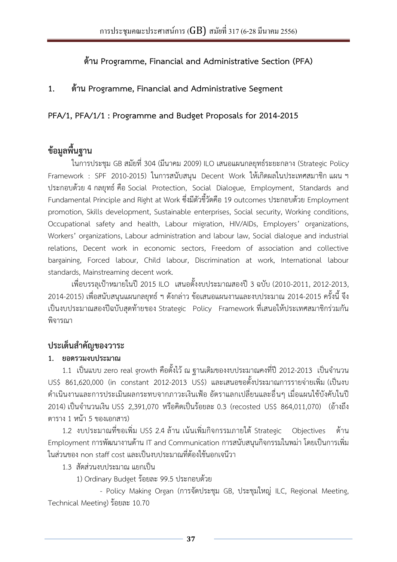**ด้าน Programme, Financial and Administrative Section (PFA)**

### <span id="page-36-0"></span>**1. ด้าน Programme, Financial and Administrative Segment**

**PFA/1, PFA/1/1 : Programme and Budget Proposals for 2014-2015**

## **ข้อมูลพื้นฐาน**

ในการประชุม GB สมัยที่ 304 (มีนาคม 2009) ILO เสนอแผนกลยุทธ์ระยะกลาง (Strategic Policy Framework : SPF 2010-2015) ในการสนับสนุน Decent Work ให้เกิดผลในประเทศสมาชิก แผน ฯ ประกอบด้วย 4 กลยุทธ์ คือ Social Protection, Social Dialogue, Employment, Standards and Fundamental Principle and Right at Work ซึ่งมีตัวชี้วัดคือ 19 outcomes ประกอบด้วย Employment promotion, Skills development, Sustainable enterprises, Social security, Working conditions, Occupational safety and health, Labour migration, HIV/AIDs, Employers' organizations, Workers' organizations, Labour administration and labour law, Social dialogue and industrial relations, Decent work in economic sectors, Freedom of association and collective bargaining, Forced labour, Child labour, Discrimination at work, International labour standards, Mainstreaming decent work.

เพื่อบรรลุเป้าหมายในปี 2015 ILO เสนอตั้งงบประมาณสองปี3 ฉบับ (2010-2011, 2012-2013, 2014-2015) เพื่อสนับสนุนแผนกลยุทธ์ ฯ ดังกล่าว ข้อเสนอแผนงานและงบประมาณ 2014-2015 ครั้งนี้ จึง เป็นงบประมาณสองปีฉบับสุดท้ายของ Strategic Policy Framework ที่เสนอให้ประเทศสมาชิกร่วมกัน พิจารณา

### **ประเด็นส าคัญของวาระ**

#### **1. ยอดรวมงบประมาณ**

1.1 เป็นแบบ zero real growth คือตั้งไว้ ณ ฐานเดิมของงบประมาณคงที่ปี 2012-2013 เป็นจำนวน US\$ 861,620,000 (in constant 2012-2013 US\$) และเสนอขอตั้งประมาณการรายจ่ายเพิ่ม (เป็นงบ ด าเนินงานและการประเมินผลกระทบจากภาวะเงินเฟ้อ อัตราแลกเปลี่ยนและอื่นๆ เมื่อแผนใช้บังคับในปี 2014) เป็นจ านวนเงิน US\$ 2,391,070 หรือคิดเป็นร้อยละ 0.3 (recosted US\$ 864,011,070) (อ้างถึง ตาราง 1 หน้า 5 ของเอกสาร)

1.2 งบประมาณที่ขอเพิ่ม US\$ 2.4 ล้าน เน้นเพิ่มกิจกรรมภายใต้ Strategic Objectives ด้าน Employment การพัฒนางานด้าน IT and Communication การสนับสนุนกิจกรรมในพม่า โดยเป็นการเพิ่ม ในส่วนของ non staff cost และเป็นงบประมาณที่ต้องใช้นอกเจนีวา

1.3 สัดส่วนงบประมาณ แยกเป็น

1) Ordinary Budget ร้อยละ 99.5 ประกอบด้วย

 - Policy Making Organ (การจัดประชุม GB, ประชุมใหญ่ ILC, Regional Meeting, Technical Meeting) ร้อยละ 10.70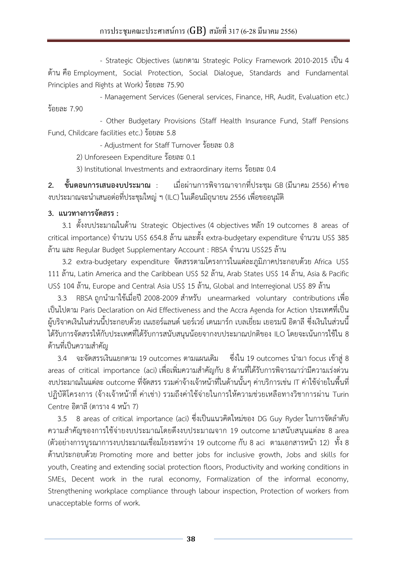- Strategic Objectives (แยกตาม Strategic Policy Framework 2010-2015 เป็น 4 ด้าน คือ Employment, Social Protection, Social Dialogue, Standards and Fundamental Principles and Rights at Work) ร้อยละ 75.90

- Management Services (General services, Finance, HR, Audit, Evaluation etc.) ร้อยละ 7.90

- Other Budgetary Provisions (Staff Health Insurance Fund, Staff Pensions Fund, Childcare facilities etc.) ร้อยละ 5.8

- Adjustment for Staff Turnover ร้อยละ 0.8

2) Unforeseen Expenditure ร้อยละ 0.1

3) Institutional Investments and extraordinary items ร้อยละ 0.4

**2. ขั้นตอนการเสนองบประมาณ** : เมื่อผ่านการพิจารณาจากที่ประชุม GB (มีนาคม 2556) คำขอ ึ่งบประมาณจะนำเสนอต่อที่ประชุมใหญ่ ฯ (ILC) ในเดือนมิถุนายน 2556 เพื่อขออนุมัติ

#### **3. แนวทางการจัดสรร :**

 3.1 ตั้งงบประมาณในด้าน Strategic Objectives (4 objectives หลัก 19 outcomes 8 areas of critical importance) จำนวน US\$ 654.8 ล้าน และตั้ง extra-budgetary expenditure จำนวน US\$ 385 ล้าน และ Regular Budget Supplementary Account : RBSA จำนวน US\$25 ล้าน

3.2 extra-budgetary expenditure จัดสรรตามโครงการในแต่ละภูมิภาคประกอบด้วย Africa US\$ 111 ล้าน, Latin America and the Caribbean US\$ 52 ล้าน, Arab States US\$ 14 ล้าน, Asia & Pacific US\$ 104 ล้าน, Europe and Central Asia US\$ 15 ล้าน, Global and Interregional US\$ 89 ล้าน

3.3 RBSA ถูกนำมาใช้เมื่อปี 2008-2009 สำหรับ unearmarked voluntary contributions เพื่อ เป็นไปตาม Paris Declaration on Aid Effectiveness and the Accra Agenda for Action ประเทศที่เป็น ผู้บริจาคเงินในส่วนนี้ประกอบด้วย เนเธอร์แลนด์ นอร์เวย์ เดนมาร์ก เบลเยี่ยม เยอรมนี อิตาลี ซึ่งเงินในส่วนนี้ ได้รับการจัดสรรให้กับประเทศที่ได้รับการสนับสนุนน้อยจากงบประมาณปกติของ ILO โดยจะเน้นการใช้ใน 8 ด้านที่เป็นความสำคัญ

3.4 จะจัดสรรเงินแยกตาม 19 outcomes ตามแผนเดิม ซึ่งใน 19 outcomes นำมา focus เข้าสู่ 8 areas of critical importance (aci) เพื่อเพิ่มความสำคัญกับ 8 ด้านที่ได้รับการพิจารณาว่ามีความเร่งด่วน งบประมาณในแต่ละ outcome ที่จัดสรร รวมค่าจ้างเจ้าหน้าที่ในด้านนั้นๆ ค่าบริการเช่น IT ค่าใช้จ่ายในพื้นที่ ปฏิบัติโครงการ (จ้างเจ้าหน้าที่ ค่าเช่า) รวมถึงค่าใช้จ่ายในการให้ความช่วยเหลือทางวิชาการผ่าน Turin Centre อิตาลี(ตาราง 4 หน้า 7)

3.5 8 areas of critical importance (aci) ซึ่งเป็นแนวคิดใหม่ของ DG Guy Ryder ในการจัดลำดับ ความส าคัญของการใช้จ่ายงบประมาณโดยดึงงบประมาณจาก 19 outcome มาสนับสนุนแต่ละ 8 area (ตัวอย่างการบูรณาการงบประมาณเชื่อมโยงระหว่าง 19 outcome กับ 8 aci ตามเอกสารหน้า 12) ทั้ง 8 ด้านประกอบด้วย Promoting more and better jobs for inclusive growth, Jobs and skills for youth, Creating and extending social protection floors, Productivity and working conditions in SMEs, Decent work in the rural economy, Formalization of the informal economy, Strengthening workplace compliance through labour inspection, Protection of workers from unacceptable forms of work.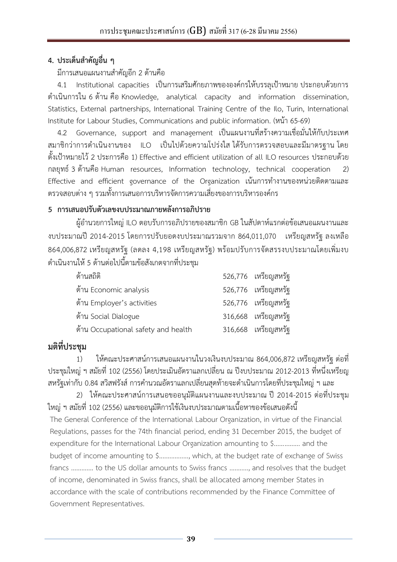### **4. ประเด็นส าคัญอื่น ๆ**

#### มีการเสนอแผนงานสำคัญอีก 2 ด้านคือ

4.1 Institutional capacities เป็นการเสริมศักยภาพขององค์กรให้บรรลุเป้าหมาย ประกอบด้วยการ ด าเนินการใน 6 ด้าน คือ Knowledge, analytical capacity and information dissemination, Statistics, External partnerships, International Training Centre of the Ilo, Turin, International Institute for Labour Studies, Communications and public information. (หน้า 65-69)

4.2 Governance, support and management เป็นแผนงานที่สร้างความเชื่อมั่นให้กับประเทศ สมาชิกว่าการดำเนินงานของ ILO เป็นไปด้วยความโปร่งใส ได้รับการตรวจสอบและมีมาตรฐาน โดย ตั้งเป้าหมายไว้ 2 ประการคือ 1) Effective and efficient utilization of all ILO resources ประกอบด้วย กลยุทธ์ 3 ด้านคือ Human resources, Information technology, technical cooperation 2) Effective and efficient governance of the Organization เน้นการทำงานของหน่วยติดตามและ ตรวจสอบต่าง ๆ รวมทั้งการเสนอการบริหารจัดการความเสี่ยงของการบริหารองค์กร

### **5 การเสนอปรับตัวเลขงบประมาณภายหลังการอภิปราย**

ผู้อำนวยการใหญ่ ILO ตอบรับการอภิปรายของสมาชิก GB ในสัปดาห์แรกต่อข้อเสนอแผนงานและ งบประมาณปี 2014-2015 โดยการปรับยอดงบประมาณรวมจาก 864,011,070 เหรียญสหรัฐ ลงเหลือ 864,006,872 เหรียญสหรัฐ (ลดลง 4,198 เหรียญสหรัฐ) พร้อมปรับการจัดสรรงบประมาณโดยเพิ่มงบ ด าเนินงานให้ 5 ด้านต่อไปนี้ตามข้อสังเกตจากที่ประชุม

| ด้านสถิติ                           | 526,776 เหรียญสหรัฐ |
|-------------------------------------|---------------------|
| ด้าน Economic analysis              | 526,776 เหรียญสหรัฐ |
| ด้าน Employer's activities          | 526,776 เหรียญสหรัฐ |
| ด้าน Social Dialogue                | 316,668 เหรียญสหรัฐ |
| ด้าน Occupational safety and health | 316,668 เหรียญสหรัฐ |

## **มติที่ประชุม**

1) ให้คณะประศาสน์การเสนอแผนงานในวงเงินงบประมาณ 864,006,872 เหรียญสหรัฐ ต่อที่ ประชุมใหญ่ ฯ สมัยที่ 102 (2556) โดยประเมินอัตราแลกเปลี่ยน ณ ปีงบประมาณ 2012-2013 ที่หนึ่งเหรียญ ี สหรัฐเท่ากับ 0.84 สวิสฟรังส์ การคำนวณอัตราแลกเปลี่ยนสุดท้ายจะดำเนินการโดยที่ประชุมใหญ่ ฯ และ

 2) ให้คณะประศาสน์การเสนอขออนุมัติแผนงานและงบประมาณ ปี 2014-2015 ต่อที่ประชุม ใหญ่ ฯ สมัยที่ 102 (2556) และขออนุมัติการใช้เงินงบประมาณตามเนื้อหาของข้อเสนอดังนี้ The General Conference of the International Labour Organization, in virtue of the Financial Regulations, passes for the 74th financial period, ending 31 December 2015, the budget of expenditure for the International Labour Organization amounting to \$............... and the budget of income amounting to \$.................., which, at the budget rate of exchange of Swiss francs …………. to the US dollar amounts to Swiss francs ……….., and resolves that the budget of income, denominated in Swiss francs, shall be allocated among member States in accordance with the scale of contributions recommended by the Finance Committee of Government Representatives.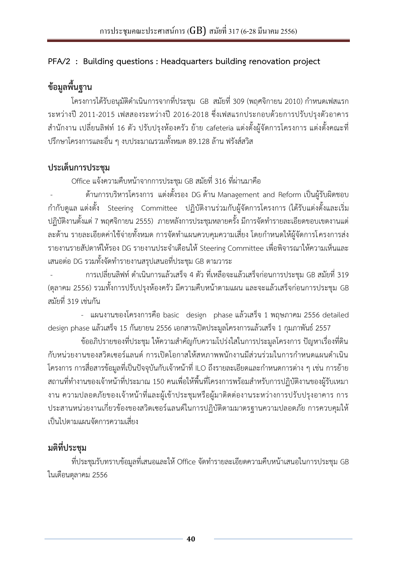### <span id="page-39-0"></span>**PFA/2 : Building questions : Headquarters building renovation project**

## **ข้อมูลพื้นฐาน**

โครงการได้รับอนุมัติดำเนินการจากที่ประชุม GB สมัยที่ 309 (พฤศจิกายน 2010) กำหนดเฟสแรก ระหว่างปี 2011-2015 เฟสสองระหว่างปี 2016-2018 ซึ่งเฟสแรกประกอบด้วยการปรับปรุงตัวอาคาร ส านักงาน เปลี่ยนลิฟท์ 16 ตัว ปรับปรุงห้องครัว ย้าย cafeteria แต่งตั้งผู้จัดการโครงการ แต่งตั้งคณะที่ ปรึกษาโครงการและอื่น ๆ งบประมาณรวมทั้งหมด 89.128 ล้าน ฟรังส์สวิส

### **ประเด็นการประชุม**

Office แจ้งความคืบหน้าจากการประชุม GB สมัยที่ 316 ที่ผ่านมาคือ

 - ด้านการบริหารโครงการ แต่งตั้งรอง DG ด้าน Management and Reform เป็นผู้รับผิดชอบ ก ากับดูแล แต่งตั้ง Steering Committee ปฏิบัติงานร่วมกับผู้จัดการโครงการ (ได้รับแต่งตั้งและเริ่ม ี ปฏิบัติงานตั้งแต่ 7 พฤศจิกายน 2555) ภายหลังการประชุมหลายครั้ง มีการจัดทำรายละเอียดขอบเขตงานแต่ ้ ละด้าน รายละเอียดค่าใช้จ่ายทั้งหมด การจัดทำแผนควบคุมความเสี่ยง โดยกำหนดให้ผู้จัดการโครงการส่ง รายงานรายสัปดาห์ให้รอง DG รายงานประจำเดือนให้ Steering Committee เพื่อพิจารณาให้ความเห็นและ เสนอต่อ DG รวมทั้งจัดทำรายงานสรุปเสนอที่ประชุม GB ตามวาระ

 - การเปลี่ยนลิฟท์ ด าเนินการแล้วเสร็จ 4 ตัว ที่เหลือจะแล้วเสร็จก่อนการประชุม GB สมัยที่ 319 (ตุลาคม 2556) รวมทั้งการปรับปรุงห้องครัว มีความคืบหน้าตามแผน และจะแล้วเสร็จก่อนการประชุม GB สมัยที่ 319 เช่นกัน

- แผนงานของโครงการคือ basic design phase แล้วเสร็จ 1 พฤษภาคม 2556 detailed design phase แล้วเสร็จ 15 กันยายน 2556 เอกสารเปิดประมูลโครงการแล้วเสร็จ 1 กุมภาพันธ์ 2557

่ ข้ออภิปรายของที่ประชุม ให้ความสำคัญกับความโปร่งใสในการประมูลโครงการ ปัญหาเรื่องที่ดิน ้กับหน่วยงานของสวิตเซอร์แลนด์ การเปิดโอกาสให้สหภาพพนักงานมีส่วนร่วมในการกำหนดแผนดำเนิน โครงการ การสื่อสารข้อมูลที่เป็นปัจจุบันกับเจ้าหน้าที่ ILO ถึงรายละเอียดและกำหนดการต่าง ๆ เช่น การย้าย ิสถานที่ทำงานของเจ้าหน้าที่ประมาณ 150 คนเพื่อให้พื้นที่โครงการพร้อมสำหรับการปฏิบัติงานของผู้รับเหมา งาน ความปลอดภัยของเจ้าหน้าที่และผู้เข้าประชุมหรือผู้มาติดต่องานระหว่างการปรับปรุงอาคาร การ ประสานหน่วยงานเกี่ยวข้องของสวิตเซอร์แลนด์ในการปฏิบัติตามมาตรฐานความปลอดภัย การควบคุมให้ เป็นไปตามแผนจัดการความเสี่ยง

## **มติที่ประชุม**

ที่ประชุมรับทราบข้อมูลที่เสนอและให้ Office จัดทำรายละเอียดความคืบหน้าเสนอในการประชุม GB ในเดือนตุลาคม 2556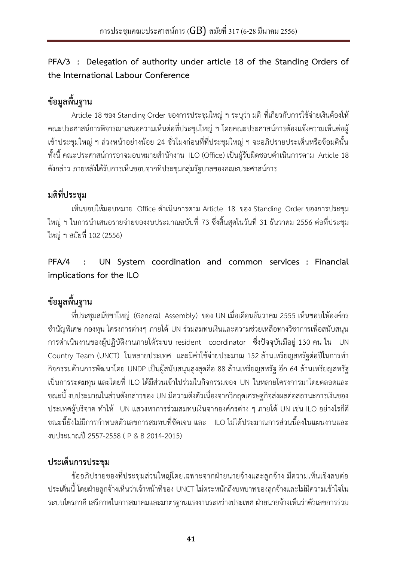<span id="page-40-0"></span>**PFA/3 : Delegation of authority under article 18 of the Standing Orders of the International Labour Conference**

# **ข้อมูลพื้นฐาน**

Article 18 ของ Standing Order ของการประชุมใหญ่ ฯ ระบุว่า มติ ที่เกี่ยวกับการใช้จ่ายเงินต้องให้ คณะประศาสน์การพิจารณาเสนอความเห็นต่อที่ประชุมใหญ่ ฯ โดยคณะประศาสน์การต้องแจ้งความเห็นต่อผู้ เข้าประชุมใหญ่ ฯ ล่วงหน้าอย่างน้อย 24 ชั่วโมงก่อนที่ที่ประชุมใหญ่ ฯ จะอภิปรายประเด็นหรือข้อมตินั้น ทั้งนี้ คณะประศาสน์การอาจมอบหมายสำนักงาน ILO (Office) เป็นผู้รับผิดชอบดำเนินการตาม Article 18 ดังกล่าว ภายหลังได้รับการเห็นชอบจากที่ประชุมกลุ่มรัฐบาลของคณะประศาสน์การ

## **มติที่ประชุม**

เห็นชอบให้มอบหมาย Office ดำเนินการตาม Article 18 ของ Standing Order ของการประชุม ใหญ่ ฯ ในการนำเสนอรายจ่ายของงบประมาณฉบับที่ 73 ซึ่งสิ้นสุดในวันที่ 31 ธันวาคม 2556 ต่อที่ประชุม ใหญ่ ฯ สมัยที่ 102 (2556)

**PFA/4 : UN System coordination and common services : Financial implications for the ILO**

# **ข้อมูลพื้นฐาน**

ที่ประชุมสมัชชาใหญ่ (General Assembly) ของ UN เมื่อเดือนธันวาคม 2555 เห็นชอบให้องค์กร ี ชำนัญพิเศษ กองทุน โครงการต่างๆ ภายใต้ UN ร่วมสมทบเงินและความช่วยเหลือทางวิชาการเพื่อสนับสนุน การด าเนินงานของผู้ปฏิบัติงานภายใต้ระบบ resident coordinator ซึ่งปัจจุบันมีอยู่ 130 คน ใน UN Country Team (UNCT) ในหลายประเทศ และมีค่าใช้จ่ายประมาณ 152 ล้านเหรียญสหรัฐต่อปีในการทำ กิจกรรมด้านการพัฒนาโดย UNDP เป็นผู้สนับสนุนสูงสุดคือ 88 ล้านเหรียญสหรัฐ อีก 64 ล้านเหรียญสหรัฐ เป็นการระดมทุน และโดยที่ ILO ได้มีส่วนเข้าไปร่วมในกิจกรรมของ UN ในหลายโครงการมาโดยตลอดและ ขณะนี้ งบประมาณในส่วนดังกล่าวของ UN มีความตึงตัวเนื่องจากวิกฤตเศรษฐกิจส่งผลต่อสถานะการเงินของ ประเทศผู้บริจาค ทำให้ UN แสวงหาการร่วมสมทบเงินจากองค์กรต่าง ๆ ภายใต้ UN เช่น ILO อย่างไรก็ดี ี ขณะนี้ยังไม่มีการกำหนดตัวเลขการสมทบที่ชัดเจน และ ILO ไม่ได้ประมาณการส่วนนี้ลงในแผนงานและ งบประมาณปี 2557-2558 ( P & B 2014-2015)

## **ประเด็นการประชุม**

ข้ออภิปรายของที่ประชุมส่วนใหญ่โดยเฉพาะจากฝ่ายนายจ้างและลูกจ้าง มีความเห็นเชิงลบต่อ ประเด็นนี้ โดยฝ่ายลูกจ้างเห็นว่าเจ้าหน้าที่ของ UNCT ไม่ตระหนักถึงบทบาทของลูกจ้างและไม่มีความเข้าใจใน ระบบไตรภาคี เสรีภาพในการสมาคมและมาตรฐานแรงงานระหว่างประเทศ ฝ่ายนายจ้างเห็นว่าตัวเลขการร่วม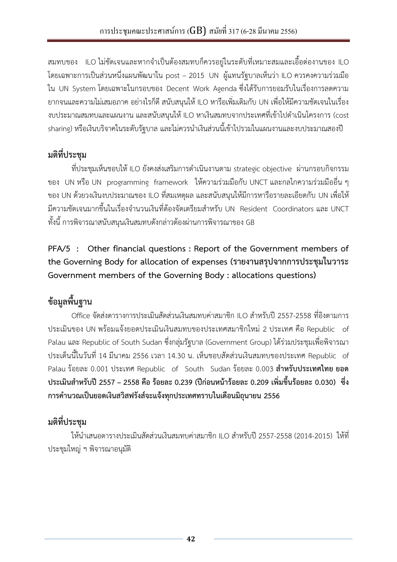<span id="page-41-0"></span>ี สมทบของ ILO ไม่ชัดเจนและหากจำเป็นต้องสมทบก็ควรอยู่ในระดับที่เหมาะสมและเอื้อต่องานของ ILO โดยเฉพาะการเป็นส่วนหนึ่งแผนพัฒนาใน post – 2015 UN ผู้แทนรัฐบาลเห็นว่า ILO ควรคงความร่วมมือ ใน UN System โดยเฉพาะในกรอบของ Decent Work Agenda ซึ่งได้รับการยอมรับในเรื่องการลดความ ยากจนและความไม่เสมอภาค อย่างไรก็ดี สนับสนุนให้ ILO หารือเพิ่มเติมกับ UN เพื่อให้มีความชัดเจนในเรื่อง งบประมาณสมทบและแผนงาน และสนับสนุนให้ ILO หาเงินสมทบจากประเทศที่เข้าไปดำเนินโครงการ (cost sharing) หรือเงินบริจาคในระดับรัฐบาล และไม่ควรนำเงินส่วนนี้เข้าไปรวมในแผนงานและงบประมาณสองปี

## **มติที่ประชุม**

ที่ประชุมเห็นชอบให้ ILO ยังคงส่งเสริมการดำเนินงานตาม strategic objective ผ่านกรอบกิจกรรม ของ UN หรือ UN programming framework ให้ความร่วมมือกับ UNCT และกลไกความร่วมมืออื่น ๆ ของ UN ด้วยวงเงินงบประมาณของ ILO ที่สมเหตุผล และสนับสนุนให้มีการหารือรายละเอียดกับ UN เพื่อให้ ้ มีความชัดเจนมากขึ้นในเรื่องจำนวนเงินที่ต้องจัดเตรียมสำหรับ UN Resident Coordinators และ UNCT ทั้งนี้ การพิจารณาสนับสนุนเงินสมทบดังกล่าวต้องผ่านการพิจารณาของ GB

**PFA/5 : Other financial questions : Report of the Government members of the Governing Body for allocation of expenses (รายงานสรุปจากการประชุมในวาระ Government members of the Governing Body : allocations questions)**

# **ข้อมูลพื้นฐาน**

Office จัดส่งตารางการประเมินสัดส่วนเงินสมทบค่าสมาชิก ILO สำหรับปี 2557-2558 ที่อิงตามการ ประเมินของ UN พร้อมแจ้งยอดประเมินเงินสมทบของประเทศสมาชิกใหม่ 2 ประเทศ คือ Republic of Palau และ Republic of South Sudan ซึ่งกลุ่มรัฐบาล (Government Group) ได้ร่วมประชุมเพื่อพิจารณา ประเด็นนี้ในวันที่ 14 มีนาคม 2556 เวลา 14.30 น. เห็นชอบสัดส่วนเงินสมทบของประเทศ Republic of Palau ร้อยละ 0.001 ประเทศ Republic of South Sudan ร้อยละ 0.003 **สำหรับประเทศไทย ยอด ประเมินส าหรับปี 2557 – 2558 คือ ร้อยละ 0.239 (ปีก่อนหน้าร้อยละ 0.209 เพิ่มขึ้นร้อยละ 0.030) ซึ่ง การค านวณเป็นยอดเงินสวิสฟรังส์จะแจ้งทุกประเทศทราบในเดือนมิถุนายน 2556** 

# **มติที่ประชุม**

ให้นำเสนอตารางประเมินสัดส่วนเงินสมทบค่าสมาชิก II O สำหรับปี 2557-2558 (2014-2015) ให้ที่ ประชุมใหญ่ ฯ พิจารณาอนุมัติ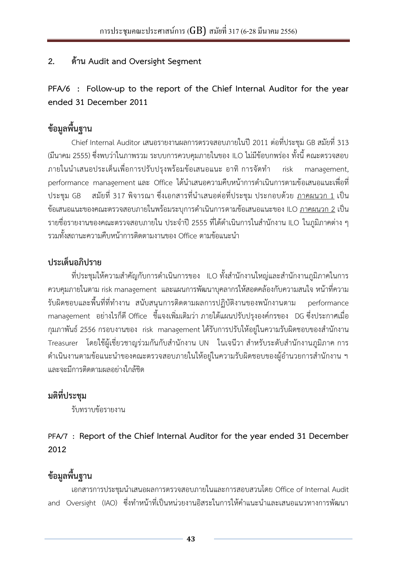### <span id="page-42-0"></span>**2. ด้าน Audit and Oversight Segment**

**PFA/6 : Follow-up to the report of the Chief Internal Auditor for the year ended 31 December 2011**

# **ข้อมูลพื้นฐาน**

Chief Internal Auditor เสนอรายงานผลการตรวจสอบภายในปี 2011 ต่อที่ประชุม GB สมัยที่ 313 (มีนาคม 2555) ซึ่งพบว่าในภาพรวม ระบบการควบคุมภายในของ ILO ไม่มีข้อบกพร่อง ทั้งนี้ คณะตรวจสอบ ภายในนำเสนอประเด็นเพื่อการปรับปรุงพร้อมข้อเสนอแนะ อาทิ การจัดทำ risk management, performance management และ Office ได้นำเสนอความคืบหน้าการดำเนินการตามข้อเสนอแนะเพื่อที่ ประชุม GB สมัยที่ 317 พิจารณา ซึ่งเอกสารที่นำเสนอต่อที่ประชุม ประกอบด้วย <u>ภาคผนวก 1</u> เป็น ข้อเสนอแนะของคณะตรวจสอบภายในพร้อมระบการดำเนินการตามข้อเสนอแนะของ ILO <u>ภาคผนวก 2</u> เป็น ี รายชื่อรายงานของคณะตรวจสอบภายใน ประจำปี 2555 ที่ได้ดำเนินการในสำนักงาน ILO ในภูมิภาคต่าง ๆ รวมทั้งสถานะความคืบหน้าการติดตามงานของ Office ตามข้อแนะนำ

### **ประเด็นอภิปราย**

ที่ประชุมให้ความสำคัญกับการดำเนินการของ ILO ทั้งสำนักงานใหญ่และสำนักงานภูมิภาคในการ ควบคุมภายในตาม risk management และแผนการพัฒนาบุคลากรให้สอดคล้องกับความสนใจ หน้าที่ความ รับผิดชอบและพื้นที่ที่ทำงาน สนับสนนการติดตามผลการปฏิบัติงานของพนักงานตาม performance management อย่างไรก็ดี Office ชี้แจงเพิ่มเติมว่า ภายใต้แผนปรับปรุงองค์กรของ DG ซึ่งประกาศเมื่อ กุมภาพันธ์ 2556 กรอบงานของ risk management ได้รับการปรับให้อยู่ในความรับผิดชอบของสำนักงาน Treasurer โดยใช้ผู้เชี่ยวชาญร่วมกันกับสำนักงาน UN ในเจนีวา สำหรับระดับสำนักงานภูมิภาค การ ดำเนินงานตามข้อแนะนำของคณะตรวจสอบภายในให้อยู่ในความรับผิดชอบของผู้อำนวยการสำนักงาน ฯ และจะมีการติดตามผลอย่างใกล้ชิด

### **มติที่ประชุม**

รับทราบข้อรายงาน

### **PFA/7 : Report of the Chief Internal Auditor for the year ended 31 December 2012**

## **ข้อมูลพื้นฐาน**

เอกสารการประชุมนำเสนอผลการตรวจสอบภายในและการสอบสวนโดย Office of Internal Audit and Oversight (IAO) ซึ่งทำหน้าที่เป็นหน่วยงานอิสระในการให้คำแนะนำและเสนอแนวทางการพัฒนา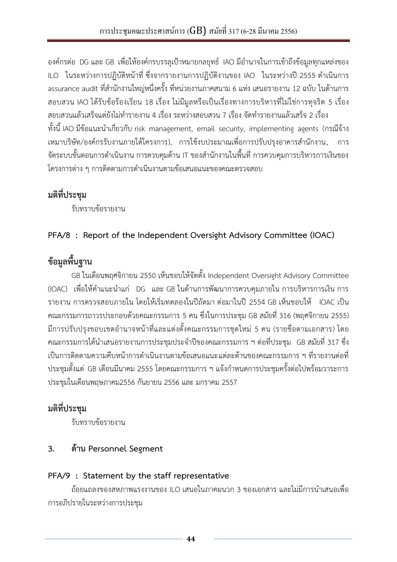<span id="page-43-0"></span>้องค์กรต่อ DG และ GB เพื่อให้องค์กรบรรลุเป้าหมายกลยุทธ์ IAO มีอำนาจในการเข้าถึงข้อมูลทุกแหล่งของ ILO ในระหว่างการปฏิบัติหน้าที่ ซึ่งจากรายงานการปฏิบัติงานของ IAO ในระหว่างปี 2555 ดำเนินการ ื assurance audit ที่สำนักงานใหญ่หนึ่งครั้ง ที่หน่วยงานภาคสนาม 6 แห่ง เสนอรายงาน 12 ฉบับ ในด้านการ สอบสวน IAO ได้รับข้อร้องเรียน 18 เรื่อง ไม่มีมูลหรือเป็นเรื่องทางการบริหารที่ไม่ใช่การทุจริต 5 เรื่อง สอบสวนแล้วเสร็จแต่ยังไม่ทำรายงาน 4 เรื่อง ระหว่างสอบสวน 7 เรื่อง จัดทำรายงานแล้วเสร็จ 2 เรื่อง ทั้งนี้ IAO มีข้อแนะนำเกี่ยวกับ risk management, email security, implementing agents (กรณีจ้าง เหมาบริษัท/องค์กรรับงานภายใต้โครงการ), การใช้งบประมาณเพื่อการปรับปรุงอาคารสำนักงาน, การ ี จัดระบบขั้นตอนการดำเนินงาน การควบคุมด้าน IT ของสำนักงานในพื้นที่ การควบคุมการบริหารการเงินของ โครงการต่าง ๆ การติดตามการดำเนินงานตามข้อเสนอแนะของคณะตรวจสอบ

## **มติที่ประชุม**

รับทราบข้อรายงาน

### **PFA/8 : Report of the Independent Oversight Advisory Committee (IOAC)**

## **ข้อมูลพื้นฐาน**

GB ในเดือนพฤศจิกายน 2550 เห็นชอบให้จัดตั้ง Independent Oversight Advisory Committee (IOAC) เพื่อให้คำแนะนำแก่ DG และ GB ในด้านการพัฒนาการควบคุมภายใน การบริหารการเงิน การ รายงาน การตรวจสอบภายใน โดยให้เริ่มทดลองในปีถัดมา ต่อมาในปี 2554 GB เห็นชอบให้ IOAC เป็น คณะกรรมการถาวรประกอบด้วยคณะกรรมการ 5 คน ซึ่งในการประชุม GB สมัยที่ 316 (พฤศจิกายน 2555) ้มีการปรับปรุงขอบเขตอำนาจหน้าที่และแต่งตั้งคณะกรรมการชุดใหม่ 5 คน (รายชื่อตามเอกสาร) โดย คณะกรรมการได้นำเสนอรายงานการประชุมประจำปีของคณะกรรมการ ฯ ต่อที่ประชุม GB สมัยที่ 317 ซึ่ง เป็นการติดตามความคืบหน้าการดำเนินงานตามข้อเสนอแนะแต่ละด้านของคณะกรรมการ ฯ ที่รายงานต่อที่ ี ประชุมตั้งแต่ GB เดือนมีนาคม 2555 โดยคณะกรรมการ ฯ แจ้งกำหนดการประชุมครั้งต่อไปพร้อมวาระการ ประชุมในเดือนพฤษภาคม2556 กันยายน 2556 และ มกราคม 2557

### **มติที่ประชุม**

รับทราบข้อรายงาน

### **3. ด้าน Personnel Segment**

### **[PFA/9 : Statement by the staff representative](#page-44-0)**

.ถ้อยแถลงของสหภาพแรงงานของ II O เสนอในภาคผนวก 3 ของเอกสาร และไม่มีการนำเสนอเพื่อ การอภิปรายในระหว่างการประชุม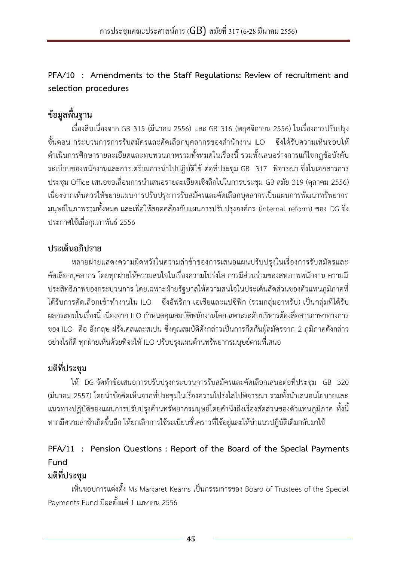### <span id="page-44-0"></span>**PFA/10 : Amendments to the Staff Regulations: Review of recruitment and selection procedures**

# **ข้อมูลพื้นฐาน**

เรื่องสืบเนื่องจาก GB 315 (มีนาคม 2556) และ GB 316 (พฤศจิกายน 2556) ในเรื่องการปรับปรุง ์ ขั้นตอน กระบวนการการรับสมัครและคัดเลือกบุคลากรของสำนักงาน ILO ซึ่งได้รับความเห็นชอบให้ ด าเนินการศึกษารายละเอียดและทบทวนภาพรวมทั้งหมดในเรื่องนี้ รวมทั้งเสนอร่างการแก้ไขกฎข้อบังคับ ระเบียบของพนักงานและการเตรียมการนำไปปฏิบัติใช้ ต่อที่ประชุม GB 317 พิจารณา ซึ่งในเอกสารการ ประชุม Office เสนอขอเลื่อนการนำเสนอรายละเอียดเชิงลึกไปในการประชุม GB สมัย 319 (ตุลาคม 2556) เนื่องจากเห็นควรให้ขยายแผนการปรับปรุงการรับสมัครและคัดเลือกบุคลากรเป็นแผนการพัฒนาทรัพยากร มนุษย์ในภาพรวมทั้งหมด และเพื่อให้สอดคล้องกับแผนการปรับปรุงองค์กร (internal reform) ของ DG ซึ่ง ประกาศใช้เมื่อกุมภาพันธ์ 2556

### **ประเด็นอภิปราย**

หลายฝ่ายแสดงความผิดหวังในความล่าช้าของการเสนอแผนปรับปรุงในเรื่องการรับสมัครและ คัดเลือกบุคลากร โดยทุกฝ่ายให้ความสนใจในเรื่องความโปร่งใส การมีส่วนร่วมของสหภาพพนักงาน ความมี ประสิทธิภาพของกระบวนการ โดยเฉพาะฝ่ายรัฐบาลให้ความสนใจในประเด็นสัดส่วนของตัวแทนภูมิภาคที่ ได้รับการคัดเลือกเข้าทำงานใน ILO ซึ่งอัฟริกา เอเชียและแปซิฟิก (รวมกลุ่มอาหรับ) เป็นกลุ่มที่ได้รับ ี ผลกระทบในเรื่องนี้ เนื่องจาก ILO กำหนดคุณสมบัติพนักงานโดยเฉพาะระดับบริหารต้องสื่อสารภาษาทางการ ของ ILO คือ อังกฤษ ฝรั่งเศสและสเปน ซึ่งคุณสมบัติดังกล่าวเป็นการกีดกันผู้สมัครจาก 2 ภูมิภาคดังกล่าว ือย่างไรก็ดี ทุกฝ่ายเห็นด้วยที่จะให้ ILO ปรับปรุงแผนด้านทรัพยากรมนุษย์ตามที่เสนอ

## **มติที่ประชุม**

ให้ DG จัดทำข้อเสนอการปรับปรุงกระบวนการรับสมัครและคัดเลือกเสนอต่อที่ประชุม GB 320 (มีนาคม 2557) โดยนำข้อคิดเห็นจากที่ประชุมในเรื่องความโปร่งใสไปพิจารณา รวมทั้งนำเสนอนโยบายและ ้ แนวทางปฏิบัติของแผนการปรับปรุงด้านทรัพยากรมนุษย์โดยคำนึงถึงเรื่องสัดส่วนของตัวแทนภูมิภาค ทั้งนี้ หากมีความล่าช้าเกิดขึ้นอีก ให้ยกเลิกการใช้ระเบียบชั่วคราวที่ใช้อยู่และให้นำแนวปฏิบัติเดิมกลับมาใช้

## **PFA/11 : Pension Questions : Report of the Board of the Special Payments Fund**

## **มติที่ประชุม**

เห็นชอบการแต่งตั้ง Ms Margaret Kearns เป็นกรรมการของ Board of Trustees of the Special Payments Fund มีผลตั้งแต่ 1 เมษายน 2556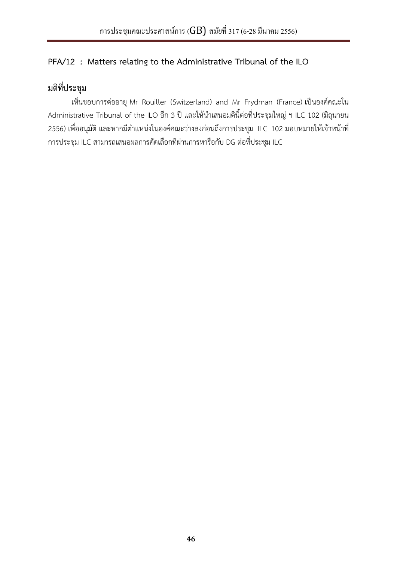### <span id="page-45-0"></span>**PFA/12 : Matters relating to the Administrative Tribunal of the ILO**

# **มติที่ประชุม**

เห็นชอบการต่ออายุ Mr Rouiller (Switzerland) and Mr Frydman (France) เป็นองค์คณะใน Administrative Tribunal of the ILO อีก 3 ปี และให้นำเสนอมตินี้ต่อที่ประชุมใหญ่ ๆ ILC 102 (มิถุนายน 2556) เพื่ออนุมัติ และหากมีตำแหน่งในองค์คณะว่างลงก่อนถึงการประชุม ILC 102 มอบหมายให้เจ้าหน้าที่ การประชุม ILC สามารถเสนอผลการคัดเลือกที่ผ่านการหารือกับ DG ต่อที่ประชุม ILC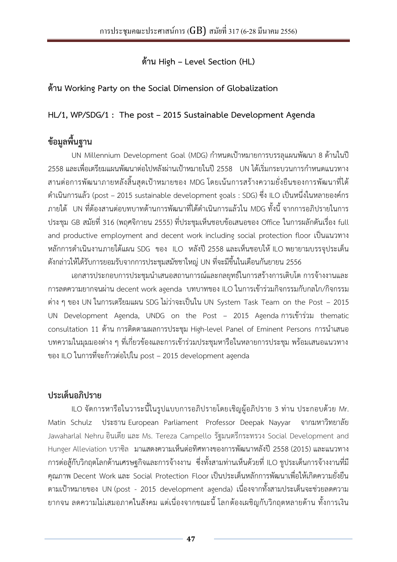**ด้าน High – Level Section (HL)**

### <span id="page-46-0"></span>**ด้าน Working Party on the Social Dimension of Globalization**

### **HL/1, WP/SDG/1 : The post – 2015 Sustainable Development Agenda**

# **ข้อมูลพื้นฐาน**

UN Millennium Development Goal (MDG) กำหนดเป้าหมายการบรรลุแผนพัฒนา 8 ด้านในปี 2558 และเพื่อเตรียมแผนพัฒนาต่อไปหลังผ่านเป้าหมายในปี 2558 UN ได้เริ่มกระบวนการกำหนดแนวทาง สานต่อการพัฒนาภายหลังสิ้นสุดเป้าหมายของ MDG โดยเน้นการสร้างความยั่งยืนของการพัฒนาที่ได้ ด าเนินการแล้ว (post – 2015 sustainable development goals : SDG) ซึ่ง ILO เป็นหนึ่งในหลายองค์กร ภายใต้ UN ที่ต้องสานต่อบทบาทด้านการพัฒนาที่ได้ด าเนินการแล้วใน MDG ทั้งนี้ จากการอภิปรายในการ ประชุม GB สมัยที่ 316 (พฤศจิกายน 2555) ที่ประชุมเห็นชอบข้อเสนอของ Office ในการผลักดันเรื่อง full and productive employment and decent work including social protection floor เป็นแนวทาง หลักการดำเนินงานภายใต้แผน SDG ของ ILO หลังปี 2558 และเห็นชอบให้ ILO พยายามบรรจุประเด็น ดังกล่าวให้ได้รับการยอมรับจากการประชุมสมัชชาใหญ่ UN ที่จะมีขึ้นในเดือนกันยายน 2556

เอกสารประกอบการประชุมนำเสนอสถานการณ์และกลยุทธ์ในการสร้างการเติบโต การจ้างงานและ การลดความยากจนผ่าน decent work agenda บทบาทของ ILO ในการเข้าร่วมกิจกรรมกับกลไก/กิจกรรม ต่าง ๆ ของ UN ในการเตรียมแผน SDG ไม่ว่าจะเป็นใน UN System Task Team on the Post – 2015 UN Development Agenda, UNDG on the Post – 2015 Agenda การเข้าร่วม thematic consultation 11 ด้าน การติดตามผลการประชุม High-level Panel of Eminent Persons การนำเสนอ บทความในมุมมองต่าง ๆ ที่เกี่ยวข้องและการเข้าร่วมประชุมหารือในหลายการประชุม พร้อมเสนอแนวทาง ของ ILO ในการที่จะก้าวต่อไปใน post – 2015 development agenda

## **ประเด็นอภิปราย**

ILO จัดการหารือในวาระนี้ในรูปแบบการอภิปรายโดยเชิญผู้อภิปราย 3 ท่าน ประกอบด้วย Mr. Matin Schulz ประธาน European Parliament Professor Deepak Nayyar จากมหาวิทยาลัย Jawaharlal Nehruอินเดีย และ Ms. Tereza Campello รัฐมนตรีกระทรวง Social Development and Hunger Alleviation บราซิล มาแสดงความเห็นต่อทิศทางของการพัฒนาหลังปี 2558 (2015) และแนวทาง การต่อสู้กับวิกฤตโลกด้านเศรษฐกิจและการจ้างงาน ซึ่งทั้งสามท่านเห็นด้วยที่ ILO ชูประเด็นการจ้างงานที่มี คุณภาพ Decent Work และ Social Protection Floor เป็นประเด็นหลักการพัฒนาเพื่อให้เกิดความยั่งยืน ตามเป้าหมายของ UN (post - 2015 development agenda) เนื่องจากทั้งสามประเด็นจะช่วยลดความ ยากจน ลดความไม่เสมอภาคในสังคม แต่เนื่องจากขณะนี้ โลกต้องเผชิญกับวิกฤตหลายด้าน ทั้งการเงิน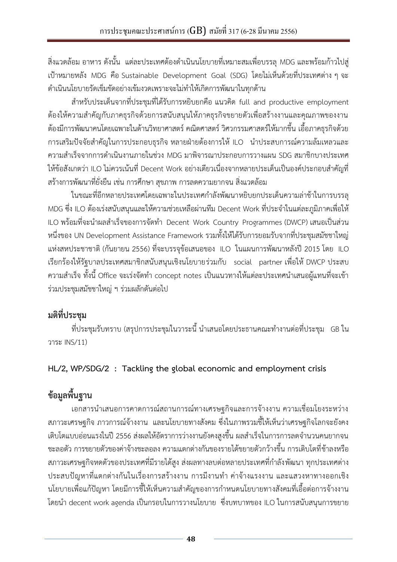<span id="page-47-0"></span>้ สิ่งแวดล้อม อาหาร ดังนั้น แต่ละประเทศต้องดำเนินนโยบายที่เหมาะสมเพื่อบรรลุ MDG และพร้อมก้าวไปสู่ เป้าหมายหลัง MDG คือ Sustainable Development Goal (SDG) โดยไม่เห็นด้วยที่ประเทศต่าง ๆ จะ ด าเนินนโยบายรัดเข็มขัดอย่างเข้มงวดเพราะจะไม่ท าให้เกิดการพัฒนาในทุกด้าน

ส าหรับประเด็นจากที่ประชุมที่ได้รับการหยิบยกคือ แนวคิด full and productive employment ต้องให้ความส าคัญกับภาคธุรกิจด้วยการสนับสนุนให้ภาคธุรกิจขยายตัวเพื่อสร้างงานและคุณภาพของงาน ต้องมีการพัฒนาคนโดยเฉพาะในด้านวิทยาศาสตร์ คณิตศาสตร์ วิศวกรรมศาสตร์ให้มากขึ้น เอื้อภาคธุรกิจด้วย การเสริมปัจจัยสำคัญในการประกอบธุรกิจ หลายฝ่ายต้องการให้ ILO นำประสบการณ์ความล้มเหลวและ ความส าเร็จจากการด าเนินงานภายในช่วง MDG มาพิจารณาประกอบการวางแผน SDG สมาชิกบางประเทศ ให้ข้อสังเกตว่า ILO ไม่ควรเน้นที่ Decent Work อย่างเดียวเนื่องจากหลายประเด็นเป็นองค์ประกอบสำคัญที่ สร้างการพัฒนาที่ยั่งยืน เช่น การศึกษา สุขภาพ การลดความยากจน สิ่งแวดล้อม

ในขณะที่อีกหลายประเทศโดยเฉพาะในประเทศก าลังพัฒนาหยิบยกประเด็นความล่าช้าในการบรรลุ MDG ซึ่ง ILO ต้องเร่งสนับสนุนและให้ความช่วยเหลือผ่านทีม Decent Work ที่ประจำในแต่ละภูมิภาคเพื่อให้ ILO พร้อมที่จะนำผลสำเร็จของการจัดทำ Decent Work Country Programmes (DWCP) เสนอเป็นส่วน หนึ่งของ UN Development Assistance Framework รวมทั้งให้ได้รับการยอมรับจากที่ประชุมสมัชชาใหญ่ แห่งสหประชาชาติ (กันยายน 2556) ที่จะบรรจุข้อเสนอของ ILO ในแผนการพัฒนาหลังปี 2015 โดย ILO เรียกร้องให้รัฐบาลประเทศสมาชิกสนับสนุนเชิงนโยบายร่วมกับ social partner เพื่อให้ DWCP ประสบ ความสำเร็จ ทั้งนี้ Office จะเร่งจัดทำ concept notes เป็นแนวทางให้แต่ละประเทศนำเสนอผู้แทนที่จะเข้า ร่วมประชุมสมัชชาใหญ่ ฯ ร่วมผลักดันต่อไป

## **มติที่ประชุม**

์ ที่ประชุมรับทราบ (สรุปการประชุมในวาระนี้ นำเสนอโดยประธานคณะทำงานต่อที่ประชุม GB ใน วาระ INS/11)

### **HL/2, WP/SDG/2 : Tackling the global economic and employment crisis**

# **ข้อมูลพื้นฐาน**

เอกสารนำเสนอการคาดการณ์สถานการณ์ทางเศรษฐกิจและการจ้างงาน ความเชื่อมโยงระหว่าง สภาวะเศรษฐกิจ ภาวการณ์จ้างงาน และนโยบายทางสังคม ซึ่งในภาพรวมชี้ให้เห็นว่าเศรษฐกิจโลกจะยังคง ้ เติบโตแบบอ่อนแรงในปี 2556 ส่งผลให้อัตราการว่างงานยังคงสูงขึ้น ผลสำเร็จในการการลดจำนวนคนยากจน ชะลอตัว การขยายตัวของค่าจ้างชะลอลง ความแตกต่างกันของรายได้ขยายตัวกว้างขึ้น การเติบโตที่ช้าลงหรือ สภาวะเศรษฐกิจหดตัวของประเทศที่มีรายได้สูง ส่งผลทางลบต่อหลายประเทศที่กำลังพัฒนา ทุกประเทศต่าง ้ประสบปัญหาที่แตกต่างกันในเรื่องการสร้างงาน การมีงานทำ ค่าจ้างแรงงาน และแสวงหาทางออกเชิง ้นโยบายเพื่อแก้ปัญหา โดยมีการชี้ให้เห็นความสำคัญของการกำหนดนโยบายทางสังคมที่เอื้อต่อการจ้างงาน โดยนำ decent work agenda เป็นกรอบในการวางนโยบาย ซึ่งบทบาทของ ILO ในการสนับสนุนการขยาย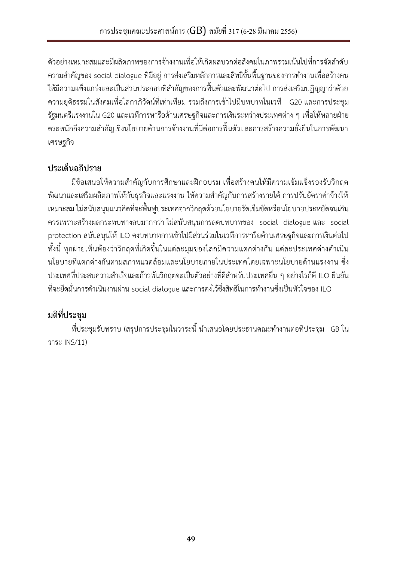ตัวอย่างเหมาะสมและมีผลิตภาพของการจ้างงานเพื่อให้เกิดผลบวกต่อสังคมในภาพรวมเน้นไปที่การจัดลำดับ ี ความสำคัญของ social dialogue ที่มีอยู่ การส่งเสริมหลักการและสิทธิขั้นพื้นฐานของการทำงานเพื่อสร้างคน ให้มีความแข็งแกร่งและเป็นส่วนประกอบที่สำคัญของการฟื้นตัวและพัฒนาต่อไป การส่งเสริมปฏิญญาว่าด้วย ความยุติธรรมในสังคมเพื่อโลกาภิวัตน์ที่เท่าเทียม รวมถึงการเข้าไปมีบทบาทในเวที G20 และการประชุม รัฐมนตรีแรงงานใน G20 และเวทีการหารือด้านเศรษฐกิจและการเงินระหว่างประเทศต่าง ๆ เพื่อให้หลายฝ่าย ตระหนักถึงความส าคัญเชิงนโยบายด้านการจ้างงานที่มีต่อการฟื้นตัวและการสร้างความยั่งยืนในการพัฒนา เศรษฐกิจ

## **ประเด็นอภิปราย**

้มีข้อเสนอให้ความสำคัญกับการศึกษาและฝึกอบรม เพื่อสร้างคนให้มีความเข้มแข็งรองรับวิกฤต พัฒนาและเสริมผลิตภาพให้กับธุรกิจและแรงงาน ให้ความสำคัญกับการสร้างรายได้ การปรับอัตราค่าจ้างให้ เหมาะสม ไม่สนับสนุนแนวคิดที่จะฟื้นฟูประเทศจากวิกฤตด้วยนโยบายรัดเข็มขัดหรือนโยบายประหยัดจนเกิน ควรเพราะสร้างผลกระทบทางลบมากกว่า ไม่สนับสนุนการลดบทบาทของ social dialogue และ social protection สนับสนุนให้ ILO คงบทบาทการเข้าไปมีส่วนร่วมในเวทีการหารือด้านเศรษฐกิจและการเงินต่อไป ทั้งนี้ ทุกฝ่ายเห็นพ้องว่าวิกฤตที่เกิดขึ้นในแต่ละมุมของโลกมีความแตกต่างกัน แต่ละประเทศต่างดำเนิน นโยบายที่แตกต่างกันตามสภาพแวดล้อมและนโยบายภายในประเทศโดยเฉพาะนโยบายด้านแรงงาน ซึ่ง ี ประเทศที่ประสบความสำเร็จและก้าวพ้นวิกฤตจะเป็นตัวอย่างที่ดีสำหรับประเทศอื่น ๆ อย่างไรก็ดี ILO ยืนยัน ี่ ที่จะยึดมั่นการดำเนินงานผ่าน social dialogue และการคงไว้ซึ่งสิทธิในการทำงานซึ่งเป็นหัวใจของ ILO

# **มติที่ประชุม**

์ ที่ประชุมรับทราบ (สรุปการประชุมในวาระนี้ นำเสนอโดยประธานคณะทำงานต่อที่ประชุม GB ใน วาระ INS/11)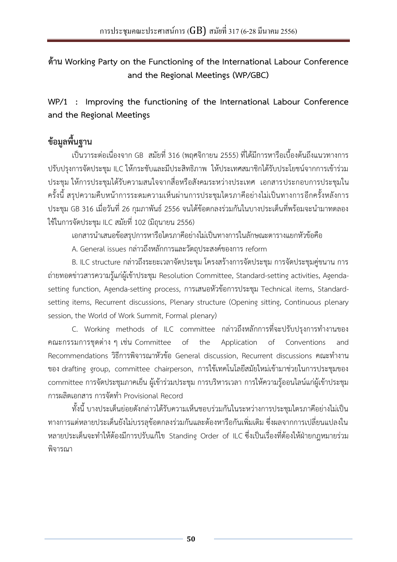<span id="page-49-0"></span>**ด้าน Working Party on the Functioning of the International Labour Conference and the Regional Meetings (WP/GBC)**

**WP/1 : Improving the functioning of the International Labour Conference and the Regional Meetings**

## **ข้อมูลพื้นฐาน**

เป็นวาระต่อเนื่องจาก GB สมัยที่ 316 (พฤศจิกายน 2555) ที่ได้มีการหารือเบื้องต้นถึงแนวทางการ ปรับปรุงการจัดประชุม ILC ให้กระชับและมีประสิทธิภาพ ให้ประเทศสมาชิกได้รับประโยชน์จากการเข้าร่วม ประชุม ให้การประชุมได้รับความสนใจจากสื่อหรือสังคมระหว่างประเทศ เอกสารประกอบการประชุมใน ครั้งนี้ สรุปความคืบหน้าการระดมความเห็นผ่านการประชุมไตรภาคีอย่างไม่เป็นทางการอีกครั้งหลังการ ประชุม GB 316 เมื่อวันที่ 26 กุมภาพันธ์ 2556 จนได้ข้อตกลงร่วมกันในบางประเด็นที่พร้อมจะนำมาทดลอง ใช้ในการจัดประชุม ILC สมัยที่ 102 (มิถุนายน 2556)

เอกสารน าเสนอข้อสรุปการหารือไตรภาคีอย่างไม่เป็นทางการในลักษณะตารางแยกหัวข้อคือ

A. General issues กล่าวถึงหลักการและวัตถุประสงค์ของการ reform

B. ILC structure กล่าวถึงระยะเวลาจัดประชุม โครงสร้างการจัดประชุม การจัดประชุมคู่ขนาน การ ถ่ายทอดข่าวสารความรู้แก่ผู้เข้าประชุม Resolution Committee, Standard-setting activities, Agendasetting function, Agenda-setting process, การเสนอหัวข้อการประชุม Technical items, Standardsetting items, Recurrent discussions, Plenary structure (Opening sitting, Continuous plenary session, the World of Work Summit, Formal plenary)

C. Working methods of ILC committee กล่าวถึงหลักการที่จะปรับปรุงการทำงานของ คณะกรรมการชุดต่าง ๆ เช่น Committee of the Application of Conventions and Recommendations วิธีการพิจารณาหัวข้อ General discussion, Recurrent discussions คณะทำงาน ของ drafting group, committee chairperson, การใช้เทคโนโลยีสมัยใหม่เข้ามาช่วยในการประชุมของ committee การจัดประชุมภาคเย็น ผู้เข้าร่วมประชุม การบริหารเวลา การให้ความรู้ออนไลน์แก่ผู้เข้าประชุม การผลิตเอกสาร การจัดท า Provisional Record

ทั้งนี้ บางประเด็นย่อยดังกล่าวได้รับความเห็นชอบร่วมกันในระหว่างการประชุมไตรภาคีอย่างไม่เป็น ทางการแต่หลายประเด็นยังไม่บรรลุข้อตกลงร่วมกันและต้องหารือกันเพิ่มเติม ซึ่งผลจากการเปลี่ยนแปลงใน หลายประเด็นจะทำให้ต้องมีการปรับแก้ไข Standing Order of ILC ซึ่งเป็นเรื่องที่ต้องให้ฝ่ายกฎหมายร่วม พิจารณา